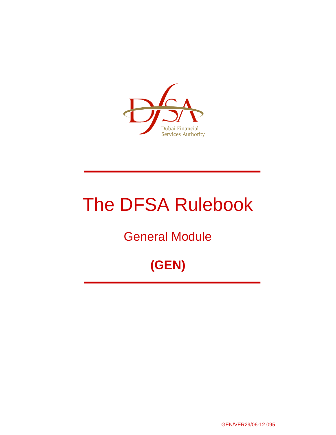

# The DFSA Rulebook

## General Module

## **(GEN)**

GEN/VER29/06-12 095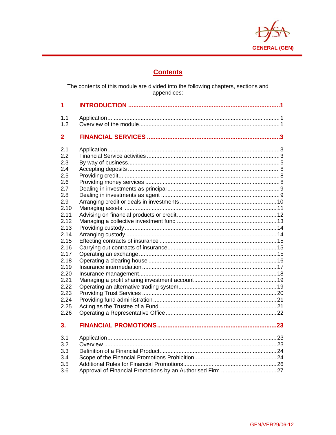

## **Contents**

The contents of this module are divided into the following chapters, sections and<br>appendices:

| 1              |  |
|----------------|--|
| 1.1            |  |
| 1.2            |  |
| $\overline{2}$ |  |
| 2.1            |  |
| 2.2            |  |
| 2.3            |  |
| 2.4            |  |
| 2.5            |  |
| 2.6            |  |
| 2.7            |  |
| 2.8            |  |
| 2.9            |  |
| 2.10<br>2.11   |  |
| 2.12           |  |
| 2.13           |  |
| 2.14           |  |
| 2.15           |  |
| 2.16           |  |
| 2.17           |  |
| 2.18           |  |
| 2.19           |  |
| 2.20           |  |
| 2.21           |  |
| 2.22           |  |
| 2.23           |  |
| 2.24           |  |
| 2.25           |  |
| 2.26           |  |
| 3.             |  |
| 3.1            |  |
| 3.2            |  |
| 3.3            |  |
| 3.4            |  |
| 3.5            |  |
| 3.6            |  |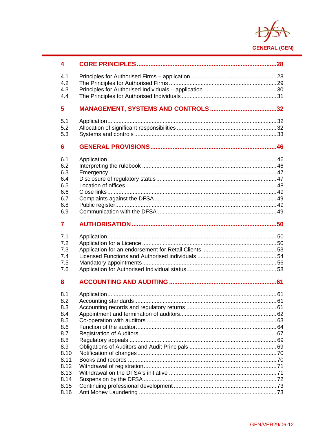

| 4            |  |
|--------------|--|
| 4.1          |  |
| 4.2          |  |
| 4.3          |  |
| 4.4          |  |
| 5            |  |
| 5.1          |  |
| 5.2          |  |
| 5.3          |  |
| 6            |  |
| 6.1          |  |
| 6.2          |  |
| 6.3          |  |
| 6.4          |  |
| 6.5          |  |
| 6.6          |  |
| 6.7          |  |
| 6.8          |  |
| 6.9          |  |
| 7            |  |
| 7.1          |  |
| 7.2          |  |
| 7.3          |  |
| 7.4          |  |
| 7.5          |  |
| 7.6          |  |
| 8            |  |
|              |  |
| 8.1<br>8.2   |  |
| 8.3          |  |
| 8.4          |  |
| 8.5          |  |
| 8.6          |  |
| 8.7          |  |
| 8.8          |  |
| 8.9          |  |
| 8.10         |  |
| 8.11         |  |
| 8.12         |  |
| 8.13         |  |
| 8.14<br>8.15 |  |
| 8.16         |  |
|              |  |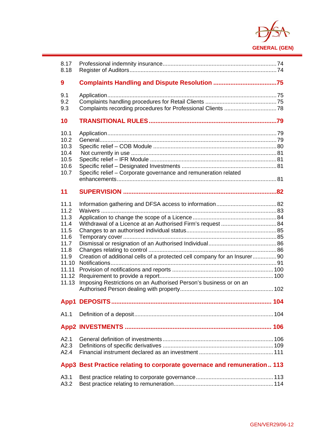

| 8.17<br>8.18                                                                                             |                                                                                                                                                 |  |
|----------------------------------------------------------------------------------------------------------|-------------------------------------------------------------------------------------------------------------------------------------------------|--|
|                                                                                                          |                                                                                                                                                 |  |
| 9                                                                                                        |                                                                                                                                                 |  |
| 9.1<br>9.2<br>9.3                                                                                        |                                                                                                                                                 |  |
| 10                                                                                                       |                                                                                                                                                 |  |
| 10.1<br>10.2<br>10.3<br>10.4<br>10.5<br>10.6<br>10.7                                                     | Specific relief - Corporate governance and remuneration related                                                                                 |  |
| 11                                                                                                       |                                                                                                                                                 |  |
| 11.1<br>11.2<br>11.3<br>11.4<br>11.5<br>11.6<br>11.7<br>11.8<br>11.9<br>11.10<br>11.11<br>11.12<br>11.13 | Creation of additional cells of a protected cell company for an Insurer 90<br>Imposing Restrictions on an Authorised Person's business or on an |  |
|                                                                                                          |                                                                                                                                                 |  |
| A1.1                                                                                                     |                                                                                                                                                 |  |
|                                                                                                          |                                                                                                                                                 |  |
| A2.1<br>A2.3<br>A2.4                                                                                     |                                                                                                                                                 |  |
|                                                                                                          | App3 Best Practice relating to corporate governace and remuneration 113                                                                         |  |
| A3.1<br>A3.2                                                                                             |                                                                                                                                                 |  |

 $\overline{a}$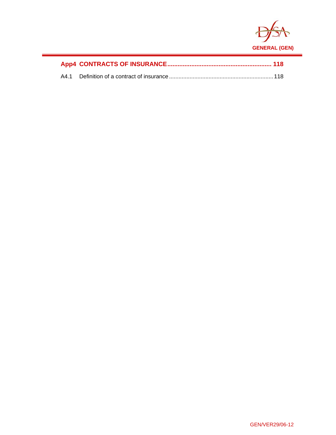

 $\overline{a}$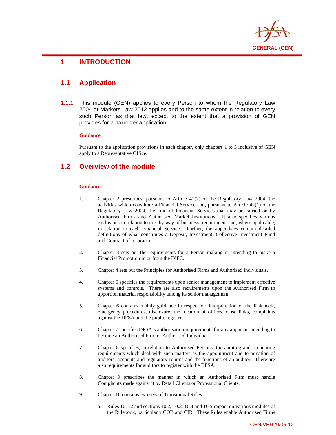

## $\overline{a}$ **1 INTRODUCTION**

## **1.1 Application**

**1.1.1** This module (GEN) applies to every Person to whom the Regulatory Law 2004 or Markets Law 2012 applies and to the same extent in relation to every such Person as that law, except to the extent that a provision of GEN provides for a narrower application.

#### **Guidance**

Pursuant to the application provisions in each chapter, only chapters 1 to 3 inclusive of GEN apply to a Representative Office.

## **1.2 Overview of the module**

#### **Guidance**

- 1. Chapter 2 prescribes, pursuant to Article 41(2) of the Regulatory Law 2004, the activities which constitute a Financial Service and, pursuant to Article 42(1) of the Regulatory Law 2004, the kind of Financial Services that may be carried on by Authorised Firms and Authorised Market Institutions. It also specifies various exclusions in relation to the 'by way of business' requirement and, where applicable, in relation to each Financial Service. Further, the appendices contain detailed definitions of what constitutes a Deposit, Investment, Collective Investment Fund and Contract of Insurance.
- 2. Chapter 3 sets out the requirements for a Person making or intending to make a Financial Promotion in or from the DIFC.
- 3. Chapter 4 sets out the Principles for Authorised Firms and Authorised Individuals.
- 4. Chapter 5 specifies the requirements upon senior management to implement effective systems and controls. There are also requirements upon the Authorised Firm to apportion material responsibility among its senior management.
- 5. Chapter 6 contains mainly guidance in respect of: interpretation of the Rulebook, emergency procedures, disclosure, the location of offices, close links, complaints against the DFSA and the public register.
- 6. Chapter 7 specifies DFSA's authorisation requirements for any applicant intending to become an Authorised Firm or Authorised Individual.
- 7. Chapter 8 specifies, in relation to Authorised Persons, the auditing and accounting requirements which deal with such matters as the appointment and termination of auditors, accounts and regulatory returns and the functions of an auditor. There are also requirements for auditors to register with the DFSA.
- 8. Chapter 9 prescribes the manner in which an Authorised Firm must handle Complaints made against it by Retail Clients or Professional Clients.
- 9. Chapter 10 contains two sets of Transitional Rules.
	- a. Rules 10.1.2 and sections 10.2, 10.3, 10.4 and 10.5 impact on various modules of the Rulebook, particularly COB and CIR. These Rules enable Authorised Firms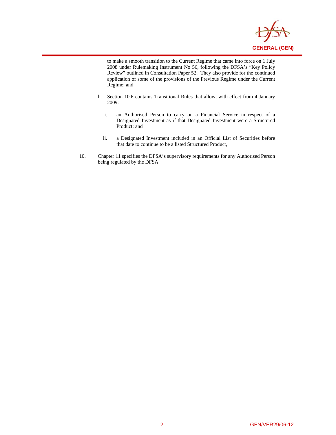

to make a smooth transition to the Current Regime that came into force on 1 July 2008 under Rulemaking Instrument No 56, following the DFSA's "Key Policy Review" outlined in Consultation Paper 52. They also provide for the continued application of some of the provisions of the Previous Regime under the Current Regime; and

 $\overline{a}$ 

- b. Section 10.6 contains Transitional Rules that allow, with effect from 4 January 2009:
	- i. an Authorised Person to carry on a Financial Service in respect of a Designated Investment as if that Designated Investment were a Structured Product; and
	- ii. a Designated Investment included in an Official List of Securities before that date to continue to be a listed Structured Product,
- 10. Chapter 11 specifies the DFSA's supervisory requirements for any Authorised Person being regulated by the DFSA.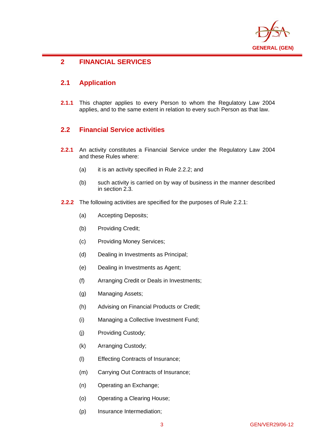

## **2 FINANCIAL SERVICES**

## **2.1 Application**

 $\overline{a}$ 

**2.1.1** This chapter applies to every Person to whom the Regulatory Law 2004 applies, and to the same extent in relation to every such Person as that law.

## **2.2 Financial Service activities**

- **2.2.1** An activity constitutes a Financial Service under the Regulatory Law 2004 and these Rules where:
	- (a) it is an activity specified in Rule 2.2.2; and
	- (b) such activity is carried on by way of business in the manner described in section 2.3.
- **2.2.2** The following activities are specified for the purposes of Rule 2.2.1:
	- (a) Accepting Deposits;
	- (b) Providing Credit;
	- (c) Providing Money Services;
	- (d) Dealing in Investments as Principal;
	- (e) Dealing in Investments as Agent;
	- (f) Arranging Credit or Deals in Investments;
	- (g) Managing Assets;
	- (h) Advising on Financial Products or Credit;
	- (i) Managing a Collective Investment Fund;
	- (j) Providing Custody;
	- (k) Arranging Custody;
	- (l) Effecting Contracts of Insurance;
	- (m) Carrying Out Contracts of Insurance;
	- (n) Operating an Exchange;
	- (o) Operating a Clearing House;
	- (p) Insurance Intermediation;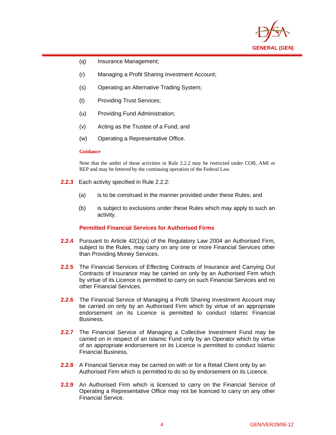

- (q) Insurance Management;
- (r) Managing a Profit Sharing Investment Account;
- (s) Operating an Alternative Trading System;
- (t) Providing Trust Services;
- (u) Providing Fund Administration;
- (v) Acting as the Trustee of a Fund; and
- (w) Operating a Representative Office.

 $\overline{a}$ 

Note that the ambit of these activities in Rule 2.2.2 may be restricted under COB, AMI or REP and may be fettered by the continuing operation of the Federal Law.

- **2.2.3** Each activity specified in Rule 2.2.2:
	- (a) is to be construed in the manner provided under these Rules; and
	- (b) is subject to exclusions under these Rules which may apply to such an activity.

## **Permitted Financial Services for Authorised Firms**

- **2.2.4** Pursuant to Article 42(1)(a) of the Regulatory Law 2004 an Authorised Firm, subject to the Rules, may carry on any one or more Financial Services other than Providing Money Services.
- **2.2.5** The Financial Services of Effecting Contracts of Insurance and Carrying Out Contracts of Insurance may be carried on only by an Authorised Firm which by virtue of its Licence is permitted to carry on such Financial Services and no other Financial Services.
- **2.2.6** The Financial Service of Managing a Profit Sharing Investment Account may be carried on only by an Authorised Firm which by virtue of an appropriate endorsement on its Licence is permitted to conduct Islamic Financial Business.
- **2.2.7** The Financial Service of Managing a Collective Investment Fund may be carried on in respect of an Islamic Fund only by an Operator which by virtue of an appropriate endorsement on its Licence is permitted to conduct Islamic Financial Business.
- **2.2.8** A Financial Service may be carried on with or for a Retail Client only by an Authorised Firm which is permitted to do so by endorsement on its Licence.
- **2.2.9** An Authorised Firm which is licenced to carry on the Financial Service of Operating a Representative Office may not be licenced to carry on any other Financial Service.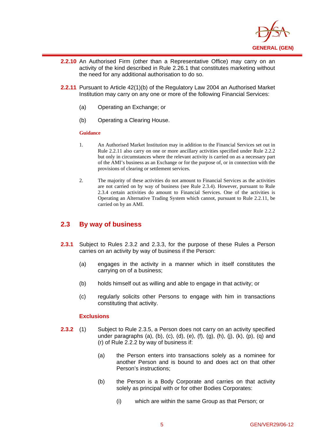

- **2.2.10** An Authorised Firm (other than a Representative Office) may carry on an activity of the kind described in Rule 2.26.1 that constitutes marketing without the need for any additional authorisation to do so.
- **2.2.11** Pursuant to Article 42(1)(b) of the Regulatory Law 2004 an Authorised Market Institution may carry on any one or more of the following Financial Services:
	- (a) Operating an Exchange; or
	- (b) Operating a Clearing House.

 $\overline{a}$ 

- 1. An Authorised Market Institution may in addition to the Financial Services set out in Rule 2.2.11 also carry on one or more ancillary activities specified under Rule 2.2.2 but only in circumstances where the relevant activity is carried on as a necessary part of the AMI's business as an Exchange or for the purpose of, or in connection with the provisions of clearing or settlement services.
- 2. The majority of these activities do not amount to Financial Services as the activities are not carried on by way of business (see Rule 2.3.4). However, pursuant to Rule 2.3.4 certain activities do amount to Financial Services. One of the activities is Operating an Alternative Trading System which cannot, pursuant to Rule 2.2.11, be carried on by an AMI.

## **2.3 By way of business**

- **2.3.1** Subject to Rules 2.3.2 and 2.3.3, for the purpose of these Rules a Person carries on an activity by way of business if the Person:
	- (a) engages in the activity in a manner which in itself constitutes the carrying on of a business;
	- (b) holds himself out as willing and able to engage in that activity; or
	- (c) regularly solicits other Persons to engage with him in transactions constituting that activity.

- **2.3.2** (1) Subject to Rule 2.3.5, a Person does not carry on an activity specified under paragraphs (a), (b), (c), (d), (e), (f), (g), (h), (j), (k), (p), (q) and (r) of Rule 2.2.2 by way of business if:
	- (a) the Person enters into transactions solely as a nominee for another Person and is bound to and does act on that other Person's instructions;
	- (b) the Person is a Body Corporate and carries on that activity solely as principal with or for other Bodies Corporates:
		- (i) which are within the same Group as that Person; or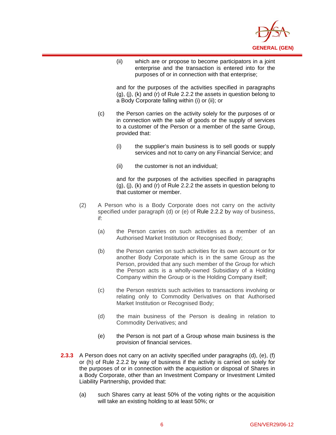

(ii) which are or propose to become participators in a joint enterprise and the transaction is entered into for the purposes of or in connection with that enterprise;

and for the purposes of the activities specified in paragraphs (g), (j), (k) and (r) of Rule 2.2.2 the assets in question belong to a Body Corporate falling within (i) or (ii); or

- (c) the Person carries on the activity solely for the purposes of or in connection with the sale of goods or the supply of services to a customer of the Person or a member of the same Group, provided that:
	- (i) the supplier's main business is to sell goods or supply services and not to carry on any Financial Service; and
	- (ii) the customer is not an individual;

 $\overline{a}$ 

and for the purposes of the activities specified in paragraphs (g), (j), (k) and (r) of Rule 2.2.2 the assets in question belong to that customer or member.

- (2) A Person who is a Body Corporate does not carry on the activity specified under paragraph (d) or (e) of Rule 2.2.2 by way of business, if:
	- (a) the Person carries on such activities as a member of an Authorised Market Institution or Recognised Body;
	- (b) the Person carries on such activities for its own account or for another Body Corporate which is in the same Group as the Person, provided that any such member of the Group for which the Person acts is a wholly-owned Subsidiary of a Holding Company within the Group or is the Holding Company itself;
	- (c) the Person restricts such activities to transactions involving or relating only to Commodity Derivatives on that Authorised Market Institution or Recognised Body;
	- (d) the main business of the Person is dealing in relation to Commodity Derivatives; and
	- (e) the Person is not part of a Group whose main business is the provision of financial services.
- **2.3.3** A Person does not carry on an activity specified under paragraphs (d), (e), (f) or (h) of Rule 2.2.2 by way of business if the activity is carried on solely for the purposes of or in connection with the acquisition or disposal of Shares in a Body Corporate, other than an Investment Company or Investment Limited Liability Partnership, provided that:
	- (a) such Shares carry at least 50% of the voting rights or the acquisition will take an existing holding to at least 50%; or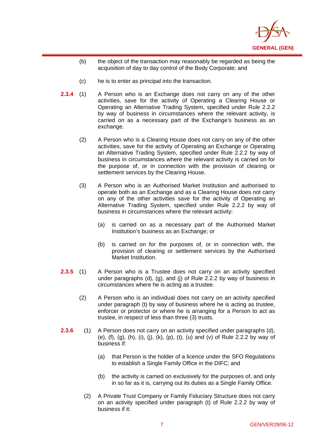

- (b) the object of the transaction may reasonably be regarded as being the acquisition of day to day control of the Body Corporate; and
- (c) he is to enter as principal into the transaction.

 $\overline{a}$ 

- **2.3.4** (1) A Person who is an Exchange does not carry on any of the other activities, save for the activity of Operating a Clearing House or Operating an Alternative Trading System, specified under Rule 2.2.2 by way of business in circumstances where the relevant activity, is carried on as a necessary part of the Exchange's business as an exchange.
	- (2) A Person who is a Clearing House does not carry on any of the other activities, save for the activity of Operating an Exchange or Operating an Alternative Trading System, specified under Rule 2.2.2 by way of business in circumstances where the relevant activity is carried on for the purpose of, or in connection with the provision of clearing or settlement services by the Clearing House.
	- (3) A Person who is an Authorised Market Institution and authorised to operate both as an Exchange and as a Clearing House does not carry on any of the other activities save for the activity of Operating an Alternative Trading System, specified under Rule 2.2.2 by way of business in circumstances where the relevant activity:
		- (a) is carried on as a necessary part of the Authorised Market Institution's business as an Exchange; or
		- (b) is carried on for the purposes of, or in connection with, the provision of clearing or settlement services by the Authorised Market Institution.
- **2.3.5** (1) A Person who is a Trustee does not carry on an activity specified under paragraphs (d), (g), and (j) of Rule 2.2.2 by way of business in circumstances where he is acting as a trustee.
	- (2) A Person who is an individual does not carry on an activity specified under paragraph (t) by way of business where he is acting as trustee, enforcer or protector or where he is arranging for a Person to act as trustee, in respect of less than three (3) trusts.
- **2.3.6** (1) A Person does not carry on an activity specified under paragraphs (d), (e), (f), (g), (h), (i), (j), (k), (p), (t), (u) and (v) of Rule 2.2.2 by way of business if:
	- (a) that Person is the holder of a licence under the SFO Regulations to establish a Single Family Office in the DIFC; and
	- (b) the activity is carried on exclusively for the purposes of, and only in so far as it is, carrying out its duties as a Single Family Office.
	- (2) A Private Trust Company or Family Fiduciary Structure does not carry on an activity specified under paragraph (t) of Rule 2.2.2 by way of business if it: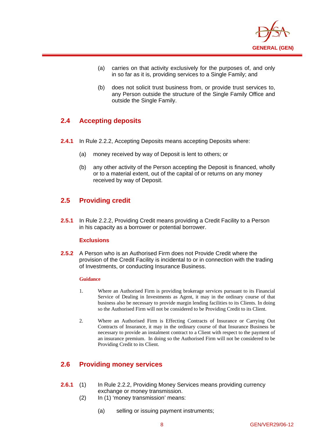

- (a) carries on that activity exclusively for the purposes of, and only in so far as it is, providing services to a Single Family; and
- (b) does not solicit trust business from, or provide trust services to, any Person outside the structure of the Single Family Office and outside the Single Family.

## **2.4 Accepting deposits**

 $\overline{a}$ 

- **2.4.1** In Rule 2.2.2, Accepting Deposits means accepting Deposits where:
	- (a) money received by way of Deposit is lent to others; or
	- (b) any other activity of the Person accepting the Deposit is financed, wholly or to a material extent, out of the capital of or returns on any money received by way of Deposit.

## **2.5 Providing credit**

**2.5.1** In Rule 2.2.2, Providing Credit means providing a Credit Facility to a Person in his capacity as a borrower or potential borrower.

## **Exclusions**

**2.5.2** A Person who is an Authorised Firm does not Provide Credit where the provision of the Credit Facility is incidental to or in connection with the trading of Investments, or conducting Insurance Business.

## **Guidance**

- 1. Where an Authorised Firm is providing brokerage services pursuant to its Financial Service of Dealing in Investments as Agent, it may in the ordinary course of that business also be necessary to provide margin lending facilities to its Clients. In doing so the Authorised Firm will not be considered to be Providing Credit to its Client.
- 2. Where an Authorised Firm is Effecting Contracts of Insurance or Carrying Out Contracts of Insurance, it may in the ordinary course of that Insurance Business be necessary to provide an instalment contract to a Client with respect to the payment of an insurance premium. In doing so the Authorised Firm will not be considered to be Providing Credit to its Client.

## **2.6 Providing money services**

- **2.6.1** (1) In Rule 2.2.2, Providing Money Services means providing currency exchange or money transmission.
	- (2) In (1) 'money transmission' means:
		- (a) selling or issuing payment instruments;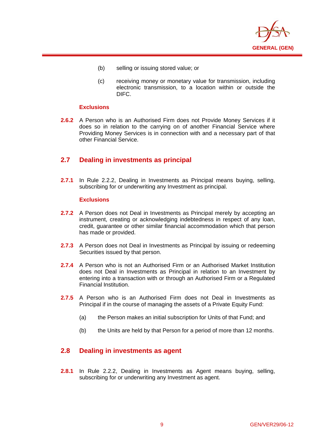

- (b) selling or issuing stored value; or
- (c) receiving money or monetary value for transmission, including electronic transmission, to a location within or outside the DIFC.

## **Exclusions**

 $\overline{a}$ 

**2.6.2** A Person who is an Authorised Firm does not Provide Money Services if it does so in relation to the carrying on of another Financial Service where Providing Money Services is in connection with and a necessary part of that other Financial Service.

## **2.7 Dealing in investments as principal**

**2.7.1** In Rule 2.2.2, Dealing in Investments as Principal means buying, selling, subscribing for or underwriting any Investment as principal.

## **Exclusions**

- **2.7.2** A Person does not Deal in Investments as Principal merely by accepting an instrument, creating or acknowledging indebtedness in respect of any loan, credit, guarantee or other similar financial accommodation which that person has made or provided.
- **2.7.3** A Person does not Deal in Investments as Principal by issuing or redeeming Securities issued by that person.
- **2.7.4** A Person who is not an Authorised Firm or an Authorised Market Institution does not Deal in Investments as Principal in relation to an Investment by entering into a transaction with or through an Authorised Firm or a Regulated Financial Institution.
- **2.7.5** A Person who is an Authorised Firm does not Deal in Investments as Principal if in the course of managing the assets of a Private Equity Fund:
	- (a) the Person makes an initial subscription for Units of that Fund; and
	- (b) the Units are held by that Person for a period of more than 12 months.

## **2.8 Dealing in investments as agent**

**2.8.1** In Rule 2.2.2, Dealing in Investments as Agent means buying, selling, subscribing for or underwriting any Investment as agent.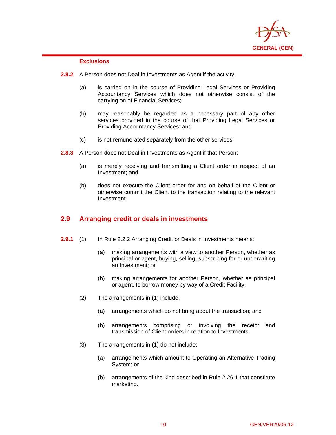

## **Exclusions**

 $\overline{a}$ 

- **2.8.2** A Person does not Deal in Investments as Agent if the activity:
	- (a) is carried on in the course of Providing Legal Services or Providing Accountancy Services which does not otherwise consist of the carrying on of Financial Services;
	- (b) may reasonably be regarded as a necessary part of any other services provided in the course of that Providing Legal Services or Providing Accountancy Services; and
	- (c) is not remunerated separately from the other services.
- **2.8.3** A Person does not Deal in Investments as Agent if that Person:
	- (a) is merely receiving and transmitting a Client order in respect of an Investment; and
	- (b) does not execute the Client order for and on behalf of the Client or otherwise commit the Client to the transaction relating to the relevant Investment.

## **2.9 Arranging credit or deals in investments**

- **2.9.1** (1) In Rule 2.2.2 Arranging Credit or Deals in Investments means:
	- (a) making arrangements with a view to another Person, whether as principal or agent, buying, selling, subscribing for or underwriting an Investment; or
	- (b) making arrangements for another Person, whether as principal or agent, to borrow money by way of a Credit Facility.
	- (2) The arrangements in (1) include:
		- (a) arrangements which do not bring about the transaction; and
		- (b) arrangements comprising or involving the receipt and transmission of Client orders in relation to Investments.
	- (3) The arrangements in (1) do not include:
		- (a) arrangements which amount to Operating an Alternative Trading System; or
		- (b) arrangements of the kind described in Rule 2.26.1 that constitute marketing.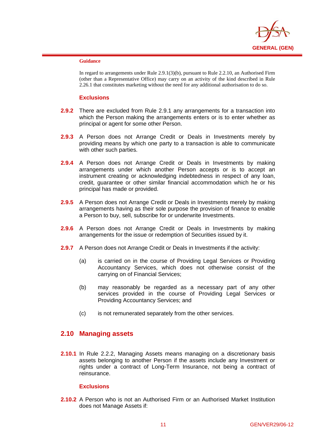

 $\overline{a}$ 

In regard to arrangements under Rule 2.9.1(3)(b), pursuant to Rule 2.2.10, an Authorised Firm (other than a Representative Office) may carry on an activity of the kind described in Rule 2.26.1 that constitutes marketing without the need for any additional authorisation to do so.

#### **Exclusions**

- **2.9.2** There are excluded from Rule 2.9.1 any arrangements for a transaction into which the Person making the arrangements enters or is to enter whether as principal or agent for some other Person.
- **2.9.3** A Person does not Arrange Credit or Deals in Investments merely by providing means by which one party to a transaction is able to communicate with other such parties.
- **2.9.4** A Person does not Arrange Credit or Deals in Investments by making arrangements under which another Person accepts or is to accept an instrument creating or acknowledging indebtedness in respect of any loan, credit, guarantee or other similar financial accommodation which he or his principal has made or provided.
- **2.9.5** A Person does not Arrange Credit or Deals in Investments merely by making arrangements having as their sole purpose the provision of finance to enable a Person to buy, sell, subscribe for or underwrite Investments.
- **2.9.6** A Person does not Arrange Credit or Deals in Investments by making arrangements for the issue or redemption of Securities issued by it.
- **2.9.7** A Person does not Arrange Credit or Deals in Investments if the activity:
	- (a) is carried on in the course of Providing Legal Services or Providing Accountancy Services, which does not otherwise consist of the carrying on of Financial Services;
	- (b) may reasonably be regarded as a necessary part of any other services provided in the course of Providing Legal Services or Providing Accountancy Services; and
	- (c) is not remunerated separately from the other services.

## **2.10 Managing assets**

**2.10.1** In Rule 2.2.2, Managing Assets means managing on a discretionary basis assets belonging to another Person if the assets include any Investment or rights under a contract of Long-Term Insurance, not being a contract of reinsurance.

## **Exclusions**

**2.10.2** A Person who is not an Authorised Firm or an Authorised Market Institution does not Manage Assets if: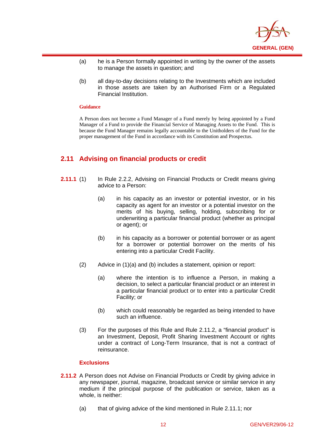

- (a) he is a Person formally appointed in writing by the owner of the assets to manage the assets in question; and
- (b) all day-to-day decisions relating to the Investments which are included in those assets are taken by an Authorised Firm or a Regulated Financial Institution.

 $\overline{a}$ 

A Person does not become a Fund Manager of a Fund merely by being appointed by a Fund Manager of a Fund to provide the Financial Service of Managing Assets to the Fund. This is because the Fund Manager remains legally accountable to the Unitholders of the Fund for the proper management of the Fund in accordance with its Constitution and Prospectus.

## **2.11 Advising on financial products or credit**

- **2.11.1** (1) In Rule 2.2.2, Advising on Financial Products or Credit means giving advice to a Person:
	- (a) in his capacity as an investor or potential investor, or in his capacity as agent for an investor or a potential investor on the merits of his buying, selling, holding, subscribing for or underwriting a particular financial product (whether as principal or agent); or
	- (b) in his capacity as a borrower or potential borrower or as agent for a borrower or potential borrower on the merits of his entering into a particular Credit Facility.
	- (2) Advice in (1)(a) and (b) includes a statement, opinion or report:
		- (a) where the intention is to influence a Person, in making a decision, to select a particular financial product or an interest in a particular financial product or to enter into a particular Credit Facility; or
		- (b) which could reasonably be regarded as being intended to have such an influence.
	- (3) For the purposes of this Rule and Rule 2.11.2, a "financial product" is an Investment, Deposit, Profit Sharing Investment Account or rights under a contract of Long-Term Insurance, that is not a contract of reinsurance.

- **2.11.2** A Person does not Advise on Financial Products or Credit by giving advice in any newspaper, journal, magazine, broadcast service or similar service in any medium if the principal purpose of the publication or service, taken as a whole, is neither:
	- (a) that of giving advice of the kind mentioned in Rule 2.11.1; nor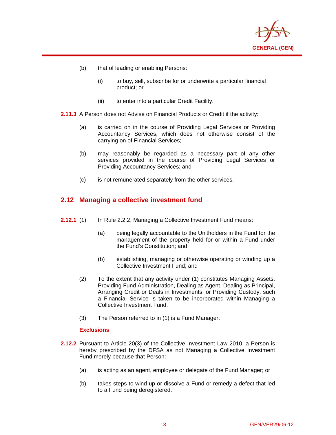

(b) that of leading or enabling Persons:

 $\overline{a}$ 

- (i) to buy, sell, subscribe for or underwrite a particular financial product; or
- (ii) to enter into a particular Credit Facility.

**2.11.3** A Person does not Advise on Financial Products or Credit if the activity:

- (a) is carried on in the course of Providing Legal Services or Providing Accountancy Services, which does not otherwise consist of the carrying on of Financial Services;
- (b) may reasonably be regarded as a necessary part of any other services provided in the course of Providing Legal Services or Providing Accountancy Services; and
- (c) is not remunerated separately from the other services.

## **2.12 Managing a collective investment fund**

- **2.12.1** (1) In Rule 2.2.2, Managing a Collective Investment Fund means:
	- (a) being legally accountable to the Unitholders in the Fund for the management of the property held for or within a Fund under the Fund's Constitution; and
	- (b) establishing, managing or otherwise operating or winding up a Collective Investment Fund; and
	- (2) To the extent that any activity under (1) constitutes Managing Assets, Providing Fund Administration, Dealing as Agent, Dealing as Principal, Arranging Credit or Deals in Investments, or Providing Custody, such a Financial Service is taken to be incorporated within Managing a Collective Investment Fund.
	- (3) The Person referred to in (1) is a Fund Manager.

- **2.12.2** Pursuant to Article 20(3) of the Collective Investment Law 2010, a Person is hereby prescribed by the DFSA as not Managing a Collective Investment Fund merely because that Person:
	- (a) is acting as an agent, employee or delegate of the Fund Manager; or
	- (b) takes steps to wind up or dissolve a Fund or remedy a defect that led to a Fund being deregistered.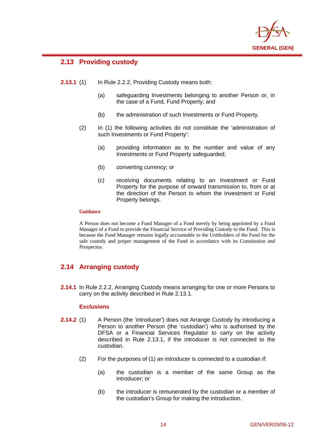

## **2.13 Providing custody**

 $\overline{a}$ 

- **2.13.1** (1) In Rule 2.2.2, Providing Custody means both:
	- (a) safeguarding Investments belonging to another Person or, in the case of a Fund, Fund Property; and
	- (b) the administration of such Investments or Fund Property.
	- (2) In (1) the following activities do not constitute the 'administration of such Investments or Fund Property':
		- (a) providing information as to the number and value of any Investments or Fund Property safeguarded;
		- (b) converting currency; or
		- (c) receiving documents relating to an Investment or Fund Property for the purpose of onward transmission to, from or at the direction of the Person to whom the Investment or Fund Property belongs.

## **Guidance**

A Person does not become a Fund Manager of a Fund merely by being appointed by a Fund Manager of a Fund to provide the Financial Service of Providing Custody to the Fund. This is because the Fund Manager remains legally accountable to the Unitholders of the Fund for the safe custody and proper management of the Fund in accordance with its Constitution and Prospectus.

## **2.14 Arranging custody**

**2.14.1** In Rule 2.2.2, Arranging Custody means arranging for one or more Persons to carry on the activity described in Rule 2.13.1.

- **2.14.2** (1) A Person (the 'introducer') does not Arrange Custody by introducing a Person to another Person (the 'custodian') who is authorised by the DFSA or a Financial Services Regulator to carry on the activity described in Rule 2.13.1, if the introducer is not connected to the custodian.
	- (2) For the purposes of (1) an introducer is connected to a custodian if:
		- (a) the custodian is a member of the same Group as the introducer; or
		- (b) the introducer is remunerated by the custodian or a member of the custodian's Group for making the introduction.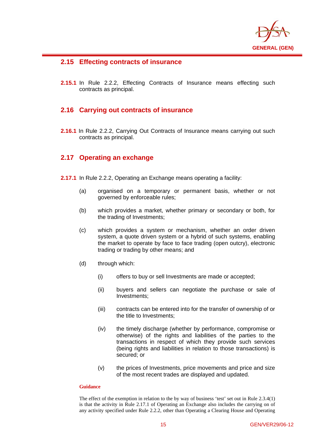

## **2.15 Effecting contracts of insurance**

 $\overline{a}$ 

**2.15.1** In Rule 2.2.2, Effecting Contracts of Insurance means effecting such contracts as principal.

## **2.16 Carrying out contracts of insurance**

**2.16.1** In Rule 2.2.2, Carrying Out Contracts of Insurance means carrying out such contracts as principal.

## **2.17 Operating an exchange**

- **2.17.1** In Rule 2.2.2, Operating an Exchange means operating a facility:
	- (a) organised on a temporary or permanent basis, whether or not governed by enforceable rules;
	- (b) which provides a market, whether primary or secondary or both, for the trading of Investments;
	- (c) which provides a system or mechanism, whether an order driven system, a quote driven system or a hybrid of such systems, enabling the market to operate by face to face trading (open outcry), electronic trading or trading by other means; and
	- (d) through which:
		- (i) offers to buy or sell Investments are made or accepted;
		- (ii) buyers and sellers can negotiate the purchase or sale of Investments;
		- (iii) contracts can be entered into for the transfer of ownership of or the title to Investments;
		- (iv) the timely discharge (whether by performance, compromise or otherwise) of the rights and liabilities of the parties to the transactions in respect of which they provide such services (being rights and liabilities in relation to those transactions) is secured; or
		- (v) the prices of Investments, price movements and price and size of the most recent trades are displayed and updated.

## **Guidance**

The effect of the exemption in relation to the by way of business 'test' set out in Rule 2.3.4(1) is that the activity in Rule 2.17.1 of Operating an Exchange also includes the carrying on of any activity specified under Rule 2.2.2, other than Operating a Clearing House and Operating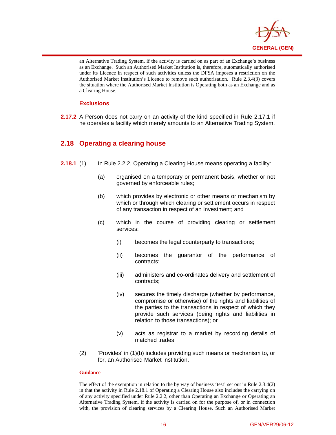

an Alternative Trading System, if the activity is carried on as part of an Exchange's business as an Exchange. Such an Authorised Market Institution is, therefore, automatically authorised under its Licence in respect of such activities unless the DFSA imposes a restriction on the Authorised Market Institution's Licence to remove such authorisation. Rule 2.3.4(3) covers the situation where the Authorised Market Institution is Operating both as an Exchange and as a Clearing House.

#### **Exclusions**

 $\overline{a}$ 

**2.17.2** A Person does not carry on an activity of the kind specified in Rule 2.17.1 if he operates a facility which merely amounts to an Alternative Trading System.

## **2.18 Operating a clearing house**

- **2.18.1** (1) In Rule 2.2.2, Operating a Clearing House means operating a facility:
	- (a) organised on a temporary or permanent basis, whether or not governed by enforceable rules;
	- (b) which provides by electronic or other means or mechanism by which or through which clearing or settlement occurs in respect of any transaction in respect of an Investment; and
	- (c) which in the course of providing clearing or settlement services:
		- (i) becomes the legal counterparty to transactions;
		- (ii) becomes the guarantor of the performance of contracts;
		- (iii) administers and co-ordinates delivery and settlement of contracts;
		- (iv) secures the timely discharge (whether by performance, compromise or otherwise) of the rights and liabilities of the parties to the transactions in respect of which they provide such services (being rights and liabilities in relation to those transactions); or
		- (v) acts as registrar to a market by recording details of matched trades.
	- (2) 'Provides' in (1)(b) includes providing such means or mechanism to, or for, an Authorised Market Institution.

#### **Guidance**

The effect of the exemption in relation to the by way of business 'test' set out in Rule 2.3.4(2) in that the activity in Rule 2.18.1 of Operating a Clearing House also includes the carrying on of any activity specified under Rule 2.2.2, other than Operating an Exchange or Operating an Alternative Trading System, if the activity is carried on for the purpose of, or in connection with, the provision of clearing services by a Clearing House. Such an Authorised Market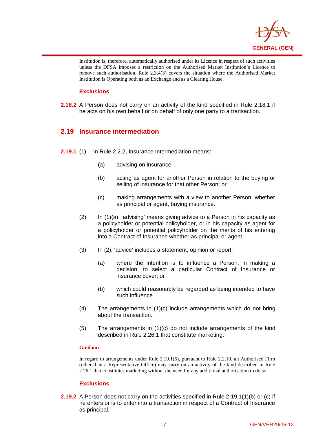

Institution is, therefore, automatically authorised under its Licence in respect of such activities unless the DFSA imposes a restriction on the Authorised Market Institution's Licence to remove such authorisation. Rule 2.3.4(3) covers the situation where the Authorised Market Institution is Operating both as an Exchange and as a Clearing House.

## **Exclusions**

 $\overline{a}$ 

**2.18.2** A Person does not carry on an activity of the kind specified in Rule 2.18.1 if he acts on his own behalf or on behalf of only one party to a transaction.

## **2.19 Insurance intermediation**

- **2.19.1** (1) In Rule 2.2.2, Insurance Intermediation means:
	- (a) advising on insurance;
	- (b) acting as agent for another Person in relation to the buying or selling of insurance for that other Person; or
	- (c) making arrangements with a view to another Person, whether as principal or agent, buying insurance.
	- (2) In (1)(a), 'advising' means giving advice to a Person in his capacity as a policyholder or potential policyholder, or in his capacity as agent for a policyholder or potential policyholder on the merits of his entering into a Contract of Insurance whether as principal or agent.
	- (3) In (2), 'advice' includes a statement, opinion or report:
		- (a) where the intention is to influence a Person, in making a decision, to select a particular Contract of Insurance or insurance cover; or
		- (b) which could reasonably be regarded as being intended to have such influence.
	- (4) The arrangements in (1)(c) include arrangements which do not bring about the transaction.
	- (5) The arrangements in (1)(c) do not include arrangements of the kind described in Rule 2.26.1 that constitute marketing.

## **Guidance**

In regard to arrangements under Rule 2.19.1(5), pursuant to Rule 2.2.10, an Authorised Firm (other than a Representative Office) may carry on an activity of the kind described in Rule 2.26.1 that constitutes marketing without the need for any additional authorisation to do so.

## **Exclusions**

**2.19.2** A Person does not carry on the activities specified in Rule 2.19.1(1)(b) or (c) if he enters or is to enter into a transaction in respect of a Contract of Insurance as principal.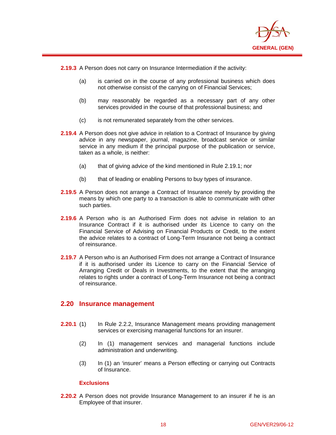

**2.19.3** A Person does not carry on Insurance Intermediation if the activity:

 $\overline{a}$ 

- (a) is carried on in the course of any professional business which does not otherwise consist of the carrying on of Financial Services;
- (b) may reasonably be regarded as a necessary part of any other services provided in the course of that professional business; and
- (c) is not remunerated separately from the other services.
- **2.19.4** A Person does not give advice in relation to a Contract of Insurance by giving advice in any newspaper, journal, magazine, broadcast service or similar service in any medium if the principal purpose of the publication or service, taken as a whole, is neither:
	- (a) that of giving advice of the kind mentioned in Rule 2.19.1; nor
	- (b) that of leading or enabling Persons to buy types of insurance.
- **2.19.5** A Person does not arrange a Contract of Insurance merely by providing the means by which one party to a transaction is able to communicate with other such parties.
- **2.19.6** A Person who is an Authorised Firm does not advise in relation to an Insurance Contract if it is authorised under its Licence to carry on the Financial Service of Advising on Financial Products or Credit, to the extent the advice relates to a contract of Long-Term Insurance not being a contract of reinsurance.
- **2.19.7** A Person who is an Authorised Firm does not arrange a Contract of Insurance if it is authorised under its Licence to carry on the Financial Service of Arranging Credit or Deals in Investments, to the extent that the arranging relates to rights under a contract of Long-Term Insurance not being a contract of reinsurance.

## **2.20 Insurance management**

- **2.20.1** (1) In Rule 2.2.2, Insurance Management means providing management services or exercising managerial functions for an insurer.
	- (2) In (1) management services and managerial functions include administration and underwriting.
	- (3) In (1) an 'insurer' means a Person effecting or carrying out Contracts of Insurance.

## **Exclusions**

**2.20.2** A Person does not provide Insurance Management to an insurer if he is an Employee of that insurer.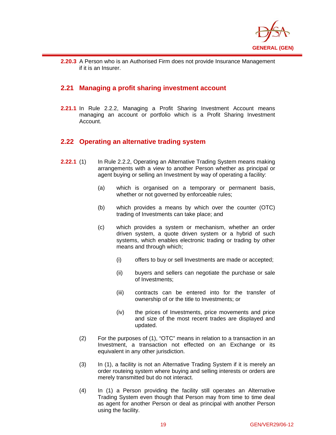

**2.20.3** A Person who is an Authorised Firm does not provide Insurance Management if it is an Insurer.

## **2.21 Managing a profit sharing investment account**

 $\overline{a}$ 

**2.21.1** In Rule 2.2.2, Managing a Profit Sharing Investment Account means managing an account or portfolio which is a Profit Sharing Investment Account.

## **2.22 Operating an alternative trading system**

- **2.22.1** (1) In Rule 2.2.2, Operating an Alternative Trading System means making arrangements with a view to another Person whether as principal or agent buying or selling an Investment by way of operating a facility:
	- (a) which is organised on a temporary or permanent basis, whether or not governed by enforceable rules;
	- (b) which provides a means by which over the counter (OTC) trading of Investments can take place; and
	- (c) which provides a system or mechanism, whether an order driven system, a quote driven system or a hybrid of such systems, which enables electronic trading or trading by other means and through which;
		- (i) offers to buy or sell Investments are made or accepted;
		- (ii) buyers and sellers can negotiate the purchase or sale of Investments;
		- (iii) contracts can be entered into for the transfer of ownership of or the title to Investments; or
		- (iv) the prices of Investments, price movements and price and size of the most recent trades are displayed and updated.
	- (2) For the purposes of (1), "OTC" means in relation to a transaction in an Investment, a transaction not effected on an Exchange or its equivalent in any other jurisdiction.
	- (3) In (1), a facility is not an Alternative Trading System if it is merely an order routeing system where buying and selling interests or orders are merely transmitted but do not interact.
	- (4) In (1) a Person providing the facility still operates an Alternative Trading System even though that Person may from time to time deal as agent for another Person or deal as principal with another Person using the facility.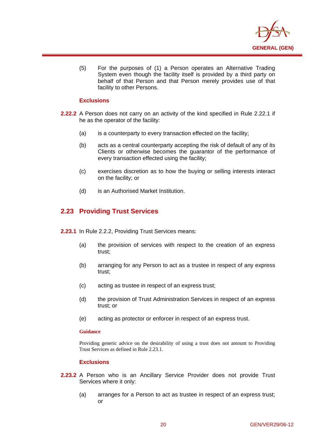

(5) For the purposes of (1) a Person operates an Alternative Trading System even though the facility itself is provided by a third party on behalf of that Person and that Person merely provides use of that facility to other Persons.

## **Exclusions**

 $\overline{a}$ 

- **2.22.2** A Person does not carry on an activity of the kind specified in Rule 2.22.1 if he as the operator of the facility:
	- (a) is a counterparty to every transaction effected on the facility;
	- (b) acts as a central counterparty accepting the risk of default of any of its Clients or otherwise becomes the guarantor of the performance of every transaction effected using the facility;
	- (c) exercises discretion as to how the buying or selling interests interact on the facility; or
	- (d) is an Authorised Market Institution.

## **2.23 Providing Trust Services**

- **2.23.1** In Rule 2.2.2, Providing Trust Services means:
	- (a) the provision of services with respect to the creation of an express trust;
	- (b) arranging for any Person to act as a trustee in respect of any express trust;
	- (c) acting as trustee in respect of an express trust;
	- (d) the provision of Trust Administration Services in respect of an express trust; or
	- (e) acting as protector or enforcer in respect of an express trust.

## **Guidance**

Providing generic advice on the desirability of using a trust does not amount to Providing Trust Services as defined in Rule 2.23.1.

- **2.23.2** A Person who is an Ancillary Service Provider does not provide Trust Services where it only:
	- (a) arranges for a Person to act as trustee in respect of an express trust; or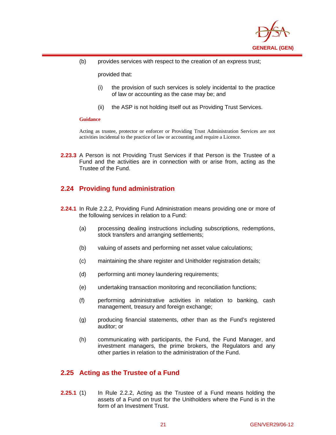

(b) provides services with respect to the creation of an express trust;

provided that:

- (i) the provision of such services is solely incidental to the practice of law or accounting as the case may be; and
- (ii) the ASP is not holding itself out as Providing Trust Services.

#### **Guidance**

 $\overline{a}$ 

Acting as trustee, protector or enforcer or Providing Trust Administration Services are not activities incidental to the practice of law or accounting and require a Licence.

**2.23.3** A Person is not Providing Trust Services if that Person is the Trustee of a Fund and the activities are in connection with or arise from, acting as the Trustee of the Fund.

## **2.24 Providing fund administration**

- **2.24.1** In Rule 2.2.2, Providing Fund Administration means providing one or more of the following services in relation to a Fund:
	- (a) processing dealing instructions including subscriptions, redemptions, stock transfers and arranging settlements;
	- (b) valuing of assets and performing net asset value calculations;
	- (c) maintaining the share register and Unitholder registration details;
	- (d) performing anti money laundering requirements;
	- (e) undertaking transaction monitoring and reconciliation functions;
	- (f) performing administrative activities in relation to banking, cash management, treasury and foreign exchange;
	- (g) producing financial statements, other than as the Fund's registered auditor; or
	- (h) communicating with participants, the Fund, the Fund Manager, and investment managers, the prime brokers, the Regulators and any other parties in relation to the administration of the Fund.

## **2.25 Acting as the Trustee of a Fund**

**2.25.1** (1) In Rule 2.2.2, Acting as the Trustee of a Fund means holding the assets of a Fund on trust for the Unitholders where the Fund is in the form of an Investment Trust.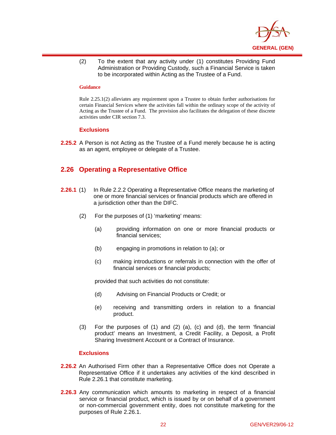

(2) To the extent that any activity under (1) constitutes Providing Fund Administration or Providing Custody, such a Financial Service is taken to be incorporated within Acting as the Trustee of a Fund.

#### **Guidance**

 $\overline{a}$ 

Rule 2.25.1(2) alleviates any requirement upon a Trustee to obtain further authorisations for certain Financial Services where the activities fall within the ordinary scope of the activity of Acting as the Trustee of a Fund. The provision also facilitates the delegation of these discrete activities under CIR section 7.3.

#### **Exclusions**

**2.25.2** A Person is not Acting as the Trustee of a Fund merely because he is acting as an agent, employee or delegate of a Trustee.

## **2.26 Operating a Representative Office**

- **2.26.1** (1) In Rule 2.2.2 Operating a Representative Office means the marketing of one or more financial services or financial products which are offered in a jurisdiction other than the DIFC.
	- (2) For the purposes of (1) 'marketing' means:
		- (a) providing information on one or more financial products or financial services;
		- (b) engaging in promotions in relation to (a); or
		- (c) making introductions or referrals in connection with the offer of financial services or financial products;

provided that such activities do not constitute:

- (d) Advising on Financial Products or Credit; or
- (e) receiving and transmitting orders in relation to a financial product.
- (3) For the purposes of (1) and (2) (a), (c) and (d), the term 'financial product' means an Investment, a Credit Facility, a Deposit, a Profit Sharing Investment Account or a Contract of Insurance.

- **2.26.2** An Authorised Firm other than a Representative Office does not Operate a Representative Office if it undertakes any activities of the kind described in Rule 2.26.1 that constitute marketing.
- **2.26.3** Any communication which amounts to marketing in respect of a financial service or financial product, which is issued by or on behalf of a government or non-commercial government entity, does not constitute marketing for the purposes of Rule 2.26.1.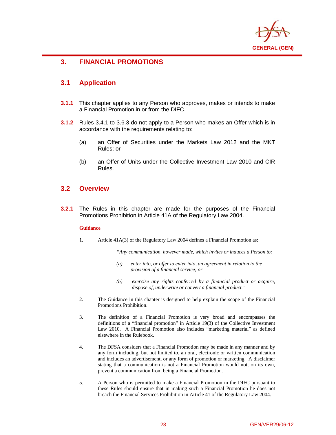

## $\overline{a}$ **3. FINANCIAL PROMOTIONS**

## **3.1 Application**

- **3.1.1** This chapter applies to any Person who approves, makes or intends to make a Financial Promotion in or from the DIFC.
- **3.1.2** Rules 3.4.1 to 3.6.3 do not apply to a Person who makes an Offer which is in accordance with the requirements relating to:
	- (a) an Offer of Securities under the Markets Law 2012 and the MKT Rules; or
	- (b) an Offer of Units under the Collective Investment Law 2010 and CIR Rules.

## **3.2 Overview**

**3.2.1** The Rules in this chapter are made for the purposes of the Financial Promotions Prohibition in Article 41A of the Regulatory Law 2004.

## **Guidance**

1. Article 41A(3) of the Regulatory Law 2004 defines a Financial Promotion as:

*"Any communication, however made, which invites or induces a Person to:* 

- *(a) enter into, or offer to enter into, an agreement in relation to the provision of a financial service; or*
- *(b) exercise any rights conferred by a financial product or acquire, dispose of, underwrite or convert a financial product."*
- 2. The Guidance in this chapter is designed to help explain the scope of the Financial Promotions Prohibition.
- 3. The definition of a Financial Promotion is very broad and encompasses the definitions of a "financial promotion" in Article 19(3) of the Collective Investment Law 2010. A Financial Promotion also includes "marketing material" as defined elsewhere in the Rulebook.
- 4. The DFSA considers that a Financial Promotion may be made in any manner and by any form including, but not limited to, an oral, electronic or written communication and includes an advertisement, or any form of promotion or marketing. A disclaimer stating that a communication is not a Financial Promotion would not, on its own, prevent a communication from being a Financial Promotion.
- 5. A Person who is permitted to make a Financial Promotion in the DIFC pursuant to these Rules should ensure that in making such a Financial Promotion he does not breach the Financial Services Prohibition in Article 41 of the Regulatory Law 2004.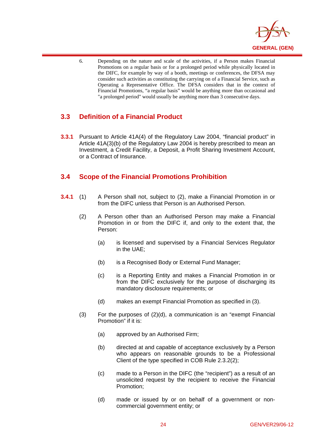

6. Depending on the nature and scale of the activities, if a Person makes Financial Promotions on a regular basis or for a prolonged period while physically located in the DIFC, for example by way of a booth, meetings or conferences, the DFSA may consider such activities as constituting the carrying on of a Financial Service, such as Operating a Representative Office. The DFSA considers that in the context of Financial Promotions, "a regular basis" would be anything more than occasional and "a prolonged period" would usually be anything more than 3 consecutive days.

## **3.3 Definition of a Financial Product**

 $\overline{a}$ 

**3.3.1** Pursuant to Article 41A(4) of the Regulatory Law 2004, "financial product" in Article 41A(3)(b) of the Regulatory Law 2004 is hereby prescribed to mean an Investment, a Credit Facility, a Deposit, a Profit Sharing Investment Account, or a Contract of Insurance.

## **3.4 Scope of the Financial Promotions Prohibition**

- **3.4.1** (1) A Person shall not, subject to (2), make a Financial Promotion in or from the DIFC unless that Person is an Authorised Person.
	- (2) A Person other than an Authorised Person may make a Financial Promotion in or from the DIFC if, and only to the extent that, the Person:
		- (a) is licensed and supervised by a Financial Services Regulator in the UAE;
		- (b) is a Recognised Body or External Fund Manager;
		- (c) is a Reporting Entity and makes a Financial Promotion in or from the DIFC exclusively for the purpose of discharging its mandatory disclosure requirements; or
		- (d) makes an exempt Financial Promotion as specified in (3).
	- $(3)$  For the purposes of  $(2)(d)$ , a communication is an "exempt Financial Promotion" if it is:
		- (a) approved by an Authorised Firm;
		- (b) directed at and capable of acceptance exclusively by a Person who appears on reasonable grounds to be a Professional Client of the type specified in COB Rule 2.3.2(2);
		- (c) made to a Person in the DIFC (the "recipient") as a result of an unsolicited request by the recipient to receive the Financial Promotion;
		- (d) made or issued by or on behalf of a government or noncommercial government entity; or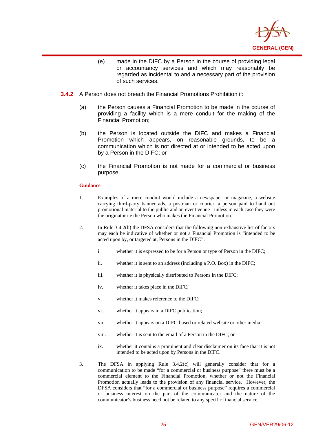

- (e) made in the DIFC by a Person in the course of providing legal or accountancy services and which may reasonably be regarded as incidental to and a necessary part of the provision of such services.
- **3.4.2** A Person does not breach the Financial Promotions Prohibition if:
	- (a) the Person causes a Financial Promotion to be made in the course of providing a facility which is a mere conduit for the making of the Financial Promotion;
	- (b) the Person is located outside the DIFC and makes a Financial Promotion which appears, on reasonable grounds, to be a communication which is not directed at or intended to be acted upon by a Person in the DIFC; or
	- (c) the Financial Promotion is not made for a commercial or business purpose.

 $\overline{a}$ 

- 1. Examples of a mere conduit would include a newspaper or magazine, a website carrying third-party banner ads, a postman or courier, a person paid to hand out promotional material to the public and an event venue - unless in each case they were the originator i.e the Person who makes the Financial Promotion.
- 2. In Rule 3.4.2(b) the DFSA considers that the following non-exhaustive list of factors may each be indicative of whether or not a Financial Promotion is "intended to be acted upon by, or targeted at, Persons in the DIFC":
	- i. whether it is expressed to be for a Person or type of Person in the DIFC;
	- ii. whether it is sent to an address (including a P.O. Box) in the DIFC;
	- iii. whether it is physically distributed to Persons in the DIFC;
	- iv. whether it takes place in the DIFC;
	- v. whether it makes reference to the DIFC;
	- vi. whether it appears in a DIFC publication;
	- vii. whether it appears on a DIFC-based or related website or other media
	- viii. whether it is sent to the email of a Person in the DIFC; or
	- ix. whether it contains a prominent and clear disclaimer on its face that it is not intended to be acted upon by Persons in the DIFC.
- 3. The DFSA in applying Rule 3.4.2(c) will generally consider that for a communication to be made "for a commercial or business purpose" there must be a commercial element to the Financial Promotion, whether or not the Financial Promotion actually leads to the provision of any financial service. However, the DFSA considers that "for a commercial or business purpose" requires a commercial or business interest on the part of the communicator and the nature of the communicator's business need not be related to any specific financial service.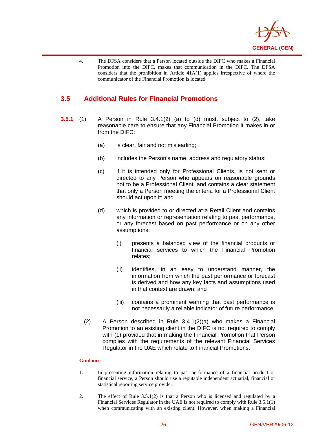

4. The DFSA considers that a Person located outside the DIFC who makes a Financial Promotion into the DIFC, makes that communication in the DIFC. The DFSA considers that the prohibition in Article 41A(1) applies irrespective of where the communicator of the Financial Promotion is located.

## **3.5 Additional Rules for Financial Promotions**

 $\overline{a}$ 

- **3.5.1** (1) A Person in Rule 3.4.1(2) (a) to (d) must, subject to (2), take reasonable care to ensure that any Financial Promotion it makes in or from the DIFC:
	- (a) is clear, fair and not misleading;
	- (b) includes the Person's name, address and regulatory status;
	- (c) if it is intended only for Professional Clients, is not sent or directed to any Person who appears on reasonable grounds not to be a Professional Client, and contains a clear statement that only a Person meeting the criteria for a Professional Client should act upon it; and
	- (d) which is provided to or directed at a Retail Client and contains any information or representation relating to past performance, or any forecast based on past performance or on any other assumptions:
		- (i) presents a balanced view of the financial products or financial services to which the Financial Promotion relates;
		- (ii) identifies, in an easy to understand manner, the information from which the past performance or forecast is derived and how any key facts and assumptions used in that context are drawn; and
		- (iii) contains a prominent warning that past performance is not necessarily a reliable indicator of future performance.
	- (2) A Person described in Rule 3.4.1(2)(a) who makes a Financial Promotion to an existing client in the DIFC is not required to comply with (1) provided that in making the Financial Promotion that Person complies with the requirements of the relevant Financial Services Regulator in the UAE which relate to Financial Promotions.

## **Guidance**

- 1. In presenting information relating to past performance of a financial product or financial service, a Person should use a reputable independent actuarial, financial or statistical reporting service provider.
- 2. The effect of Rule 3.5.1(2) is that a Person who is licensed and regulated by a Financial Services Regulator in the UAE is not required to comply with Rule 3.5.1(1) when communicating with an existing client. However, when making a Financial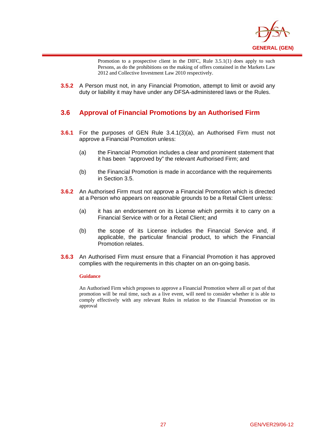

Promotion to a prospective client in the DIFC, Rule 3.5.1(1) does apply to such Persons, as do the prohibitions on the making of offers contained in the Markets Law 2012 and Collective Investment Law 2010 respectively.

**3.5.2** A Person must not, in any Financial Promotion, attempt to limit or avoid any duty or liability it may have under any DFSA-administered laws or the Rules.

## **3.6 Approval of Financial Promotions by an Authorised Firm**

- **3.6.1** For the purposes of GEN Rule 3.4.1(3)(a), an Authorised Firm must not approve a Financial Promotion unless:
	- (a) the Financial Promotion includes a clear and prominent statement that it has been "approved by" the relevant Authorised Firm; and
	- (b) the Financial Promotion is made in accordance with the requirements in Section 3.5.
- **3.6.2** An Authorised Firm must not approve a Financial Promotion which is directed at a Person who appears on reasonable grounds to be a Retail Client unless:
	- (a) it has an endorsement on its License which permits it to carry on a Financial Service with or for a Retail Client; and
	- (b) the scope of its License includes the Financial Service and, if applicable, the particular financial product, to which the Financial Promotion relates.
- **3.6.3** An Authorised Firm must ensure that a Financial Promotion it has approved complies with the requirements in this chapter on an on-going basis.

#### **Guidance**

 $\overline{a}$ 

An Authorised Firm which proposes to approve a Financial Promotion where all or part of that promotion will be real time, such as a live event, will need to consider whether it is able to comply effectively with any relevant Rules in relation to the Financial Promotion or its approval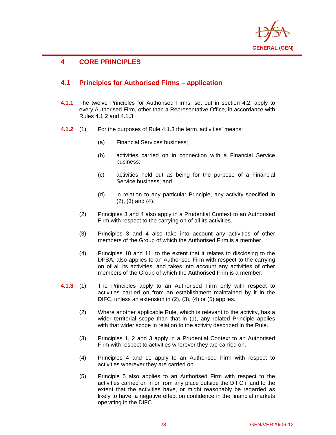

## $\overline{a}$ **4 CORE PRINCIPLES**

## **4.1 Principles for Authorised Firms – application**

- **4.1.1** The twelve Principles for Authorised Firms, set out in section 4.2, apply to every Authorised Firm, other than a Representative Office, in accordance with Rules 4.1.2 and 4.1.3.
- **4.1.2** (1) For the purposes of Rule 4.1.3 the term 'activities' means:
	- (a) Financial Services business;
	- (b) activities carried on in connection with a Financial Service business;
	- (c) activities held out as being for the purpose of a Financial Service business; and
	- (d) in relation to any particular Principle, any activity specified in (2), (3) and (4).
	- (2) Principles 3 and 4 also apply in a Prudential Context to an Authorised Firm with respect to the carrying on of all its activities.
	- (3) Principles 3 and 4 also take into account any activities of other members of the Group of which the Authorised Firm is a member.
	- (4) Principles 10 and 11, to the extent that it relates to disclosing to the DFSA, also applies to an Authorised Firm with respect to the carrying on of all its activities, and takes into account any activities of other members of the Group of which the Authorised Firm is a member.
- **4.1.3** (1) The Principles apply to an Authorised Firm only with respect to activities carried on from an establishment maintained by it in the DIFC, unless an extension in (2), (3), (4) or (5) applies.
	- (2) Where another applicable Rule, which is relevant to the activity, has a wider territorial scope than that in (1), any related Principle applies with that wider scope in relation to the activity described in the Rule.
	- (3) Principles 1, 2 and 3 apply in a Prudential Context to an Authorised Firm with respect to activities wherever they are carried on.
	- (4) Principles 4 and 11 apply to an Authorised Firm with respect to activities wherever they are carried on.
	- (5) Principle 5 also applies to an Authorised Firm with respect to the activities carried on in or from any place outside the DIFC if and to the extent that the activities have, or might reasonably be regarded as likely to have, a negative effect on confidence in the financial markets operating in the DIFC.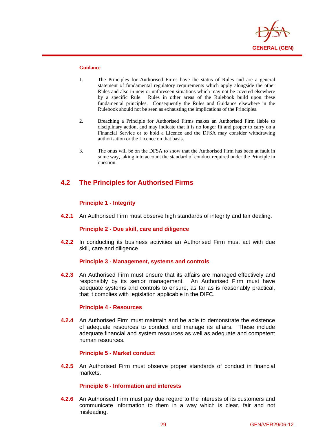

 $\overline{a}$ 

- 1. The Principles for Authorised Firms have the status of Rules and are a general statement of fundamental regulatory requirements which apply alongside the other Rules and also in new or unforeseen situations which may not be covered elsewhere by a specific Rule. Rules in other areas of the Rulebook build upon these fundamental principles. Consequently the Rules and Guidance elsewhere in the Rulebook should not be seen as exhausting the implications of the Principles.
- 2. Breaching a Principle for Authorised Firms makes an Authorised Firm liable to disciplinary action, and may indicate that it is no longer fit and proper to carry on a Financial Service or to hold a Licence and the DFSA may consider withdrawing authorisation or the Licence on that basis.
- 3. The onus will be on the DFSA to show that the Authorised Firm has been at fault in some way, taking into account the standard of conduct required under the Principle in question.

## **4.2 The Principles for Authorised Firms**

## **Principle 1 - Integrity**

**4.2.1** An Authorised Firm must observe high standards of integrity and fair dealing.

## **Principle 2 - Due skill, care and diligence**

**4.2.2** In conducting its business activities an Authorised Firm must act with due skill, care and diligence.

## **Principle 3 - Management, systems and controls**

**4.2.3** An Authorised Firm must ensure that its affairs are managed effectively and responsibly by its senior management. An Authorised Firm must have adequate systems and controls to ensure, as far as is reasonably practical, that it complies with legislation applicable in the DIFC.

## **Principle 4 - Resources**

**4.2.4** An Authorised Firm must maintain and be able to demonstrate the existence of adequate resources to conduct and manage its affairs. These include adequate financial and system resources as well as adequate and competent human resources.

## **Principle 5 - Market conduct**

**4.2.5** An Authorised Firm must observe proper standards of conduct in financial markets.

## **Principle 6 - Information and interests**

**4.2.6** An Authorised Firm must pay due regard to the interests of its customers and communicate information to them in a way which is clear, fair and not misleading.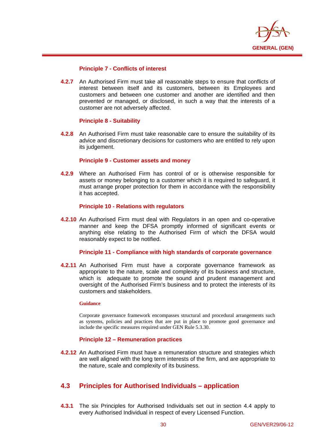

## **Principle 7 - Conflicts of interest**

**4.2.7** An Authorised Firm must take all reasonable steps to ensure that conflicts of interest between itself and its customers, between its Employees and customers and between one customer and another are identified and then prevented or managed, or disclosed, in such a way that the interests of a customer are not adversely affected.

## **Principle 8 - Suitability**

 $\overline{a}$ 

**4.2.8** An Authorised Firm must take reasonable care to ensure the suitability of its advice and discretionary decisions for customers who are entitled to rely upon its judgement.

## **Principle 9 - Customer assets and money**

**4.2.9** Where an Authorised Firm has control of or is otherwise responsible for assets or money belonging to a customer which it is required to safeguard, it must arrange proper protection for them in accordance with the responsibility it has accepted.

## **Principle 10 - Relations with regulators**

**4.2.10** An Authorised Firm must deal with Regulators in an open and co-operative manner and keep the DFSA promptly informed of significant events or anything else relating to the Authorised Firm of which the DFSA would reasonably expect to be notified.

## **Principle 11 - Compliance with high standards of corporate governance**

**4.2.11** An Authorised Firm must have a corporate governance framework as appropriate to the nature, scale and complexity of its business and structure, which is adequate to promote the sound and prudent management and oversight of the Authorised Firm's business and to protect the interests of its customers and stakeholders.

## **Guidance**

Corporate governance framework encompasses structural and procedural arrangements such as systems, policies and practices that are put in place to promote good governance and include the specific measures required under GEN Rule 5.3.30.

## **Principle 12 – Remuneration practices**

**4.2.12** An Authorised Firm must have a remuneration structure and strategies which are well aligned with the long term interests of the firm, and are appropriate to the nature, scale and complexity of its business.

## **4.3 Principles for Authorised Individuals – application**

**4.3.1** The six Principles for Authorised Individuals set out in section 4.4 apply to every Authorised Individual in respect of every Licensed Function.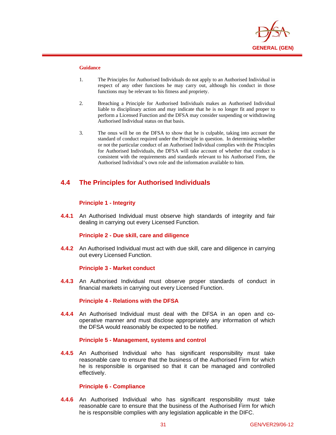

 $\overline{a}$ 

- 1. The Principles for Authorised Individuals do not apply to an Authorised Individual in respect of any other functions he may carry out, although his conduct in those functions may be relevant to his fitness and propriety.
- 2. Breaching a Principle for Authorised Individuals makes an Authorised Individual liable to disciplinary action and may indicate that he is no longer fit and proper to perform a Licensed Function and the DFSA may consider suspending or withdrawing Authorised Individual status on that basis.
- 3. The onus will be on the DFSA to show that he is culpable, taking into account the standard of conduct required under the Principle in question. In determining whether or not the particular conduct of an Authorised Individual complies with the Principles for Authorised Individuals, the DFSA will take account of whether that conduct is consistent with the requirements and standards relevant to his Authorised Firm, the Authorised Individual's own role and the information available to him.

## **4.4 The Principles for Authorised Individuals**

## **Principle 1 - Integrity**

**4.4.1** An Authorised Individual must observe high standards of integrity and fair dealing in carrying out every Licensed Function.

## **Principle 2 - Due skill, care and diligence**

**4.4.2** An Authorised Individual must act with due skill, care and diligence in carrying out every Licensed Function.

## **Principle 3 - Market conduct**

**4.4.3** An Authorised Individual must observe proper standards of conduct in financial markets in carrying out every Licensed Function.

## **Principle 4 - Relations with the DFSA**

**4.4.4** An Authorised Individual must deal with the DFSA in an open and cooperative manner and must disclose appropriately any information of which the DFSA would reasonably be expected to be notified.

## **Principle 5 - Management, systems and control**

**4.4.5** An Authorised Individual who has significant responsibility must take reasonable care to ensure that the business of the Authorised Firm for which he is responsible is organised so that it can be managed and controlled effectively.

## **Principle 6 - Compliance**

**4.4.6** An Authorised Individual who has significant responsibility must take reasonable care to ensure that the business of the Authorised Firm for which he is responsible complies with any legislation applicable in the DIFC.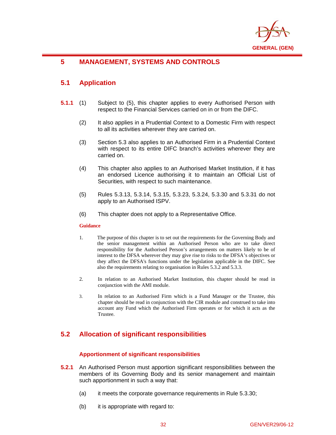

### $\overline{a}$ **5 MANAGEMENT, SYSTEMS AND CONTROLS**

# **5.1 Application**

- **5.1.1** (1) Subject to (5), this chapter applies to every Authorised Person with respect to the Financial Services carried on in or from the DIFC.
	- (2) It also applies in a Prudential Context to a Domestic Firm with respect to all its activities wherever they are carried on.
	- (3) Section 5.3 also applies to an Authorised Firm in a Prudential Context with respect to its entire DIFC branch's activities wherever they are carried on.
	- (4) This chapter also applies to an Authorised Market Institution, if it has an endorsed Licence authorising it to maintain an Official List of Securities, with respect to such maintenance.
	- (5) Rules 5.3.13, 5.3.14, 5.3.15, 5.3.23, 5.3.24, 5.3.30 and 5.3.31 do not apply to an Authorised ISPV.
	- (6) This chapter does not apply to a Representative Office.

### **Guidance**

- 1. The purpose of this chapter is to set out the requirements for the Governing Body and the senior management within an Authorised Person who are to take direct responsibility for the Authorised Person's arrangements on matters likely to be of interest to the DFSA wherever they may give rise to risks to the DFSA's objectives or they affect the DFSA's functions under the legislation applicable in the DIFC. See also the requirements relating to organisation in Rules 5.3.2 and 5.3.3.
- 2. In relation to an Authorised Market Institution, this chapter should be read in conjunction with the AMI module.
- 3. In relation to an Authorised Firm which is a Fund Manager or the Trustee, this chapter should be read in conjunction with the CIR module and construed to take into account any Fund which the Authorised Firm operates or for which it acts as the Trustee.

# **5.2 Allocation of significant responsibilities**

### **Apportionment of significant responsibilities**

- **5.2.1** An Authorised Person must apportion significant responsibilities between the members of its Governing Body and its senior management and maintain such apportionment in such a way that:
	- (a) it meets the corporate governance requirements in Rule 5.3.30;
	- (b) it is appropriate with regard to: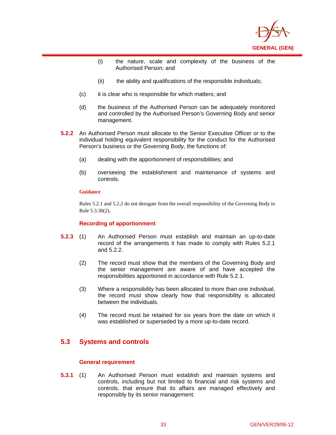

- (i) the nature, scale and complexity of the business of the Authorised Person; and
- (ii) the ability and qualifications of the responsible individuals;
- (c) it is clear who is responsible for which matters; and
- (d) the business of the Authorised Person can be adequately monitored and controlled by the Authorised Person's Governing Body and senior management.
- **5.2.2** An Authorised Person must allocate to the Senior Executive Officer or to the individual holding equivalent responsibility for the conduct for the Authorised Person's business or the Governing Body, the functions of:
	- (a) dealing with the apportionment of responsibilities; and
	- (b) overseeing the establishment and maintenance of systems and controls.

 $\overline{a}$ 

Rules 5.2.1 and 5.2.2 do not derogate from the overall responsibility of the Governing Body in Rule 5.3.30(2).

### **Recording of apportionment**

- **5.2.3** (1) An Authorised Person must establish and maintain an up-to-date record of the arrangements it has made to comply with Rules 5.2.1 and 5.2.2.
	- (2) The record must show that the members of the Governing Body and the senior management are aware of and have accepted the responsibilities apportioned in accordance with Rule 5.2.1.
	- (3) Where a responsibility has been allocated to more than one individual, the record must show clearly how that responsibility is allocated between the individuals.
	- (4) The record must be retained for six years from the date on which it was established or superseded by a more up-to-date record.

# **5.3 Systems and controls**

### **General requirement**

**5.3.1** (1) An Authorised Person must establish and maintain systems and controls, including but not limited to financial and risk systems and controls, that ensure that its affairs are managed effectively and responsibly by its senior management.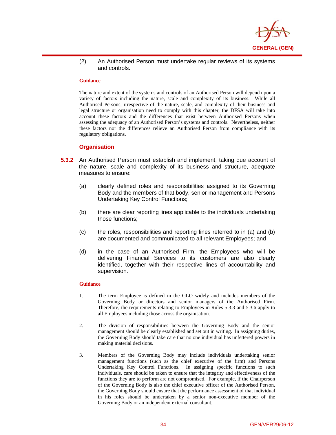

(2) An Authorised Person must undertake regular reviews of its systems and controls.

#### **Guidance**

 $\overline{a}$ 

The nature and extent of the systems and controls of an Authorised Person will depend upon a variety of factors including the nature, scale and complexity of its business. While all Authorised Persons, irrespective of the nature, scale, and complexity of their business and legal structure or organisation need to comply with this chapter, the DFSA will take into account these factors and the differences that exist between Authorised Persons when assessing the adequacy of an Authorised Person's systems and controls. Nevertheless, neither these factors nor the differences relieve an Authorised Person from compliance with its regulatory obligations.

### **Organisation**

- **5.3.2** An Authorised Person must establish and implement, taking due account of the nature, scale and complexity of its business and structure, adequate measures to ensure:
	- (a) clearly defined roles and responsibilities assigned to its Governing Body and the members of that body, senior management and Persons Undertaking Key Control Functions;
	- (b) there are clear reporting lines applicable to the individuals undertaking those functions;
	- (c) the roles, responsibilities and reporting lines referred to in (a) and (b) are documented and communicated to all relevant Employees; and
	- (d) in the case of an Authorised Firm, the Employees who will be delivering Financial Services to its customers are also clearly identified, together with their respective lines of accountability and supervision.

### **Guidance**

- 1. The term Employee is defined in the GLO widely and includes members of the Governing Body or directors and senior managers of the Authorised Firm. Therefore, the requirements relating to Employees in Rules 5.3.3 and 5.3.6 apply to all Employees including those across the organisation.
- 2. The division of responsibilities between the Governing Body and the senior management should be clearly established and set out in writing. In assigning duties, the Governing Body should take care that no one individual has unfettered powers in making material decisions.
- 3. Members of the Governing Body may include individuals undertaking senior management functions (such as the chief executive of the firm) and Persons Undertaking Key Control Functions. In assigning specific functions to such individuals, care should be taken to ensure that the integrity and effectiveness of the functions they are to perform are not compromised. For example, if the Chairperson of the Governing Body is also the chief executive officer of the Authorised Person, the Governing Body should ensure that the performance assessment of that individual in his roles should be undertaken by a senior non-executive member of the Governing Body or an independent external consultant.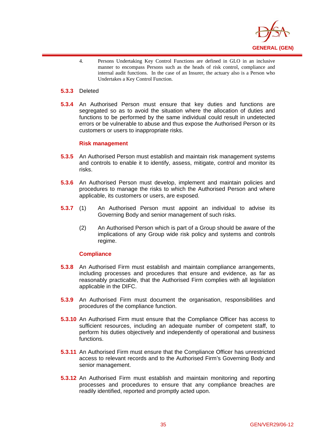

4. Persons Undertaking Key Control Functions are defined in GLO in an inclusive manner to encompass Persons such as the heads of risk control, compliance and internal audit functions. In the case of an Insurer, the actuary also is a Person who Undertakes a Key Control Function.

### **5.3.3** Deleted

 $\overline{a}$ 

**5.3.4** An Authorised Person must ensure that key duties and functions are segregated so as to avoid the situation where the allocation of duties and functions to be performed by the same individual could result in undetected errors or be vulnerable to abuse and thus expose the Authorised Person or its customers or users to inappropriate risks.

### **Risk management**

- **5.3.5** An Authorised Person must establish and maintain risk management systems and controls to enable it to identify, assess, mitigate, control and monitor its risks.
- **5.3.6** An Authorised Person must develop, implement and maintain policies and procedures to manage the risks to which the Authorised Person and where applicable, its customers or users, are exposed.
- **5.3.7** (1) An Authorised Person must appoint an individual to advise its Governing Body and senior management of such risks.
	- (2) An Authorised Person which is part of a Group should be aware of the implications of any Group wide risk policy and systems and controls regime.

### **Compliance**

- **5.3.8** An Authorised Firm must establish and maintain compliance arrangements, including processes and procedures that ensure and evidence, as far as reasonably practicable, that the Authorised Firm complies with all legislation applicable in the DIFC.
- **5.3.9** An Authorised Firm must document the organisation, responsibilities and procedures of the compliance function.
- **5.3.10** An Authorised Firm must ensure that the Compliance Officer has access to sufficient resources, including an adequate number of competent staff, to perform his duties objectively and independently of operational and business functions.
- **5.3.11** An Authorised Firm must ensure that the Compliance Officer has unrestricted access to relevant records and to the Authorised Firm's Governing Body and senior management.
- **5.3.12** An Authorised Firm must establish and maintain monitoring and reporting processes and procedures to ensure that any compliance breaches are readily identified, reported and promptly acted upon.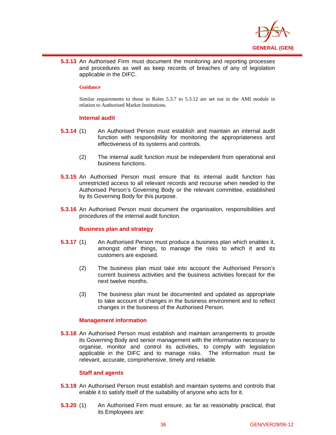

**5.3.13** An Authorised Firm must document the monitoring and reporting processes and procedures as well as keep records of breaches of any of legislation applicable in the DIFC.

### **Guidance**

 $\overline{a}$ 

Similar requirements to those in Rules 5.3.7 to 5.3.12 are set out in the AMI module in relation to Authorised Market Institutions.

### **Internal audit**

- **5.3.14** (1) An Authorised Person must establish and maintain an internal audit function with responsibility for monitoring the appropriateness and effectiveness of its systems and controls.
	- (2) The internal audit function must be independent from operational and business functions.
- **5.3.15** An Authorised Person must ensure that its internal audit function has unrestricted access to all relevant records and recourse when needed to the Authorised Person's Governing Body or the relevant committee, established by its Governing Body for this purpose.
- **5.3.16** An Authorised Person must document the organisation, responsibilities and procedures of the internal audit function.

### **Business plan and strategy**

- **5.3.17** (1) An Authorised Person must produce a business plan which enables it, amongst other things, to manage the risks to which it and its customers are exposed.
	- (2) The business plan must take into account the Authorised Person's current business activities and the business activities forecast for the next twelve months.
	- (3) The business plan must be documented and updated as appropriate to take account of changes in the business environment and to reflect changes in the business of the Authorised Person.

### **Management information**

**5.3.18** An Authorised Person must establish and maintain arrangements to provide its Governing Body and senior management with the information necessary to organise, monitor and control its activities, to comply with legislation applicable in the DIFC and to manage risks. The information must be relevant, accurate, comprehensive, timely and reliable.

### **Staff and agents**

- **5.3.19** An Authorised Person must establish and maintain systems and controls that enable it to satisfy itself of the suitability of anyone who acts for it.
- **5.3.20** (1) An Authorised Firm must ensure, as far as reasonably practical, that its Employees are: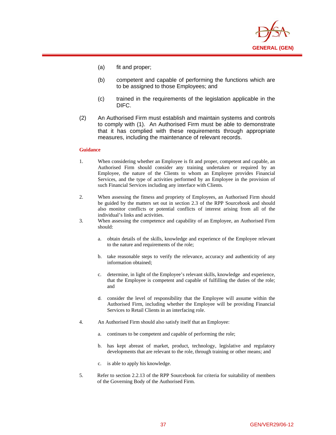

- (a) fit and proper;
- (b) competent and capable of performing the functions which are to be assigned to those Employees; and
- (c) trained in the requirements of the legislation applicable in the DIFC.
- (2) An Authorised Firm must establish and maintain systems and controls to comply with (1). An Authorised Firm must be able to demonstrate that it has complied with these requirements through appropriate measures, including the maintenance of relevant records.

 $\overline{a}$ 

- 1. When considering whether an Employee is fit and proper, competent and capable, an Authorised Firm should consider any training undertaken or required by an Employee, the nature of the Clients to whom an Employee provides Financial Services, and the type of activities performed by an Employee in the provision of such Financial Services including any interface with Clients.
- 2. When assessing the fitness and propriety of Employees, an Authorised Firm should be guided by the matters set out in section 2.3 of the RPP Sourcebook and should also monitor conflicts or potential conflicts of interest arising from all of the individual's links and activities.
- 3. When assessing the competence and capability of an Employee, an Authorised Firm should:
	- a. obtain details of the skills, knowledge and experience of the Employee relevant to the nature and requirements of the role;
	- b. take reasonable steps to verify the relevance, accuracy and authenticity of any information obtained;
	- c. determine, in light of the Employee's relevant skills, knowledge and experience, that the Employee is competent and capable of fulfilling the duties of the role; and
	- d. consider the level of responsibility that the Employee will assume within the Authorised Firm, including whether the Employee will be providing Financial Services to Retail Clients in an interfacing role.
- 4. An Authorised Firm should also satisfy itself that an Employee:
	- a. continues to be competent and capable of performing the role;
	- b. has kept abreast of market, product, technology, legislative and regulatory developments that are relevant to the role, through training or other means; and
	- is able to apply his knowledge.
- 5. Refer to section 2.2.13 of the RPP Sourcebook for criteria for suitability of members of the Governing Body of the Authorised Firm.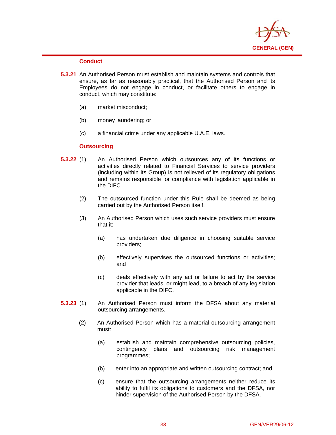

### **Conduct**

 $\overline{a}$ 

- **5.3.21** An Authorised Person must establish and maintain systems and controls that ensure, as far as reasonably practical, that the Authorised Person and its Employees do not engage in conduct, or facilitate others to engage in conduct, which may constitute:
	- (a) market misconduct;
	- (b) money laundering; or
	- (c) a financial crime under any applicable U.A.E. laws.

### **Outsourcing**

- **5.3.22** (1) An Authorised Person which outsources any of its functions or activities directly related to Financial Services to service providers (including within its Group) is not relieved of its regulatory obligations and remains responsible for compliance with legislation applicable in the DIFC.
	- (2) The outsourced function under this Rule shall be deemed as being carried out by the Authorised Person itself.
	- (3) An Authorised Person which uses such service providers must ensure that it:
		- (a) has undertaken due diligence in choosing suitable service providers;
		- (b) effectively supervises the outsourced functions or activities; and
		- (c) deals effectively with any act or failure to act by the service provider that leads, or might lead, to a breach of any legislation applicable in the DIFC.
- **5.3.23** (1) An Authorised Person must inform the DFSA about any material outsourcing arrangements.
	- (2) An Authorised Person which has a material outsourcing arrangement must:
		- (a) establish and maintain comprehensive outsourcing policies, contingency plans and outsourcing risk management programmes;
		- (b) enter into an appropriate and written outsourcing contract; and
		- (c) ensure that the outsourcing arrangements neither reduce its ability to fulfil its obligations to customers and the DFSA, nor hinder supervision of the Authorised Person by the DFSA.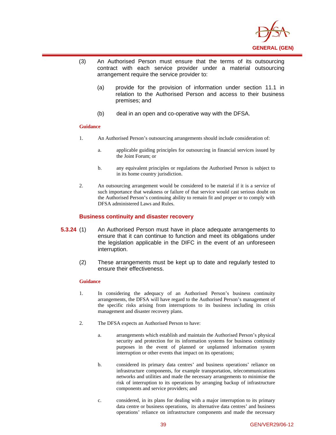

- (3) An Authorised Person must ensure that the terms of its outsourcing contract with each service provider under a material outsourcing arrangement require the service provider to:
	- (a) provide for the provision of information under section 11.1 in relation to the Authorised Person and access to their business premises; and
	- (b) deal in an open and co-operative way with the DFSA.

 $\overline{a}$ 

- 1. An Authorised Person's outsourcing arrangements should include consideration of:
	- a. applicable guiding principles for outsourcing in financial services issued by the Joint Forum; or
	- b. any equivalent principles or regulations the Authorised Person is subject to in its home country jurisdiction.
- 2. An outsourcing arrangement would be considered to be material if it is a service of such importance that weakness or failure of that service would cast serious doubt on the Authorised Person's continuing ability to remain fit and proper or to comply with DFSA administered Laws and Rules.

### **Business continuity and disaster recovery**

- **5.3.24** (1) An Authorised Person must have in place adequate arrangements to ensure that it can continue to function and meet its obligations under the legislation applicable in the DIFC in the event of an unforeseen interruption.
	- (2) These arrangements must be kept up to date and regularly tested to ensure their effectiveness.

### **Guidance**

- 1. In considering the adequacy of an Authorised Person's business continuity arrangements, the DFSA will have regard to the Authorised Person's management of the specific risks arising from interruptions to its business including its crisis management and disaster recovery plans.
- 2. The DFSA expects an Authorised Person to have:
	- a. arrangements which establish and maintain the Authorised Person's physical security and protection for its information systems for business continuity purposes in the event of planned or unplanned information system interruption or other events that impact on its operations;
	- b. considered its primary data centres' and business operations' reliance on infrastructure components, for example transportation, telecommunications networks and utilities and made the necessary arrangements to minimise the risk of interruption to its operations by arranging backup of infrastructure components and service providers; and
	- c. considered, in its plans for dealing with a major interruption to its primary data centre or business operations, its alternative data centres' and business operations' reliance on infrastructure components and made the necessary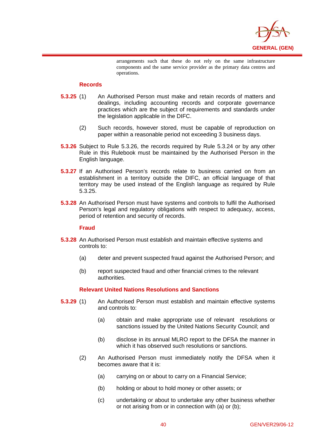

arrangements such that these do not rely on the same infrastructure components and the same service provider as the primary data centres and operations.

### **Records**

 $\overline{a}$ 

- **5.3.25** (1) An Authorised Person must make and retain records of matters and dealings, including accounting records and corporate governance practices which are the subject of requirements and standards under the legislation applicable in the DIFC.
	- (2) Such records, however stored, must be capable of reproduction on paper within a reasonable period not exceeding 3 business days.
- **5.3.26** Subject to Rule 5.3.26, the records required by Rule 5.3.24 or by any other Rule in this Rulebook must be maintained by the Authorised Person in the English language.
- **5.3.27** If an Authorised Person's records relate to business carried on from an establishment in a territory outside the DIFC, an official language of that territory may be used instead of the English language as required by Rule 5.3.25.
- **5.3.28** An Authorised Person must have systems and controls to fulfil the Authorised Person's legal and regulatory obligations with respect to adequacy, access, period of retention and security of records.

### **Fraud**

- **5.3.28** An Authorised Person must establish and maintain effective systems and controls to:
	- (a) deter and prevent suspected fraud against the Authorised Person; and
	- (b) report suspected fraud and other financial crimes to the relevant authorities.

### **Relevant United Nations Resolutions and Sanctions**

- **5.3.29** (1) An Authorised Person must establish and maintain effective systems and controls to:
	- (a) obtain and make appropriate use of relevant resolutions or sanctions issued by the United Nations Security Council; and
	- (b) disclose in its annual MLRO report to the DFSA the manner in which it has observed such resolutions or sanctions.
	- (2) An Authorised Person must immediately notify the DFSA when it becomes aware that it is:
		- (a) carrying on or about to carry on a Financial Service;
		- (b) holding or about to hold money or other assets; or
		- (c) undertaking or about to undertake any other business whether or not arising from or in connection with (a) or (b);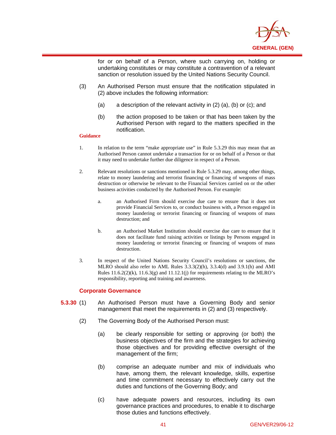

for or on behalf of a Person, where such carrying on, holding or undertaking constitutes or may constitute a contravention of a relevant sanction or resolution issued by the United Nations Security Council.

- (3) An Authorised Person must ensure that the notification stipulated in (2) above includes the following information:
	- (a) a description of the relevant activity in (2) (a), (b) or (c); and
	- (b) the action proposed to be taken or that has been taken by the Authorised Person with regard to the matters specified in the notification.

#### **Guidance**

 $\overline{a}$ 

- 1. In relation to the term "make appropriate use" in Rule 5.3.29 this may mean that an Authorised Person cannot undertake a transaction for or on behalf of a Person or that it may need to undertake further due diligence in respect of a Person.
- 2. Relevant resolutions or sanctions mentioned in Rule 5.3.29 may, among other things, relate to money laundering and terrorist financing or financing of weapons of mass destruction or otherwise be relevant to the Financial Services carried on or the other business activities conducted by the Authorised Person. For example:
	- a. an Authorised Firm should exercise due care to ensure that it does not provide Financial Services to, or conduct business with, a Person engaged in money laundering or terrorist financing or financing of weapons of mass destruction; and
	- b. an Authorised Market Institution should exercise due care to ensure that it does not facilitate fund raising activities or listings by Persons engaged in money laundering or terrorist financing or financing of weapons of mass destruction.
- 3. In respect of the United Nations Security Council's resolutions or sanctions, the MLRO should also refer to AML Rules 3.3.3(2)(h), 3.3.4(d) and 3.9.1(h) and AMI Rules  $11.6.2(2)(k)$ ,  $11.6.3(g)$  and  $11.12.1(i)$  for requirements relating to the MLRO's responsibility, reporting and training and awareness.

### **Corporate Governance**

- **5.3.30** (1) An Authorised Person must have a Governing Body and senior management that meet the requirements in (2) and (3) respectively.
	- (2) The Governing Body of the Authorised Person must:
		- (a) be clearly responsible for setting or approving (or both) the business objectives of the firm and the strategies for achieving those objectives and for providing effective oversight of the management of the firm;
		- (b) comprise an adequate number and mix of individuals who have, among them, the relevant knowledge, skills, expertise and time commitment necessary to effectively carry out the duties and functions of the Governing Body; and
		- (c) have adequate powers and resources, including its own governance practices and procedures, to enable it to discharge those duties and functions effectively.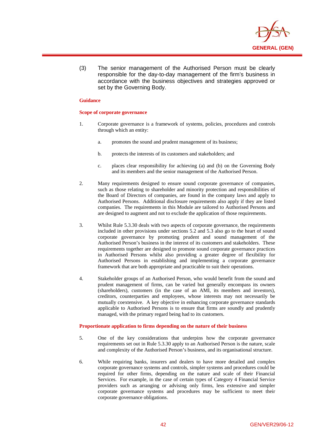

(3) The senior management of the Authorised Person must be clearly responsible for the day-to-day management of the firm's business in accordance with the business objectives and strategies approved or set by the Governing Body.

### **Guidance**

 $\overline{a}$ 

#### **Scope of corporate governance**

- 1. Corporate governance is a framework of systems, policies, procedures and controls through which an entity:
	- a. promotes the sound and prudent management of its business;
	- b. protects the interests of its customers and stakeholders; and
	- c. places clear responsibility for achieving (a) and (b) on the Governing Body and its members and the senior management of the Authorised Person.
- 2. Many requirements designed to ensure sound corporate governance of companies, such as those relating to shareholder and minority protection and responsibilities of the Board of Directors of companies, are found in the company laws and apply to Authorised Persons. Additional disclosure requirements also apply if they are listed companies. The requirements in this Module are tailored to Authorised Persons and are designed to augment and not to exclude the application of those requirements.
- 3. Whilst Rule 5.3.30 deals with two aspects of corporate governance, the requirements included in other provisions under sections 5.2 and 5.3 also go to the heart of sound corporate governance by promoting prudent and sound management of the Authorised Person's business in the interest of its customers and stakeholders. These requirements together are designed to promote sound corporate governance practices in Authorised Persons whilst also providing a greater degree of flexibility for Authorised Persons in establishing and implementing a corporate governance framework that are both appropriate and practicable to suit their operations.
- 4. Stakeholder groups of an Authorised Person, who would benefit from the sound and prudent management of firms, can be varied but generally encompass its owners (shareholders), customers (in the case of an AMI, its members and investors), creditors, counterparties and employees, whose interests may not necessarily be mutually coextensive. A key objective in enhancing corporate governance standards applicable to Authorised Persons is to ensure that firms are soundly and prudently managed, with the primary regard being had to its customers.

### **Proportionate application to firms depending on the nature of their business**

- 5. One of the key considerations that underpins how the corporate governance requirements set out in Rule 5.3.30 apply to an Authorised Person is the nature, scale and complexity of the Authorised Person's business, and its organisational structure.
- 6. While requiring banks, insurers and dealers to have more detailed and complex corporate governance systems and controls, simpler systems and procedures could be required for other firms, depending on the nature and scale of their Financial Services. For example, in the case of certain types of Category 4 Financial Service providers such as arranging or advising only firms, less extensive and simpler corporate governance systems and procedures may be sufficient to meet their corporate governance obligations.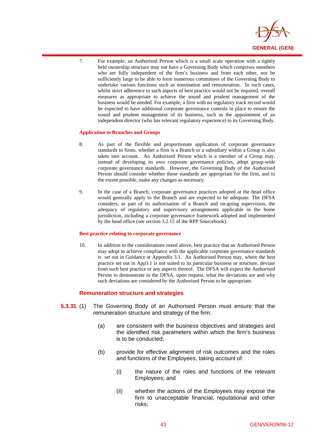

7. For example, an Authorised Person which is a small scale operation with a tightly held ownership structure may not have a Governing Body which comprises members who are fully independent of the firm's business and from each other, nor be sufficiently large to be able to form numerous committees of the Governing Body to undertake various functions such as nomination and remuneration. In such cases, whilst strict adherence to such aspects of best practice would not be required, overall measures as appropriate to achieve the sound and prudent management of the business would be needed. For example, a firm with no regulatory track record would be expected to have additional corporate governance controls in place to ensure the sound and prudent management of its business, such as the appointment of an independent director (who has relevant regulatory experience) to its Governing Body.

#### **Application to Branches and Groups**

 $\overline{a}$ 

- 8. As part of the flexible and proportionate application of corporate governance standards to firms, whether a firm is a Branch or a subsidiary within a Group is also taken into account. An Authorised Person which is a member of a Group may, instead of developing its own corporate governance policies, adopt group-wide corporate governance standards. However, the Governing Body of the Authorised Person should consider whether those standards are appropriate for the firm, and to the extent possible, make any changes as necessary.
- 9. In the case of a Branch, corporate governance practices adopted at the head office would generally apply to the Branch and are expected to be adequate. The DFSA considers, as part of its authorisation of a Branch and on-going supervision, the adequacy of regulatory and supervisory arrangements applicable in the home jurisdiction, including a corporate governance framework adopted and implemented by the head office (see section 3.2.15 of the RPP Sourcebook).

### **Best practice relating to corporate governance**

10. In addition to the considerations noted above, best practice that an Authorised Person may adopt to achieve compliance with the applicable corporate governance standards is set out in Guidance at Appendix 3.1. An Authorised Person may, where the best practice set out in App3.1 is not suited to its particular business or structure, deviate from such best practice or any aspects thereof. The DFSA will expect the Authorised Person to demonstrate to the DFSA, upon request, what the deviations are and why such deviations are considered by the Authorised Person to be appropriate.

### **Remuneration structure and strategies**

- **5.3.31** (1) The Governing Body of an Authorised Person must ensure that the remuneration structure and strategy of the firm:
	- (a) are consistent with the business objectives and strategies and the identified risk parameters within which the firm's business is to be conducted;
	- (b) provide for effective alignment of risk outcomes and the roles and functions of the Employees, taking account of:
		- (i) the nature of the roles and functions of the relevant Employees; and
		- (ii) whether the actions of the Employees may expose the firm to unacceptable financial, reputational and other risks;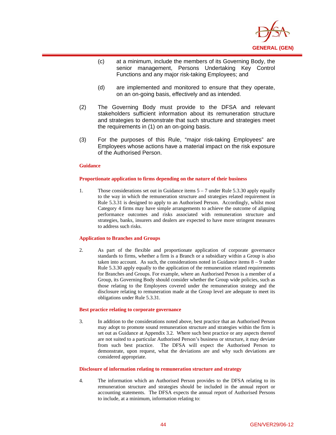

- (c) at a minimum, include the members of its Governing Body, the senior management, Persons Undertaking Key Control Functions and any major risk-taking Employees; and
- (d) are implemented and monitored to ensure that they operate, on an on-going basis, effectively and as intended.
- (2) The Governing Body must provide to the DFSA and relevant stakeholders sufficient information about its remuneration structure and strategies to demonstrate that such structure and strategies meet the requirements in (1) on an on-going basis.
- (3) For the purposes of this Rule, "major risk-taking Employees" are Employees whose actions have a material impact on the risk exposure of the Authorised Person.

 $\overline{a}$ 

#### **Proportionate application to firms depending on the nature of their business**

1. Those considerations set out in Guidance items 5 – 7 under Rule 5.3.30 apply equally to the way in which the remuneration structure and strategies related requirement in Rule 5.3.31 is designed to apply to an Authorised Person. Accordingly, whilst most Category 4 firms may have simple arrangements to achieve the outcome of aligning performance outcomes and risks associated with remuneration structure and strategies, banks, insurers and dealers are expected to have more stringent measures to address such risks.

#### **Application to Branches and Groups**

2. As part of the flexible and proportionate application of corporate governance standards to firms, whether a firm is a Branch or a subsidiary within a Group is also taken into account. As such, the considerations noted in Guidance items 8 – 9 under Rule 5.3.30 apply equally to the application of the remuneration related requirements for Branches and Groups. For example, where an Authorised Person is a member of a Group, its Governing Body should consider whether the Group wide policies, such as those relating to the Employees covered under the remuneration strategy and the disclosure relating to remuneration made at the Group level are adequate to meet its obligations under Rule 5.3.31.

#### **Best practice relating to corporate governance**

3. In addition to the considerations noted above, best practice that an Authorised Person may adopt to promote sound remuneration structure and strategies within the firm is set out as Guidance at Appendix 3.2. Where such best practice or any aspects thereof are not suited to a particular Authorised Person's business or structure, it may deviate from such best practice. The DFSA will expect the Authorised Person to demonstrate, upon request, what the deviations are and why such deviations are considered appropriate.

#### **Disclosure of information relating to remuneration structure and strategy**

4. The information which an Authorised Person provides to the DFSA relating to its remuneration structure and strategies should be included in the annual report or accounting statements. The DFSA expects the annual report of Authorised Persons to include, at a minimum, information relating to: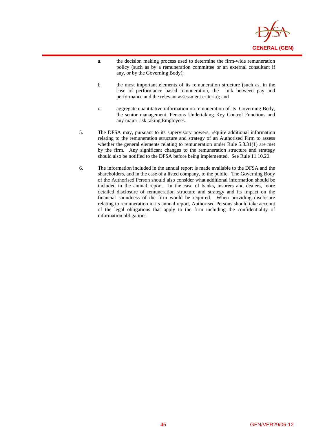

a. the decision making process used to determine the firm-wide remuneration policy (such as by a remuneration committee or an external consultant if any, or by the Governing Body);

 $\overline{a}$ 

- b. the most important elements of its remuneration structure (such as, in the case of performance based remuneration, the link between pay and performance and the relevant assessment criteria); and
- c. aggregate quantitative information on remuneration of its Governing Body, the senior management, Persons Undertaking Key Control Functions and any major risk taking Employees.
- 5. The DFSA may, pursuant to its supervisory powers, require additional information relating to the remuneration structure and strategy of an Authorised Firm to assess whether the general elements relating to remuneration under Rule 5.3.31(1) are met by the firm. Any significant changes to the remuneration structure and strategy should also be notified to the DFSA before being implemented. See Rule 11.10.20.
- 6. The information included in the annual report is made available to the DFSA and the shareholders, and in the case of a listed company, to the public. The Governing Body of the Authorised Person should also consider what additional information should be included in the annual report. In the case of banks, insurers and dealers, more detailed disclosure of remuneration structure and strategy and its impact on the financial soundness of the firm would be required. When providing disclosure relating to remuneration in its annual report, Authorised Persons should take account of the legal obligations that apply to the firm including the confidentiality of information obligations.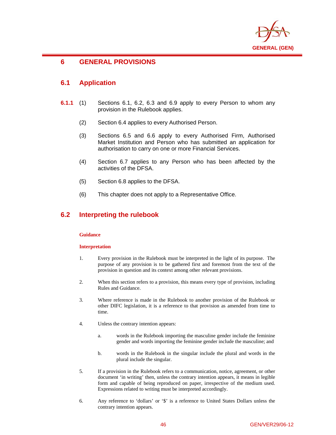

# **6 GENERAL PROVISIONS**

## **6.1 Application**

 $\overline{a}$ 

- **6.1.1** (1) Sections 6.1, 6.2, 6.3 and 6.9 apply to every Person to whom any provision in the Rulebook applies.
	- (2) Section 6.4 applies to every Authorised Person.
	- (3) Sections 6.5 and 6.6 apply to every Authorised Firm, Authorised Market Institution and Person who has submitted an application for authorisation to carry on one or more Financial Services.
	- (4) Section 6.7 applies to any Person who has been affected by the activities of the DFSA.
	- (5) Section 6.8 applies to the DFSA.
	- (6) This chapter does not apply to a Representative Office.

# **6.2 Interpreting the rulebook**

### **Guidance**

### **Interpretation**

- 1. Every provision in the Rulebook must be interpreted in the light of its purpose. The purpose of any provision is to be gathered first and foremost from the text of the provision in question and its context among other relevant provisions.
- 2. When this section refers to a provision, this means every type of provision, including Rules and Guidance.
- 3. Where reference is made in the Rulebook to another provision of the Rulebook or other DIFC legislation, it is a reference to that provision as amended from time to time.
- 4. Unless the contrary intention appears:
	- a. words in the Rulebook importing the masculine gender include the feminine gender and words importing the feminine gender include the masculine; and
	- b. words in the Rulebook in the singular include the plural and words in the plural include the singular.
- 5. If a provision in the Rulebook refers to a communication, notice, agreement, or other document 'in writing' then, unless the contrary intention appears, it means in legible form and capable of being reproduced on paper, irrespective of the medium used. Expressions related to writing must be interpreted accordingly.
- 6. Any reference to 'dollars' or '\$' is a reference to United States Dollars unless the contrary intention appears.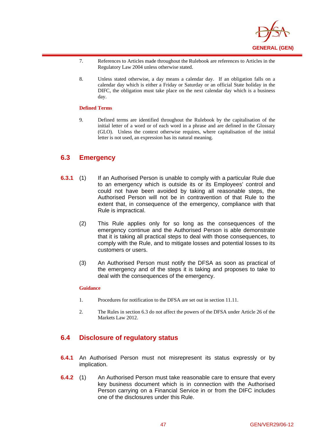

- 7. References to Articles made throughout the Rulebook are references to Articles in the Regulatory Law 2004 unless otherwise stated.
- 8. Unless stated otherwise, a day means a calendar day. If an obligation falls on a calendar day which is either a Friday or Saturday or an official State holiday in the DIFC, the obligation must take place on the next calendar day which is a business day.

### **Defined Terms**

 $\overline{a}$ 

9. Defined terms are identified throughout the Rulebook by the capitalisation of the initial letter of a word or of each word in a phrase and are defined in the Glossary (GLO). Unless the context otherwise requires, where capitalisation of the initial letter is not used, an expression has its natural meaning.

## **6.3 Emergency**

- **6.3.1** (1) If an Authorised Person is unable to comply with a particular Rule due to an emergency which is outside its or its Employees' control and could not have been avoided by taking all reasonable steps, the Authorised Person will not be in contravention of that Rule to the extent that, in consequence of the emergency, compliance with that Rule is impractical.
	- (2) This Rule applies only for so long as the consequences of the emergency continue and the Authorised Person is able demonstrate that it is taking all practical steps to deal with those consequences, to comply with the Rule, and to mitigate losses and potential losses to its customers or users.
	- (3) An Authorised Person must notify the DFSA as soon as practical of the emergency and of the steps it is taking and proposes to take to deal with the consequences of the emergency.

### **Guidance**

- 1. Procedures for notification to the DFSA are set out in section 11.11.
- 2. The Rules in section 6.3 do not affect the powers of the DFSA under Article 26 of the Markets Law 2012.

## **6.4 Disclosure of regulatory status**

- **6.4.1** An Authorised Person must not misrepresent its status expressly or by implication.
- **6.4.2** (1) An Authorised Person must take reasonable care to ensure that every key business document which is in connection with the Authorised Person carrying on a Financial Service in or from the DIFC includes one of the disclosures under this Rule.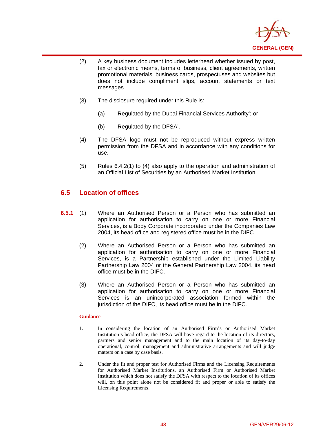

- (2) A key business document includes letterhead whether issued by post, fax or electronic means, terms of business, client agreements, written promotional materials, business cards, prospectuses and websites but does not include compliment slips, account statements or text messages.
- (3) The disclosure required under this Rule is:
	- (a) 'Regulated by the Dubai Financial Services Authority'; or
	- (b) 'Regulated by the DFSA'.
- (4) The DFSA logo must not be reproduced without express written permission from the DFSA and in accordance with any conditions for use.
- (5) Rules 6.4.2(1) to (4) also apply to the operation and administration of an Official List of Securities by an Authorised Market Institution.

# **6.5 Location of offices**

 $\overline{a}$ 

- **6.5.1** (1) Where an Authorised Person or a Person who has submitted an application for authorisation to carry on one or more Financial Services, is a Body Corporate incorporated under the Companies Law 2004, its head office and registered office must be in the DIFC.
	- (2) Where an Authorised Person or a Person who has submitted an application for authorisation to carry on one or more Financial Services, is a Partnership established under the Limited Liability Partnership Law 2004 or the General Partnership Law 2004, its head office must be in the DIFC.
	- (3) Where an Authorised Person or a Person who has submitted an application for authorisation to carry on one or more Financial Services is an unincorporated association formed within the jurisdiction of the DIFC, its head office must be in the DIFC.

### **Guidance**

- 1. In considering the location of an Authorised Firm's or Authorised Market Institution's head office, the DFSA will have regard to the location of its directors, partners and senior management and to the main location of its day-to-day operational, control, management and administrative arrangements and will judge matters on a case by case basis.
- 2. Under the fit and proper test for Authorised Firms and the Licensing Requirements for Authorised Market Institutions, an Authorised Firm or Authorised Market Institution which does not satisfy the DFSA with respect to the location of its offices will, on this point alone not be considered fit and proper or able to satisfy the Licensing Requirements.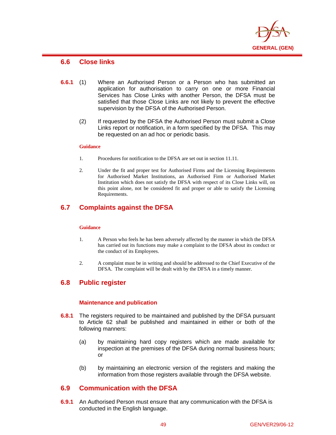

# **6.6 Close links**

 $\overline{a}$ 

- **6.6.1** (1) Where an Authorised Person or a Person who has submitted an application for authorisation to carry on one or more Financial Services has Close Links with another Person, the DFSA must be satisfied that those Close Links are not likely to prevent the effective supervision by the DFSA of the Authorised Person.
	- (2) If requested by the DFSA the Authorised Person must submit a Close Links report or notification, in a form specified by the DFSA. This may be requested on an ad hoc or periodic basis.

### **Guidance**

- 1. Procedures for notification to the DFSA are set out in section 11.11.
- 2. Under the fit and proper test for Authorised Firms and the Licensing Requirements for Authorised Market Institutions, an Authorised Firm or Authorised Market Institution which does not satisfy the DFSA with respect of its Close Links will, on this point alone, not be considered fit and proper or able to satisfy the Licensing Requirements.

# **6.7 Complaints against the DFSA**

### **Guidance**

- 1. A Person who feels he has been adversely affected by the manner in which the DFSA has carried out its functions may make a complaint to the DFSA about its conduct or the conduct of its Employees.
- 2. A complaint must be in writing and should be addressed to the Chief Executive of the DFSA. The complaint will be dealt with by the DFSA in a timely manner.

# **6.8 Public register**

### **Maintenance and publication**

- **6.8.1** The registers required to be maintained and published by the DFSA pursuant to Article 62 shall be published and maintained in either or both of the following manners:
	- (a) by maintaining hard copy registers which are made available for inspection at the premises of the DFSA during normal business hours; or
	- (b) by maintaining an electronic version of the registers and making the information from those registers available through the DFSA website.

# **6.9 Communication with the DFSA**

**6.9.1** An Authorised Person must ensure that any communication with the DFSA is conducted in the English language.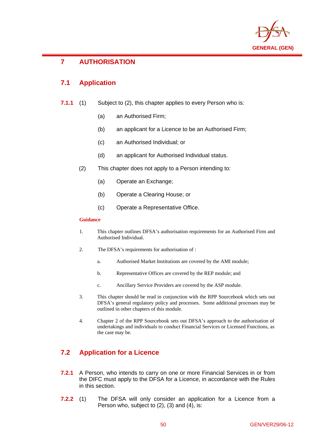

## $\overline{a}$ **7 AUTHORISATION**

# **7.1 Application**

- **7.1.1** (1) Subject to (2), this chapter applies to every Person who is:
	- (a) an Authorised Firm;
	- (b) an applicant for a Licence to be an Authorised Firm;
	- (c) an Authorised Individual; or
	- (d) an applicant for Authorised Individual status.
	- (2) This chapter does not apply to a Person intending to:
		- (a) Operate an Exchange;
		- (b) Operate a Clearing House; or
		- (c) Operate a Representative Office.

### **Guidance**

- 1. This chapter outlines DFSA's authorisation requirements for an Authorised Firm and Authorised Individual.
- 2. The DFSA's requirements for authorisation of :
	- a. Authorised Market Institutions are covered by the AMI module;
	- b. Representative Offices are covered by the REP module; and
	- c. Ancillary Service Providers are covered by the ASP module.
- 3. This chapter should be read in conjunction with the RPP Sourcebook which sets out DFSA's general regulatory policy and processes. Some additional processes may be outlined in other chapters of this module.
- 4. Chapter 2 of the RPP Sourcebook sets out DFSA's approach to the authorisation of undertakings and individuals to conduct Financial Services or Licensed Functions, as the case may be.

# **7.2 Application for a Licence**

- **7.2.1** A Person, who intends to carry on one or more Financial Services in or from the DIFC must apply to the DFSA for a Licence, in accordance with the Rules in this section.
- **7.2.2** (1) The DFSA will only consider an application for a Licence from a Person who, subject to (2), (3) and (4), is: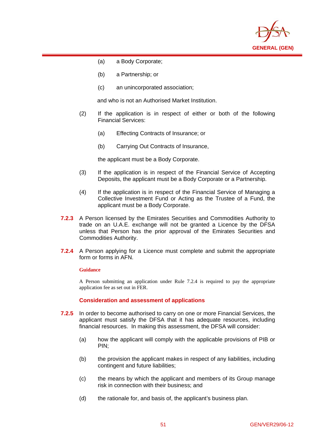

(a) a Body Corporate;

 $\overline{a}$ 

- (b) a Partnership; or
- (c) an unincorporated association;

and who is not an Authorised Market Institution.

- (2) If the application is in respect of either or both of the following Financial Services:
	- (a) Effecting Contracts of Insurance; or
	- (b) Carrying Out Contracts of Insurance,

the applicant must be a Body Corporate.

- (3) If the application is in respect of the Financial Service of Accepting Deposits, the applicant must be a Body Corporate or a Partnership.
- (4) If the application is in respect of the Financial Service of Managing a Collective Investment Fund or Acting as the Trustee of a Fund, the applicant must be a Body Corporate.
- **7.2.3** A Person licensed by the Emirates Securities and Commodities Authority to trade on an U.A.E. exchange will not be granted a Licence by the DFSA unless that Person has the prior approval of the Emirates Securities and Commodities Authority.
- **7.2.4** A Person applying for a Licence must complete and submit the appropriate form or forms in AFN.

### **Guidance**

A Person submitting an application under Rule 7.2.4 is required to pay the appropriate application fee as set out in FER.

**Consideration and assessment of applications** 

- **7.2.5** In order to become authorised to carry on one or more Financial Services, the applicant must satisfy the DFSA that it has adequate resources, including financial resources. In making this assessment, the DFSA will consider:
	- (a) how the applicant will comply with the applicable provisions of PIB or PIN;
	- (b) the provision the applicant makes in respect of any liabilities, including contingent and future liabilities;
	- (c) the means by which the applicant and members of its Group manage risk in connection with their business; and
	- (d) the rationale for, and basis of, the applicant's business plan.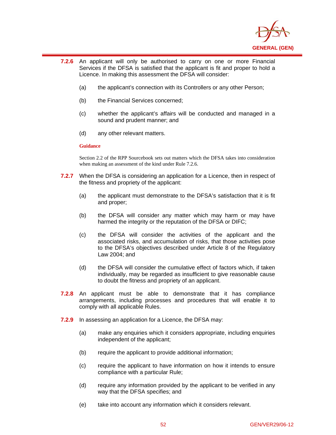

- **7.2.6** An applicant will only be authorised to carry on one or more Financial Services if the DFSA is satisfied that the applicant is fit and proper to hold a Licence. In making this assessment the DFSA will consider:
	- (a) the applicant's connection with its Controllers or any other Person;
	- (b) the Financial Services concerned;
	- (c) whether the applicant's affairs will be conducted and managed in a sound and prudent manner; and
	- (d) any other relevant matters.

 $\overline{a}$ 

Section 2.2 of the RPP Sourcebook sets out matters which the DFSA takes into consideration when making an assessment of the kind under Rule 7.2.6.

- **7.2.7** When the DFSA is considering an application for a Licence, then in respect of the fitness and propriety of the applicant:
	- (a) the applicant must demonstrate to the DFSA's satisfaction that it is fit and proper;
	- (b) the DFSA will consider any matter which may harm or may have harmed the integrity or the reputation of the DFSA or DIFC;
	- (c) the DFSA will consider the activities of the applicant and the associated risks, and accumulation of risks, that those activities pose to the DFSA's objectives described under Article 8 of the Regulatory Law 2004; and
	- (d) the DFSA will consider the cumulative effect of factors which, if taken individually, may be regarded as insufficient to give reasonable cause to doubt the fitness and propriety of an applicant.
- **7.2.8** An applicant must be able to demonstrate that it has compliance arrangements, including processes and procedures that will enable it to comply with all applicable Rules.
- **7.2.9** In assessing an application for a Licence, the DFSA may:
	- (a) make any enquiries which it considers appropriate, including enquiries independent of the applicant;
	- (b) require the applicant to provide additional information;
	- (c) require the applicant to have information on how it intends to ensure compliance with a particular Rule;
	- (d) require any information provided by the applicant to be verified in any way that the DFSA specifies; and
	- (e) take into account any information which it considers relevant.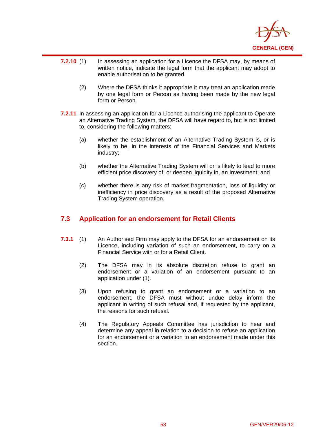

- $\overline{a}$ **7.2.10** (1) In assessing an application for a Licence the DFSA may, by means of written notice, indicate the legal form that the applicant may adopt to enable authorisation to be granted.
	- (2) Where the DFSA thinks it appropriate it may treat an application made by one legal form or Person as having been made by the new legal form or Person.
- **7.2.11** In assessing an application for a Licence authorising the applicant to Operate an Alternative Trading System, the DFSA will have regard to, but is not limited to, considering the following matters:
	- (a) whether the establishment of an Alternative Trading System is, or is likely to be, in the interests of the Financial Services and Markets industry;
	- (b) whether the Alternative Trading System will or is likely to lead to more efficient price discovery of, or deepen liquidity in, an Investment; and
	- (c) whether there is any risk of market fragmentation, loss of liquidity or inefficiency in price discovery as a result of the proposed Alternative Trading System operation.

## **7.3 Application for an endorsement for Retail Clients**

- **7.3.1** (1) An Authorised Firm may apply to the DFSA for an endorsement on its Licence, including variation of such an endorsement, to carry on a Financial Service with or for a Retail Client.
	- (2) The DFSA may in its absolute discretion refuse to grant an endorsement or a variation of an endorsement pursuant to an application under (1).
	- (3) Upon refusing to grant an endorsement or a variation to an endorsement, the DFSA must without undue delay inform the applicant in writing of such refusal and, if requested by the applicant, the reasons for such refusal.
	- (4) The Regulatory Appeals Committee has jurisdiction to hear and determine any appeal in relation to a decision to refuse an application for an endorsement or a variation to an endorsement made under this section.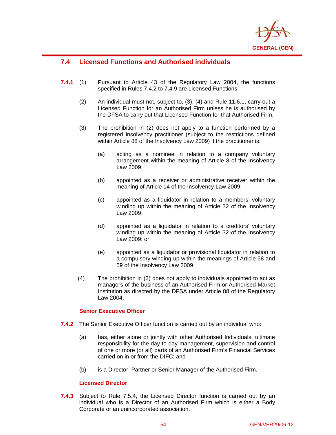

# **7.4 Licensed Functions and Authorised individuals**

 $\overline{a}$ 

- **7.4.1** (1) Pursuant to Article 43 of the Regulatory Law 2004, the functions specified in Rules 7.4.2 to 7.4.9 are Licensed Functions.
	- (2) An individual must not, subject to, (3), (4) and Rule 11.6.1, carry out a Licensed Function for an Authorised Firm unless he is authorised by the DFSA to carry out that Licensed Function for that Authorised Firm.
	- (3) The prohibition in (2) does not apply to a function performed by a registered insolvency practitioner (subject to the restrictions defined within Article 88 of the Insolvency Law 2009) if the practitioner is:
		- (a) acting as a nominee in relation to a company voluntary arrangement within the meaning of Article 8 of the Insolvency Law 2009;
		- (b) appointed as a receiver or administrative receiver within the meaning of Article 14 of the Insolvency Law 2009;
		- (c) appointed as a liquidator in relation to a members' voluntary winding up within the meaning of Article 32 of the Insolvency Law 2009;
		- (d) appointed as a liquidator in relation to a creditors' voluntary winding up within the meaning of Article 32 of the Insolvency Law 2009; or
		- (e) appointed as a liquidator or provisional liquidator in relation to a compulsory winding up within the meanings of Article 58 and 59 of the Insolvency Law 2009.
	- (4) The prohibition in (2) does not apply to individuals appointed to act as managers of the business of an Authorised Firm or Authorised Market Institution as directed by the DFSA under Article 88 of the Regulatory Law 2004.

### **Senior Executive Officer**

- **7.4.2** The Senior Executive Officer function is carried out by an individual who:
	- (a) has, either alone or jointly with other Authorised Individuals, ultimate responsibility for the day-to-day management, supervision and control of one or more (or all) parts of an Authorised Firm's Financial Services carried on in or from the DIFC; and
	- (b) is a Director, Partner or Senior Manager of the Authorised Firm.

### **Licensed Director**

**7.4.3** Subject to Rule 7.5.4, the Licensed Director function is carried out by an individual who is a Director of an Authorised Firm which is either a Body Corporate or an unincorporated association.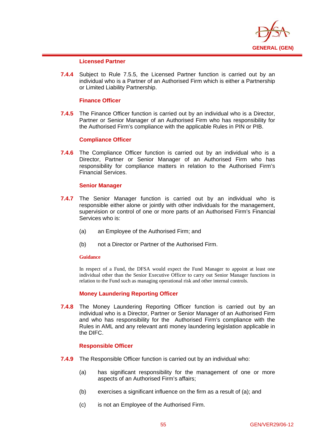

### **Licensed Partner**

 $\overline{a}$ 

**7.4.4** Subject to Rule 7.5.5, the Licensed Partner function is carried out by an individual who is a Partner of an Authorised Firm which is either a Partnership or Limited Liability Partnership.

### **Finance Officer**

**7.4.5** The Finance Officer function is carried out by an individual who is a Director, Partner or Senior Manager of an Authorised Firm who has responsibility for the Authorised Firm's compliance with the applicable Rules in PIN or PIB.

### **Compliance Officer**

**7.4.6** The Compliance Officer function is carried out by an individual who is a Director, Partner or Senior Manager of an Authorised Firm who has responsibility for compliance matters in relation to the Authorised Firm's Financial Services.

### **Senior Manager**

- **7.4.7** The Senior Manager function is carried out by an individual who is responsible either alone or jointly with other individuals for the management, supervision or control of one or more parts of an Authorised Firm's Financial Services who is:
	- (a) an Employee of the Authorised Firm; and
	- (b) not a Director or Partner of the Authorised Firm.

### **Guidance**

In respect of a Fund, the DFSA would expect the Fund Manager to appoint at least one individual other than the Senior Executive Officer to carry out Senior Manager functions in relation to the Fund such as managing operational risk and other internal controls.

### **Money Laundering Reporting Officer**

**7.4.8** The Money Laundering Reporting Officer function is carried out by an individual who is a Director, Partner or Senior Manager of an Authorised Firm and who has responsibility for the Authorised Firm's compliance with the Rules in AML and any relevant anti money laundering legislation applicable in the DIFC.

### **Responsible Officer**

- **7.4.9** The Responsible Officer function is carried out by an individual who:
	- (a) has significant responsibility for the management of one or more aspects of an Authorised Firm's affairs;
	- (b) exercises a significant influence on the firm as a result of (a); and
	- (c) is not an Employee of the Authorised Firm.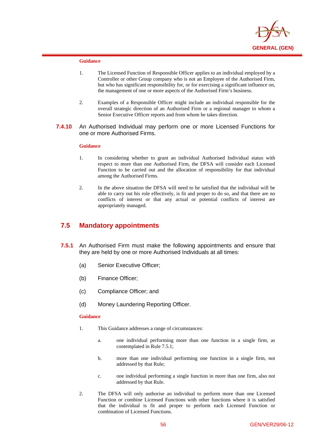

 $\overline{a}$ 

- 1. The Licensed Function of Responsible Officer applies to an individual employed by a Controller or other Group company who is not an Employee of the Authorised Firm, but who has significant responsibility for, or for exercising a significant influence on, the management of one or more aspects of the Authorised Firm's business.
- 2. Examples of a Responsible Officer might include an individual responsible for the overall strategic direction of an Authorised Firm or a regional manager to whom a Senior Executive Officer reports and from whom he takes direction.
- **7.4.10** An Authorised Individual may perform one or more Licensed Functions for one or more Authorised Firms.

#### **Guidance**

- 1. In considering whether to grant an individual Authorised Individual status with respect to more than one Authorised Firm, the DFSA will consider each Licensed Function to be carried out and the allocation of responsibility for that individual among the Authorised Firms.
- 2. In the above situation the DFSA will need to be satisfied that the individual will be able to carry out his role effectively, is fit and proper to do so, and that there are no conflicts of interest or that any actual or potential conflicts of interest are appropriately managed.

## **7.5 Mandatory appointments**

- **7.5.1** An Authorised Firm must make the following appointments and ensure that they are held by one or more Authorised Individuals at all times:
	- (a) Senior Executive Officer;
	- (b) Finance Officer;
	- (c) Compliance Officer; and
	- (d) Money Laundering Reporting Officer.

### **Guidance**

- 1. This Guidance addresses a range of circumstances:
	- a. one individual performing more than one function in a single firm, as contemplated in Rule 7.5.1;
	- b. more than one individual performing one function in a single firm, not addressed by that Rule;
	- c. one individual performing a single function in more than one firm, also not addressed by that Rule.
- 2. The DFSA will only authorise an individual to perform more than one Licensed Function or combine Licensed Functions with other functions where it is satisfied that the individual is fit and proper to perform each Licensed Function or combination of Licensed Functions.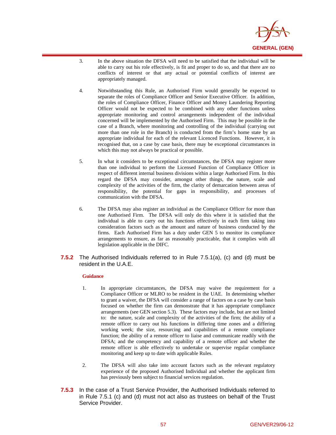

- 3. In the above situation the DFSA will need to be satisfied that the individual will be able to carry out his role effectively, is fit and proper to do so, and that there are no conflicts of interest or that any actual or potential conflicts of interest are appropriately managed.
- 4. Notwithstanding this Rule, an Authorised Firm would generally be expected to separate the roles of Compliance Officer and Senior Executive Officer. In addition, the roles of Compliance Officer, Finance Officer and Money Laundering Reporting Officer would not be expected to be combined with any other functions unless appropriate monitoring and control arrangements independent of the individual concerned will be implemented by the Authorised Firm. This may be possible in the case of a Branch, where monitoring and controlling of the individual (carrying out more than one role in the Branch) is conducted from the firm's home state by an appropriate individual for each of the relevant Licenced Functions. However, it is recognised that, on a case by case basis, there may be exceptional circumstances in which this may not always be practical or possible.
- 5. In what it considers to be exceptional circumstances, the DFSA may register more than one individual to perform the Licensed Function of Compliance Officer in respect of different internal business divisions within a large Authorised Firm. In this regard the DFSA may consider, amongst other things, the nature, scale and complexity of the activities of the firm, the clarity of demarcation between areas of responsibility, the potential for gaps in responsibility, and processes of communication with the DFSA.
- 6. The DFSA may also register an individual as the Compliance Officer for more than one Authorised Firm. The DFSA will only do this where it is satisfied that the individual is able to carry out his functions effectively in each firm taking into consideration factors such as the amount and nature of business conducted by the firms. Each Authorised Firm has a duty under GEN 5 to monitor its compliance arrangements to ensure, as far as reasonably practicable, that it complies with all legislation applicable in the DIFC.
- **7.5.2** The Authorised Individuals referred to in Rule 7.5.1(a), (c) and (d) must be resident in the U.A.E.

 $\overline{a}$ 

- 1. In appropriate circumstances, the DFSA may waive the requirement for a Compliance Officer or MLRO to be resident in the UAE. In determining whether to grant a waiver, the DFSA will consider a range of factors on a case by case basis focused on whether the firm can demonstrate that it has appropriate compliance arrangements (see GEN section 5.3). These factors may include, but are not limited to: the nature, scale and complexity of the activities of the firm; the ability of a remote officer to carry out his functions in differing time zones and a differing working week; the size, resourcing and capabilities of a remote compliance function; the ability of a remote officer to liaise and communicate readily with the DFSA; and the competency and capability of a remote officer and whether the remote officer is able effectively to undertake or supervise regular compliance monitoring and keep up to date with applicable Rules.
- 2. The DFSA will also take into account factors such as the relevant regulatory experience of the proposed Authorised Individual and whether the applicant firm has previously been subject to financial services regulation.
- **7.5.3** In the case of a Trust Service Provider, the Authorised Individuals referred to in Rule 7.5.1 (c) and (d) must not act also as trustees on behalf of the Trust Service Provider.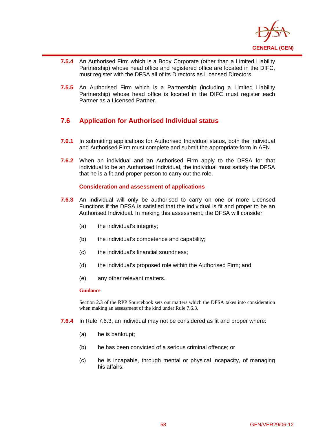

- **7.5.4** An Authorised Firm which is a Body Corporate (other than a Limited Liability Partnership) whose head office and registered office are located in the DIFC, must register with the DFSA all of its Directors as Licensed Directors.
- **7.5.5** An Authorised Firm which is a Partnership (including a Limited Liability Partnership) whose head office is located in the DIFC must register each Partner as a Licensed Partner.

# **7.6 Application for Authorised Individual status**

- **7.6.1** In submitting applications for Authorised Individual status, both the individual and Authorised Firm must complete and submit the appropriate form in AFN.
- **7.6.2** When an individual and an Authorised Firm apply to the DFSA for that individual to be an Authorised Individual, the individual must satisfy the DFSA that he is a fit and proper person to carry out the role.

### **Consideration and assessment of applications**

- **7.6.3** An individual will only be authorised to carry on one or more Licensed Functions if the DFSA is satisfied that the individual is fit and proper to be an Authorised Individual. In making this assessment, the DFSA will consider:
	- (a) the individual's integrity;
	- (b) the individual's competence and capability;
	- (c) the individual's financial soundness;
	- (d) the individual's proposed role within the Authorised Firm; and
	- (e) any other relevant matters.

### **Guidance**

 $\overline{a}$ 

Section 2.3 of the RPP Sourcebook sets out matters which the DFSA takes into consideration when making an assessment of the kind under Rule 7.6.3.

- **7.6.4** In Rule 7.6.3, an individual may not be considered as fit and proper where:
	- (a) he is bankrupt;
	- (b) he has been convicted of a serious criminal offence; or
	- (c) he is incapable, through mental or physical incapacity, of managing his affairs.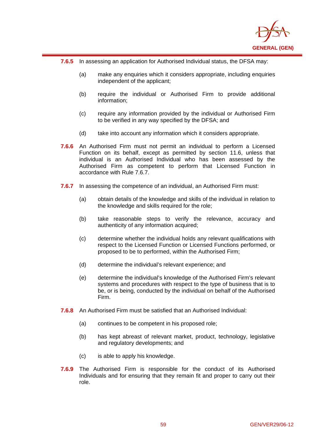

**7.6.5** In assessing an application for Authorised Individual status, the DFSA may:

 $\overline{a}$ 

- (a) make any enquiries which it considers appropriate, including enquiries independent of the applicant;
- (b) require the individual or Authorised Firm to provide additional information;
- (c) require any information provided by the individual or Authorised Firm to be verified in any way specified by the DFSA; and
- (d) take into account any information which it considers appropriate.
- **7.6.6** An Authorised Firm must not permit an individual to perform a Licensed Function on its behalf, except as permitted by section 11.6, unless that individual is an Authorised Individual who has been assessed by the Authorised Firm as competent to perform that Licensed Function in accordance with Rule 7.6.7.
- **7.6.7** In assessing the competence of an individual, an Authorised Firm must:
	- (a) obtain details of the knowledge and skills of the individual in relation to the knowledge and skills required for the role;
	- (b) take reasonable steps to verify the relevance, accuracy and authenticity of any information acquired;
	- (c) determine whether the individual holds any relevant qualifications with respect to the Licensed Function or Licensed Functions performed, or proposed to be to performed, within the Authorised Firm;
	- (d) determine the individual's relevant experience; and
	- (e) determine the individual's knowledge of the Authorised Firm's relevant systems and procedures with respect to the type of business that is to be, or is being, conducted by the individual on behalf of the Authorised Firm.
- **7.6.8** An Authorised Firm must be satisfied that an Authorised Individual:
	- (a) continues to be competent in his proposed role;
	- (b) has kept abreast of relevant market, product, technology, legislative and regulatory developments; and
	- (c) is able to apply his knowledge.
- **7.6.9** The Authorised Firm is responsible for the conduct of its Authorised Individuals and for ensuring that they remain fit and proper to carry out their role.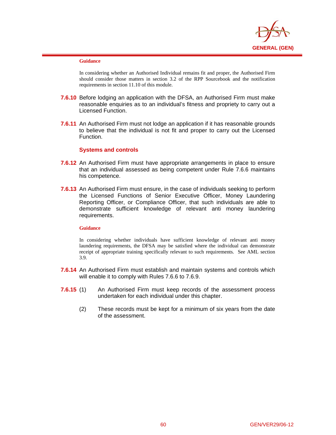

 $\overline{a}$ 

In considering whether an Authorised Individual remains fit and proper, the Authorised Firm should consider those matters in section 3.2 of the RPP Sourcebook and the notification requirements in section 11.10 of this module.

- **7.6.10** Before lodging an application with the DFSA, an Authorised Firm must make reasonable enquiries as to an individual's fitness and propriety to carry out a Licensed Function.
- **7.6.11** An Authorised Firm must not lodge an application if it has reasonable grounds to believe that the individual is not fit and proper to carry out the Licensed Function.

### **Systems and controls**

- **7.6.12** An Authorised Firm must have appropriate arrangements in place to ensure that an individual assessed as being competent under Rule 7.6.6 maintains his competence.
- **7.6.13** An Authorised Firm must ensure, in the case of individuals seeking to perform the Licensed Functions of Senior Executive Officer, Money Laundering Reporting Officer, or Compliance Officer, that such individuals are able to demonstrate sufficient knowledge of relevant anti money laundering requirements.

### **Guidance**

In considering whether individuals have sufficient knowledge of relevant anti money laundering requirements, the DFSA may be satisfied where the individual can demonstrate receipt of appropriate training specifically relevant to such requirements. See AML section 3.9.

- **7.6.14** An Authorised Firm must establish and maintain systems and controls which will enable it to comply with Rules 7.6.6 to 7.6.9.
- **7.6.15** (1) An Authorised Firm must keep records of the assessment process undertaken for each individual under this chapter.
	- (2) These records must be kept for a minimum of six years from the date of the assessment.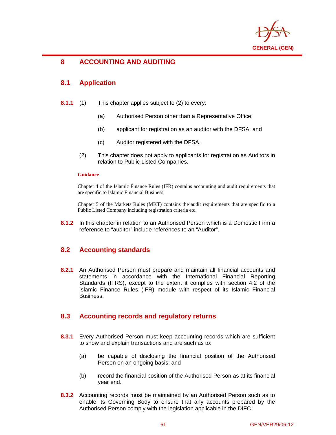

### $\overline{a}$ **8 ACCOUNTING AND AUDITING**

## **8.1 Application**

- **8.1.1** (1) This chapter applies subject to (2) to every:
	- (a) Authorised Person other than a Representative Office;
	- (b) applicant for registration as an auditor with the DFSA; and
	- (c) Auditor registered with the DFSA.
	- (2) This chapter does not apply to applicants for registration as Auditors in relation to Public Listed Companies.

### **Guidance**

Chapter 4 of the Islamic Finance Rules (IFR) contains accounting and audit requirements that are specific to Islamic Financial Business.

Chapter 5 of the Markets Rules (MKT) contains the audit requirements that are specific to a Public Listed Company including registration criteria etc.

**8.1.2** In this chapter in relation to an Authorised Person which is a Domestic Firm a reference to "auditor" include references to an "Auditor".

# **8.2 Accounting standards**

**8.2.1** An Authorised Person must prepare and maintain all financial accounts and statements in accordance with the International Financial Reporting Standards (IFRS), except to the extent it complies with section 4.2 of the Islamic Finance Rules (IFR) module with respect of its Islamic Financial Business.

## **8.3 Accounting records and regulatory returns**

- **8.3.1** Every Authorised Person must keep accounting records which are sufficient to show and explain transactions and are such as to:
	- (a) be capable of disclosing the financial position of the Authorised Person on an ongoing basis; and
	- (b) record the financial position of the Authorised Person as at its financial year end.
- **8.3.2** Accounting records must be maintained by an Authorised Person such as to enable its Governing Body to ensure that any accounts prepared by the Authorised Person comply with the legislation applicable in the DIFC.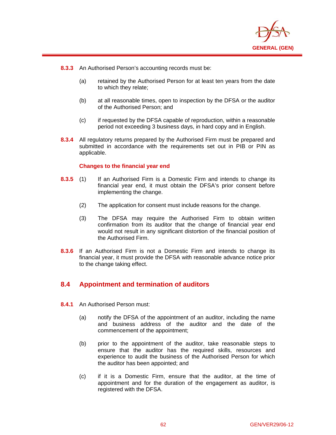

**8.3.3** An Authorised Person's accounting records must be:

 $\overline{a}$ 

- (a) retained by the Authorised Person for at least ten years from the date to which they relate;
- (b) at all reasonable times, open to inspection by the DFSA or the auditor of the Authorised Person; and
- (c) if requested by the DFSA capable of reproduction, within a reasonable period not exceeding 3 business days, in hard copy and in English.
- **8.3.4** All regulatory returns prepared by the Authorised Firm must be prepared and submitted in accordance with the requirements set out in PIB or PIN as applicable.

### **Changes to the financial year end**

- **8.3.5** (1) If an Authorised Firm is a Domestic Firm and intends to change its financial year end, it must obtain the DFSA's prior consent before implementing the change.
	- (2) The application for consent must include reasons for the change.
	- (3) The DFSA may require the Authorised Firm to obtain written confirmation from its auditor that the change of financial year end would not result in any significant distortion of the financial position of the Authorised Firm.
- **8.3.6** If an Authorised Firm is not a Domestic Firm and intends to change its financial year, it must provide the DFSA with reasonable advance notice prior to the change taking effect.

# **8.4 Appointment and termination of auditors**

- **8.4.1** An Authorised Person must:
	- (a) notify the DFSA of the appointment of an auditor, including the name and business address of the auditor and the date of the commencement of the appointment;
	- (b) prior to the appointment of the auditor, take reasonable steps to ensure that the auditor has the required skills, resources and experience to audit the business of the Authorised Person for which the auditor has been appointed; and
	- (c) if it is a Domestic Firm, ensure that the auditor, at the time of appointment and for the duration of the engagement as auditor, is registered with the DFSA.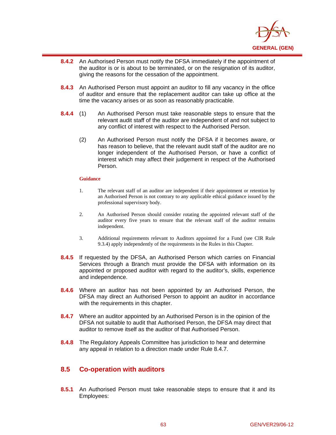

- **8.4.2** An Authorised Person must notify the DFSA immediately if the appointment of the auditor is or is about to be terminated, or on the resignation of its auditor, giving the reasons for the cessation of the appointment.
- **8.4.3** An Authorised Person must appoint an auditor to fill any vacancy in the office of auditor and ensure that the replacement auditor can take up office at the time the vacancy arises or as soon as reasonably practicable.
- **8.4.4** (1) An Authorised Person must take reasonable steps to ensure that the relevant audit staff of the auditor are independent of and not subject to any conflict of interest with respect to the Authorised Person.
	- (2) An Authorised Person must notify the DFSA if it becomes aware, or has reason to believe, that the relevant audit staff of the auditor are no longer independent of the Authorised Person, or have a conflict of interest which may affect their judgement in respect of the Authorised Person.

 $\overline{a}$ 

- 1. The relevant staff of an auditor are independent if their appointment or retention by an Authorised Person is not contrary to any applicable ethical guidance issued by the professional supervisory body.
- 2. An Authorised Person should consider rotating the appointed relevant staff of the auditor every five years to ensure that the relevant staff of the auditor remains independent.
- 3. Additional requirements relevant to Auditors appointed for a Fund (see CIR Rule 9.3.4) apply independently of the requirements in the Rules in this Chapter.
- **8.4.5** If requested by the DFSA, an Authorised Person which carries on Financial Services through a Branch must provide the DFSA with information on its appointed or proposed auditor with regard to the auditor's, skills, experience and independence.
- **8.4.6** Where an auditor has not been appointed by an Authorised Person, the DFSA may direct an Authorised Person to appoint an auditor in accordance with the requirements in this chapter.
- **8.4.7** Where an auditor appointed by an Authorised Person is in the opinion of the DFSA not suitable to audit that Authorised Person, the DFSA may direct that auditor to remove itself as the auditor of that Authorised Person.
- **8.4.8** The Regulatory Appeals Committee has jurisdiction to hear and determine any appeal in relation to a direction made under Rule 8.4.7.

### **8.5 Co-operation with auditors**

**8.5.1** An Authorised Person must take reasonable steps to ensure that it and its Employees: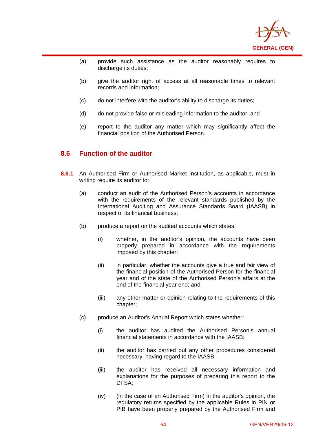

- (a) provide such assistance as the auditor reasonably requires to discharge its duties;
- (b) give the auditor right of access at all reasonable times to relevant records and information;
- (c) do not interfere with the auditor's ability to discharge its duties;
- (d) do not provide false or misleading information to the auditor; and
- (e) report to the auditor any matter which may significantly affect the financial position of the Authorised Person.

## **8.6 Function of the auditor**

 $\overline{a}$ 

- **8.6.1** An Authorised Firm or Authorised Market Institution, as applicable, must in writing require its auditor to:
	- (a) conduct an audit of the Authorised Person's accounts in accordance with the requirements of the relevant standards published by the International Auditing and Assurance Standards Board (IAASB) in respect of its financial business;
	- (b) produce a report on the audited accounts which states:
		- (i) whether, in the auditor's opinion, the accounts have been properly prepared in accordance with the requirements imposed by this chapter;
		- (ii) in particular, whether the accounts give a true and fair view of the financial position of the Authorised Person for the financial year and of the state of the Authorised Person's affairs at the end of the financial year end; and
		- (iii) any other matter or opinion relating to the requirements of this chapter;
	- (c) produce an Auditor's Annual Report which states whether:
		- (i) the auditor has audited the Authorised Person's annual financial statements in accordance with the IAASB;
		- (ii) the auditor has carried out any other procedures considered necessary, having regard to the IAASB;
		- (iii) the auditor has received all necessary information and explanations for the purposes of preparing this report to the DFSA;
		- (iv) (in the case of an Authorised Firm) in the auditor's opinion, the regulatory returns specified by the applicable Rules in PIN or PIB have been properly prepared by the Authorised Firm and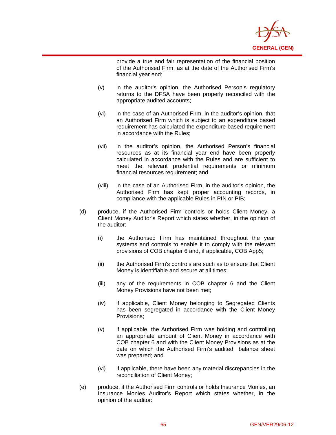

provide a true and fair representation of the financial position of the Authorised Firm, as at the date of the Authorised Firm's financial year end;

(v) in the auditor's opinion, the Authorised Person's regulatory returns to the DFSA have been properly reconciled with the appropriate audited accounts;

 $\overline{a}$ 

- (vi) in the case of an Authorised Firm, in the auditor's opinion, that an Authorised Firm which is subject to an expenditure based requirement has calculated the expenditure based requirement in accordance with the Rules;
- (vii) in the auditor's opinion, the Authorised Person's financial resources as at its financial year end have been properly calculated in accordance with the Rules and are sufficient to meet the relevant prudential requirements or minimum financial resources requirement; and
- (viii) in the case of an Authorised Firm, in the auditor's opinion, the Authorised Firm has kept proper accounting records, in compliance with the applicable Rules in PIN or PIB;
- (d) produce, if the Authorised Firm controls or holds Client Money, a Client Money Auditor's Report which states whether, in the opinion of the auditor:
	- (i) the Authorised Firm has maintained throughout the year systems and controls to enable it to comply with the relevant provisions of COB chapter 6 and, if applicable, COB App5;
	- (ii) the Authorised Firm's controls are such as to ensure that Client Money is identifiable and secure at all times;
	- (iii) any of the requirements in COB chapter 6 and the Client Money Provisions have not been met;
	- (iv) if applicable, Client Money belonging to Segregated Clients has been segregated in accordance with the Client Money Provisions;
	- (v) if applicable, the Authorised Firm was holding and controlling an appropriate amount of Client Money in accordance with COB chapter 6 and with the Client Money Provisions as at the date on which the Authorised Firm's audited balance sheet was prepared; and
	- (vi) if applicable, there have been any material discrepancies in the reconciliation of Client Money;
- (e) produce, if the Authorised Firm controls or holds Insurance Monies, an Insurance Monies Auditor's Report which states whether, in the opinion of the auditor: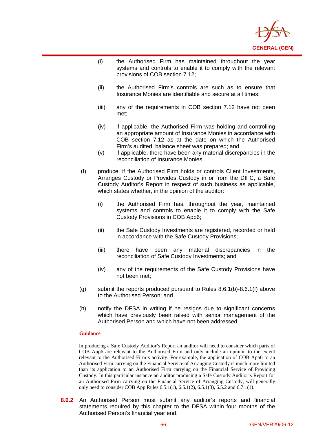

- (i) the Authorised Firm has maintained throughout the year systems and controls to enable it to comply with the relevant provisions of COB section 7.12;
- (ii) the Authorised Firm's controls are such as to ensure that Insurance Monies are identifiable and secure at all times;
- (iii) any of the requirements in COB section 7.12 have not been met;
- (iv) if applicable, the Authorised Firm was holding and controlling an appropriate amount of Insurance Monies in accordance with COB section 7.12 as at the date on which the Authorised Firm's audited balance sheet was prepared; and
- (v) if applicable, there have been any material discrepancies in the reconciliation of Insurance Monies;
- (f) produce, if the Authorised Firm holds or controls Client Investments, Arranges Custody or Provides Custody in or from the DIFC, a Safe Custody Auditor's Report in respect of such business as applicable, which states whether, in the opinion of the auditor:
	- (i) the Authorised Firm has, throughout the year, maintained systems and controls to enable it to comply with the Safe Custody Provisions in COB App6;
	- (ii) the Safe Custody Investments are registered, recorded or held in accordance with the Safe Custody Provisions;
	- (iii) there have been any material discrepancies in the reconciliation of Safe Custody Investments; and
	- (iv) any of the requirements of the Safe Custody Provisions have not been met;
- (g) submit the reports produced pursuant to Rules 8.6.1(b)-8.6.1(f) above to the Authorised Person; and
- (h) notify the DFSA in writing if he resigns due to significant concerns which have previously been raised with senior management of the Authorised Person and which have not been addressed.

 $\overline{a}$ 

In producing a Safe Custody Auditor's Report an auditor will need to consider which parts of COB App6 are relevant to the Authorised Firm and only include an opinion to the extent relevant to the Authorised Firm's activity. For example, the application of COB App6 to an Authorised Firm carrying on the Financial Service of Arranging Custody is much more limited than its application to an Authorised Firm carrying on the Financial Service of Providing Custody. In this particular instance an auditor producing a Safe Custody Auditor's Report for an Authorised Firm carrying on the Financial Service of Arranging Custody, will generally only need to consider COB App Rules 6.5.1(1), 6.5.1(2), 6.5.1(3), 6.5.2 and 6.7.1(1).

**8.6.2** An Authorised Person must submit any auditor's reports and financial statements required by this chapter to the DFSA within four months of the Authorised Person's financial year end.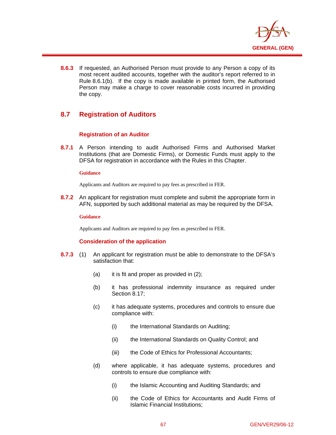

**8.6.3** If requested, an Authorised Person must provide to any Person a copy of its most recent audited accounts, together with the auditor's report referred to in Rule 8.6.1(b). If the copy is made available in printed form, the Authorised Person may make a charge to cover reasonable costs incurred in providing the copy.

# **8.7 Registration of Auditors**

### **Registration of an Auditor**

**8.7.1** A Person intending to audit Authorised Firms and Authorised Market Institutions (that are Domestic Firms), or Domestic Funds must apply to the DFSA for registration in accordance with the Rules in this Chapter.

### **Guidance**

 $\overline{a}$ 

Applicants and Auditors are required to pay fees as prescribed in FER.

**8.7.2** An applicant for registration must complete and submit the appropriate form in AFN, supported by such additional material as may be required by the DFSA.

### **Guidance**

Applicants and Auditors are required to pay fees as prescribed in FER.

### **Consideration of the application**

- **8.7.3** (1) An applicant for registration must be able to demonstrate to the DFSA's satisfaction that:
	- (a) it is fit and proper as provided in (2);
	- (b) it has professional indemnity insurance as required under Section 8.17;
	- (c) it has adequate systems, procedures and controls to ensure due compliance with:
		- (i) the International Standards on Auditing;
		- (ii) the International Standards on Quality Control; and
		- (iii) the Code of Ethics for Professional Accountants;
	- (d) where applicable, it has adequate systems, procedures and controls to ensure due compliance with:
		- (i) the Islamic Accounting and Auditing Standards; and
		- (ii) the Code of Ethics for Accountants and Audit Firms of Islamic Financial Institutions;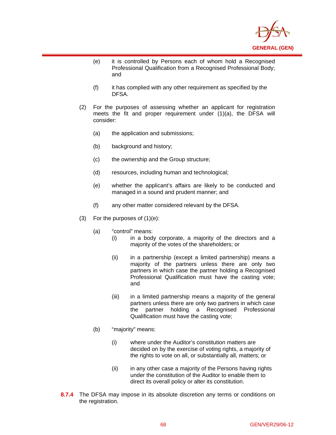

- (e) it is controlled by Persons each of whom hold a Recognised Professional Qualification from a Recognised Professional Body; and
- (f) it has complied with any other requirement as specified by the DFSA.
- (2) For the purposes of assessing whether an applicant for registration meets the fit and proper requirement under (1)(a), the DFSA will consider:
	- (a) the application and submissions;
	- (b) background and history;

- (c) the ownership and the Group structure;
- (d) resources, including human and technological;
- (e) whether the applicant's affairs are likely to be conducted and managed in a sound and prudent manner; and
- (f) any other matter considered relevant by the DFSA.
- (3) For the purposes of  $(1)(e)$ :
	- (a) "control" means:
		- (i) in a body corporate, a majority of the directors and a majority of the votes of the shareholders; or
		- (ii) in a partnership (except a limited partnership) means a majority of the partners unless there are only two partners in which case the partner holding a Recognised Professional Qualification must have the casting vote; and
		- (iii) in a limited partnership means a majority of the general partners unless there are only two partners in which case the partner holding a Recognised Professional Qualification must have the casting vote;
	- (b) "majority" means:
		- (i) where under the Auditor's constitution matters are decided on by the exercise of voting rights, a majority of the rights to vote on all, or substantially all, matters; or
		- (ii) in any other case a majority of the Persons having rights under the constitution of the Auditor to enable them to direct its overall policy or alter its constitution.
- **8.7.4** The DFSA may impose in its absolute discretion any terms or conditions on the registration.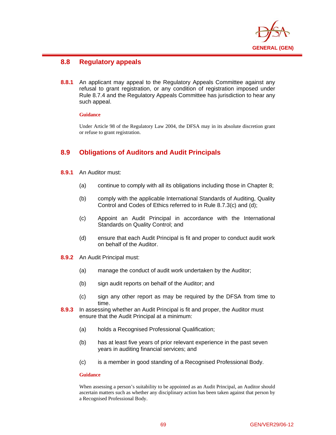

# **8.8 Regulatory appeals**

**8.8.1** An applicant may appeal to the Regulatory Appeals Committee against any refusal to grant registration, or any condition of registration imposed under Rule 8.7.4 and the Regulatory Appeals Committee has jurisdiction to hear any such appeal.

### **Guidance**

 $\overline{a}$ 

Under Article 98 of the Regulatory Law 2004, the DFSA may in its absolute discretion grant or refuse to grant registration.

# **8.9 Obligations of Auditors and Audit Principals**

- **8.9.1** An Auditor must:
	- (a) continue to comply with all its obligations including those in Chapter 8;
	- (b) comply with the applicable International Standards of Auditing, Quality Control and Codes of Ethics referred to in Rule 8.7.3(c) and (d);
	- (c) Appoint an Audit Principal in accordance with the International Standards on Quality Control; and
	- (d) ensure that each Audit Principal is fit and proper to conduct audit work on behalf of the Auditor.
- **8.9.2** An Audit Principal must:
	- (a) manage the conduct of audit work undertaken by the Auditor;
	- (b) sign audit reports on behalf of the Auditor; and
	- (c) sign any other report as may be required by the DFSA from time to time.
- **8.9.3** In assessing whether an Audit Principal is fit and proper, the Auditor must ensure that the Audit Principal at a minimum:
	- (a) holds a Recognised Professional Qualification;
	- (b) has at least five years of prior relevant experience in the past seven years in auditing financial services; and
	- (c) is a member in good standing of a Recognised Professional Body.

### **Guidance**

When assessing a person's suitability to be appointed as an Audit Principal, an Auditor should ascertain matters such as whether any disciplinary action has been taken against that person by a Recognised Professional Body.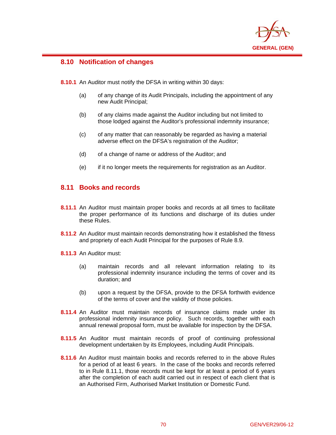

# **8.10 Notification of changes**

 $\overline{a}$ 

**8.10.1** An Auditor must notify the DFSA in writing within 30 days:

- (a) of any change of its Audit Principals, including the appointment of any new Audit Principal;
- (b) of any claims made against the Auditor including but not limited to those lodged against the Auditor's professional indemnity insurance;
- (c) of any matter that can reasonably be regarded as having a material adverse effect on the DFSA's registration of the Auditor;
- (d) of a change of name or address of the Auditor; and
- (e) if it no longer meets the requirements for registration as an Auditor.

# **8.11 Books and records**

- **8.11.1** An Auditor must maintain proper books and records at all times to facilitate the proper performance of its functions and discharge of its duties under these Rules.
- **8.11.2** An Auditor must maintain records demonstrating how it established the fitness and propriety of each Audit Principal for the purposes of Rule 8.9.
- **8.11.3** An Auditor must:
	- (a) maintain records and all relevant information relating to its professional indemnity insurance including the terms of cover and its duration; and
	- (b) upon a request by the DFSA, provide to the DFSA forthwith evidence of the terms of cover and the validity of those policies.
- **8.11.4** An Auditor must maintain records of insurance claims made under its professional indemnity insurance policy. Such records, together with each annual renewal proposal form, must be available for inspection by the DFSA.
- **8.11.5** An Auditor must maintain records of proof of continuing professional development undertaken by its Employees, including Audit Principals.
- **8.11.6** An Auditor must maintain books and records referred to in the above Rules for a period of at least 6 years. In the case of the books and records referred to in Rule 8.11.1, those records must be kept for at least a period of 6 years after the completion of each audit carried out in respect of each client that is an Authorised Firm, Authorised Market Institution or Domestic Fund.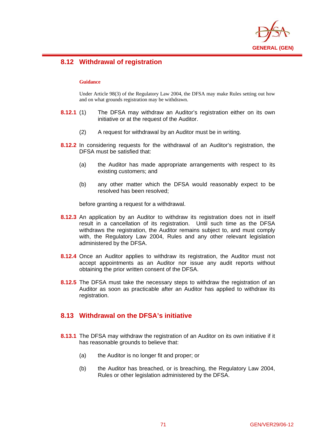

# **8.12 Withdrawal of registration**

### **Guidance**

 $\overline{a}$ 

Under Article 98(3) of the Regulatory Law 2004, the DFSA may make Rules setting out how and on what grounds registration may be withdrawn.

- **8.12.1** (1) The DFSA may withdraw an Auditor's registration either on its own initiative or at the request of the Auditor.
	- (2) A request for withdrawal by an Auditor must be in writing.
- **8.12.2** In considering requests for the withdrawal of an Auditor's registration, the DFSA must be satisfied that:
	- (a) the Auditor has made appropriate arrangements with respect to its existing customers; and
	- (b) any other matter which the DFSA would reasonably expect to be resolved has been resolved;

before granting a request for a withdrawal.

- **8.12.3** An application by an Auditor to withdraw its registration does not in itself result in a cancellation of its registration. Until such time as the DFSA withdraws the registration, the Auditor remains subject to, and must comply with, the Regulatory Law 2004, Rules and any other relevant legislation administered by the DFSA.
- **8.12.4** Once an Auditor applies to withdraw its registration, the Auditor must not accept appointments as an Auditor nor issue any audit reports without obtaining the prior written consent of the DFSA.
- **8.12.5** The DFSA must take the necessary steps to withdraw the registration of an Auditor as soon as practicable after an Auditor has applied to withdraw its registration.

# **8.13 Withdrawal on the DFSA's initiative**

- **8.13.1** The DFSA may withdraw the registration of an Auditor on its own initiative if it has reasonable grounds to believe that:
	- (a) the Auditor is no longer fit and proper; or
	- (b) the Auditor has breached, or is breaching, the Regulatory Law 2004, Rules or other legislation administered by the DFSA.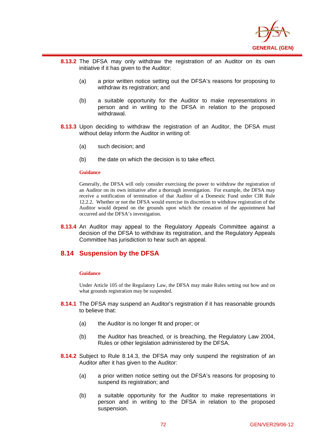

- **8.13.2** The DFSA may only withdraw the registration of an Auditor on its own initiative if it has given to the Auditor:
	- (a) a prior written notice setting out the DFSA's reasons for proposing to withdraw its registration; and
	- (b) a suitable opportunity for the Auditor to make representations in person and in writing to the DFSA in relation to the proposed withdrawal.
- **8.13.3** Upon deciding to withdraw the registration of an Auditor, the DFSA must without delay inform the Auditor in writing of:
	- (a) such decision; and
	- (b) the date on which the decision is to take effect.

#### **Guidance**

 $\overline{a}$ 

Generally, the DFSA will only consider exercising the power to withdraw the registration of an Auditor on its own initiative after a thorough investigation. For example, the DFSA may receive a notification of termination of that Auditor of a Domestic Fund under CIR Rule 12.2.2. Whether or not the DFSA would exercise its discretion to withdraw registration of the Auditor would depend on the grounds upon which the cessation of the appointment had occurred and the DFSA's investigation.

**8.13.4** An Auditor may appeal to the Regulatory Appeals Committee against a decision of the DFSA to withdraw its registration, and the Regulatory Appeals Committee has jurisdiction to hear such an appeal.

## **8.14 Suspension by the DFSA**

#### **Guidance**

Under Article 105 of the Regulatory Law, the DFSA may make Rules setting out how and on what grounds registration may be suspended.

- **8.14.1** The DFSA may suspend an Auditor's registration if it has reasonable grounds to believe that:
	- (a) the Auditor is no longer fit and proper; or
	- (b) the Auditor has breached, or is breaching, the Regulatory Law 2004, Rules or other legislation administered by the DFSA.
- **8.14.2** Subject to Rule 8.14.3, the DFSA may only suspend the registration of an Auditor after it has given to the Auditor:
	- (a) a prior written notice setting out the DFSA's reasons for proposing to suspend its registration; and
	- (b) a suitable opportunity for the Auditor to make representations in person and in writing to the DFSA in relation to the proposed suspension.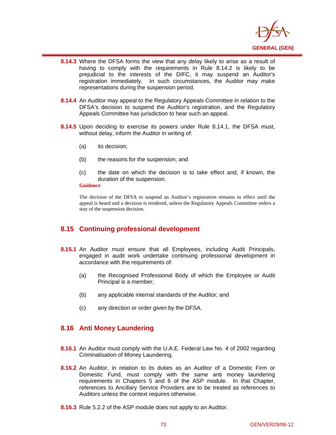

- **8.14.3** Where the DFSA forms the view that any delay likely to arise as a result of having to comply with the requirements in Rule 8.14.2 is likely to be prejudicial to the interests of the DIFC, it may suspend an Auditor's registration immediately. In such circumstances, the Auditor may make representations during the suspension period.
- **8.14.4** An Auditor may appeal to the Regulatory Appeals Committee in relation to the DFSA's decision to suspend the Auditor's registration, and the Regulatory Appeals Committee has jurisdiction to hear such an appeal.
- **8.14.5** Upon deciding to exercise its powers under Rule 8.14.1, the DFSA must, without delay, inform the Auditor in writing of:
	- (a) its decision;
	- (b) the reasons for the suspension; and
	- (c) the date on which the decision is to take effect and, if known, the duration of the suspension.

#### **Guidance**

 $\overline{a}$ 

The decision of the DFSA to suspend an Auditor's registration remains in effect until the appeal is heard and a decision is rendered, unless the Regulatory Appeals Committee orders a stay of the suspension decision.

# **8.15 Continuing professional development**

- **8.15.1** An Auditor must ensure that all Employees, including Audit Principals, engaged in audit work undertake continuing professional development in accordance with the requirements of:
	- (a) the Recognised Professional Body of which the Employee or Audit Principal is a member;
	- (b) any applicable internal standards of the Auditor; and
	- (c) any direction or order given by the DFSA.

# **8.16 Anti Money Laundering**

- **8.16.1** An Auditor must comply with the U.A.E. Federal Law No. 4 of 2002 regarding Criminalisation of Money Laundering.
- **8.16.2** An Auditor, in relation to its duties as an Auditor of a Domestic Firm or Domestic Fund, must comply with the same anti money laundering requirements in Chapters 5 and 6 of the ASP module. In that Chapter, references to Ancillary Service Providers are to be treated as references to Auditors unless the context requires otherwise.
- **8.16.3** Rule 5.2.2 of the ASP module does not apply to an Auditor.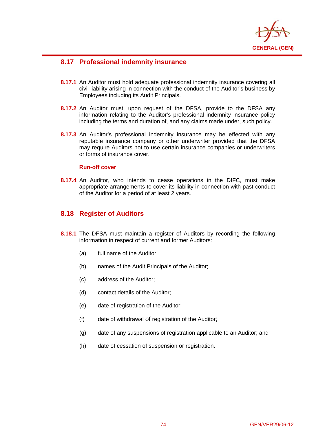

# **8.17 Professional indemnity insurance**

- **8.17.1** An Auditor must hold adequate professional indemnity insurance covering all civil liability arising in connection with the conduct of the Auditor's business by Employees including its Audit Principals.
- **8.17.2** An Auditor must, upon request of the DFSA, provide to the DFSA any information relating to the Auditor's professional indemnity insurance policy including the terms and duration of, and any claims made under, such policy.
- **8.17.3** An Auditor's professional indemnity insurance may be effected with any reputable insurance company or other underwriter provided that the DFSA may require Auditors not to use certain insurance companies or underwriters or forms of insurance cover.

## **Run-off cover**

 $\overline{a}$ 

**8.17.4** An Auditor, who intends to cease operations in the DIFC, must make appropriate arrangements to cover its liability in connection with past conduct of the Auditor for a period of at least 2 years.

# **8.18 Register of Auditors**

- **8.18.1** The DFSA must maintain a register of Auditors by recording the following information in respect of current and former Auditors:
	- (a) full name of the Auditor;
	- (b) names of the Audit Principals of the Auditor;
	- (c) address of the Auditor;
	- (d) contact details of the Auditor;
	- (e) date of registration of the Auditor;
	- (f) date of withdrawal of registration of the Auditor;
	- (g) date of any suspensions of registration applicable to an Auditor; and
	- (h) date of cessation of suspension or registration.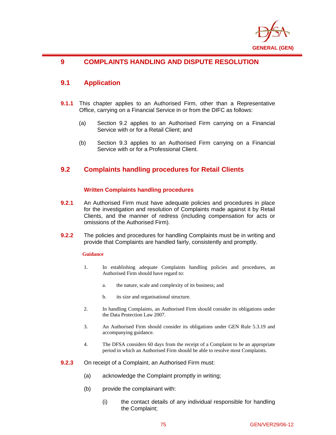

## $\overline{a}$ **9 COMPLAINTS HANDLING AND DISPUTE RESOLUTION**

# **9.1 Application**

- **9.1.1** This chapter applies to an Authorised Firm, other than a Representative Office, carrying on a Financial Service in or from the DIFC as follows:
	- (a) Section 9.2 applies to an Authorised Firm carrying on a Financial Service with or for a Retail Client; and
	- (b) Section 9.3 applies to an Authorised Firm carrying on a Financial Service with or for a Professional Client.

# **9.2 Complaints handling procedures for Retail Clients**

## **Written Complaints handling procedures**

- **9.2.1** An Authorised Firm must have adequate policies and procedures in place for the investigation and resolution of Complaints made against it by Retail Clients, and the manner of redress (including compensation for acts or omissions of the Authorised Firm).
- **9.2.2** The policies and procedures for handling Complaints must be in writing and provide that Complaints are handled fairly, consistently and promptly.

## **Guidance**

- 1. In establishing adequate Complaints handling policies and procedures, an Authorised Firm should have regard to:
	- a. the nature, scale and complexity of its business; and
	- b. its size and organisational structure.
- 2. In handling Complaints, an Authorised Firm should consider its obligations under the Data Protection Law 2007.
- 3. An Authorised Firm should consider its obligations under GEN Rule 5.3.19 and accompanying guidance.
- 4. The DFSA considers 60 days from the receipt of a Complaint to be an appropriate period in which an Authorised Firm should be able to resolve most Complaints.
- **9.2.3** On receipt of a Complaint, an Authorised Firm must:
	- (a) acknowledge the Complaint promptly in writing;
	- (b) provide the complainant with:
		- (i) the contact details of any individual responsible for handling the Complaint;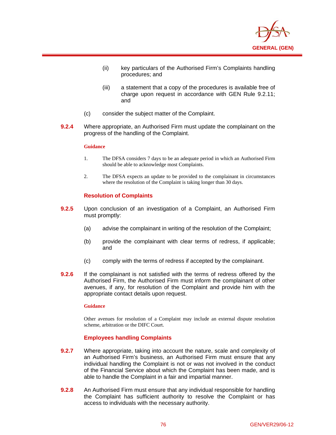

- (ii) key particulars of the Authorised Firm's Complaints handling procedures; and
- (iii) a statement that a copy of the procedures is available free of charge upon request in accordance with GEN Rule 9.2.11; and
- (c) consider the subject matter of the Complaint.
- **9.2.4** Where appropriate, an Authorised Firm must update the complainant on the progress of the handling of the Complaint.

#### **Guidance**

 $\overline{a}$ 

- 1. The DFSA considers 7 days to be an adequate period in which an Authorised Firm should be able to acknowledge most Complaints.
- 2. The DFSA expects an update to be provided to the complainant in circumstances where the resolution of the Complaint is taking longer than 30 days.

### **Resolution of Complaints**

- **9.2.5** Upon conclusion of an investigation of a Complaint, an Authorised Firm must promptly:
	- (a) advise the complainant in writing of the resolution of the Complaint;
	- (b) provide the complainant with clear terms of redress, if applicable; and
	- (c) comply with the terms of redress if accepted by the complainant.
- **9.2.6** If the complainant is not satisfied with the terms of redress offered by the Authorised Firm, the Authorised Firm must inform the complainant of other avenues, if any, for resolution of the Complaint and provide him with the appropriate contact details upon request.

#### **Guidance**

Other avenues for resolution of a Complaint may include an external dispute resolution scheme, arbitration or the DIFC Court.

### **Employees handling Complaints**

- **9.2.7** Where appropriate, taking into account the nature, scale and complexity of an Authorised Firm's business, an Authorised Firm must ensure that any individual handling the Complaint is not or was not involved in the conduct of the Financial Service about which the Complaint has been made, and is able to handle the Complaint in a fair and impartial manner.
- **9.2.8** An Authorised Firm must ensure that any individual responsible for handling the Complaint has sufficient authority to resolve the Complaint or has access to individuals with the necessary authority.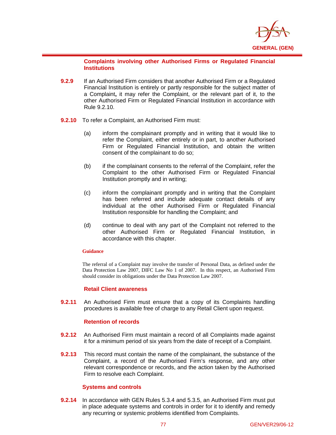

### **Complaints involving other Authorised Firms or Regulated Financial Institutions**

- **9.2.9** If an Authorised Firm considers that another Authorised Firm or a Regulated Financial Institution is entirely or partly responsible for the subject matter of a Complaint**,** it may refer the Complaint, or the relevant part of it, to the other Authorised Firm or Regulated Financial Institution in accordance with Rule 9.2.10.
- **9.2.10** To refer a Complaint, an Authorised Firm must:
	- (a) inform the complainant promptly and in writing that it would like to refer the Complaint, either entirely or in part, to another Authorised Firm or Regulated Financial Institution, and obtain the written consent of the complainant to do so;
	- (b) if the complainant consents to the referral of the Complaint, refer the Complaint to the other Authorised Firm or Regulated Financial Institution promptly and in writing;
	- (c) inform the complainant promptly and in writing that the Complaint has been referred and include adequate contact details of any individual at the other Authorised Firm or Regulated Financial Institution responsible for handling the Complaint; and
	- (d) continue to deal with any part of the Complaint not referred to the other Authorised Firm or Regulated Financial Institution, in accordance with this chapter.

### **Guidance**

 $\overline{a}$ 

The referral of a Complaint may involve the transfer of Personal Data, as defined under the Data Protection Law 2007, DIFC Law No 1 of 2007. In this respect, an Authorised Firm should consider its obligations under the Data Protection Law 2007.

### **Retail Client awareness**

**9.2.11** An Authorised Firm must ensure that a copy of its Complaints handling procedures is available free of charge to any Retail Client upon request.

### **Retention of records**

- **9.2.12** An Authorised Firm must maintain a record of all Complaints made against it for a minimum period of six years from the date of receipt of a Complaint.
- **9.2.13** This record must contain the name of the complainant, the substance of the Complaint, a record of the Authorised Firm's response, and any other relevant correspondence or records, and the action taken by the Authorised Firm to resolve each Complaint.

## **Systems and controls**

**9.2.14** In accordance with GEN Rules 5.3.4 and 5.3.5, an Authorised Firm must put in place adequate systems and controls in order for it to identify and remedy any recurring or systemic problems identified from Complaints.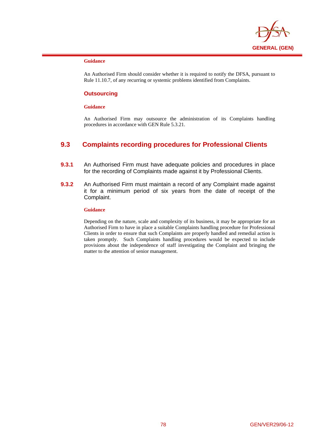

#### **Guidance**

 $\overline{a}$ 

An Authorised Firm should consider whether it is required to notify the DFSA, pursuant to Rule 11.10.7, of any recurring or systemic problems identified from Complaints.

### **Outsourcing**

#### **Guidance**

An Authorised Firm may outsource the administration of its Complaints handling procedures in accordance with GEN Rule 5.3.21.

# **9.3 Complaints recording procedures for Professional Clients**

- **9.3.1** An Authorised Firm must have adequate policies and procedures in place for the recording of Complaints made against it by Professional Clients.
- **9.3.2** An Authorised Firm must maintain a record of any Complaint made against it for a minimum period of six years from the date of receipt of the Complaint.

### **Guidance**

Depending on the nature, scale and complexity of its business, it may be appropriate for an Authorised Firm to have in place a suitable Complaints handling procedure for Professional Clients in order to ensure that such Complaints are properly handled and remedial action is taken promptly. Such Complaints handling procedures would be expected to include provisions about the independence of staff investigating the Complaint and bringing the matter to the attention of senior management.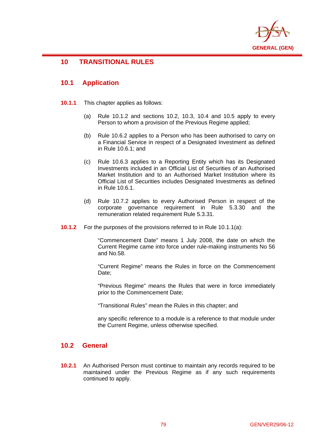

# **10 TRANSITIONAL RULES**

# **10.1 Application**

 $\overline{a}$ 

- **10.1.1** This chapter applies as follows:
	- (a) Rule 10.1.2 and sections 10.2, 10.3, 10.4 and 10.5 apply to every Person to whom a provision of the Previous Regime applied;
	- (b) Rule 10.6.2 applies to a Person who has been authorised to carry on a Financial Service in respect of a Designated Investment as defined in Rule 10.6.1; and
	- (c) Rule 10.6.3 applies to a Reporting Entity which has its Designated Investments included in an Official List of Securities of an Authorised Market Institution and to an Authorised Market Institution where its Official List of Securities includes Designated Investments as defined in Rule 10.6.1.
	- (d) Rule 10.7.2 applies to every Authorised Person in respect of the corporate governance requirement in Rule 5.3.30 and the remuneration related requirement Rule 5.3.31.
- **10.1.2** For the purposes of the provisions referred to in Rule 10.1.1(a):

"Commencement Date" means 1 July 2008, the date on which the Current Regime came into force under rule-making instruments No 56 and No.58.

"Current Regime" means the Rules in force on the Commencement Date:

"Previous Regime" means the Rules that were in force immediately prior to the Commencement Date;

"Transitional Rules" mean the Rules in this chapter; and

any specific reference to a module is a reference to that module under the Current Regime, unless otherwise specified.

# **10.2 General**

**10.2.1** An Authorised Person must continue to maintain any records required to be maintained under the Previous Regime as if any such requirements continued to apply.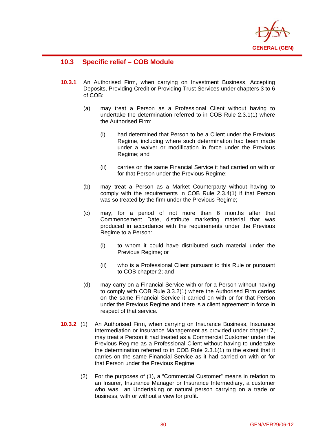

# **10.3 Specific relief – COB Module**

- **10.3.1** An Authorised Firm, when carrying on Investment Business, Accepting Deposits, Providing Credit or Providing Trust Services under chapters 3 to 6 of COB:
	- (a) may treat a Person as a Professional Client without having to undertake the determination referred to in COB Rule 2.3.1(1) where the Authorised Firm:
		- (i) had determined that Person to be a Client under the Previous Regime, including where such determination had been made under a waiver or modification in force under the Previous Regime; and
		- (ii) carries on the same Financial Service it had carried on with or for that Person under the Previous Regime;
	- (b) may treat a Person as a Market Counterparty without having to comply with the requirements in COB Rule 2.3.4(1) if that Person was so treated by the firm under the Previous Regime;
	- (c) may, for a period of not more than 6 months after that Commencement Date, distribute marketing material that was produced in accordance with the requirements under the Previous Regime to a Person:
		- (i) to whom it could have distributed such material under the Previous Regime; or
		- (ii) who is a Professional Client pursuant to this Rule or pursuant to COB chapter 2; and
	- (d) may carry on a Financial Service with or for a Person without having to comply with COB Rule 3.3.2(1) where the Authorised Firm carries on the same Financial Service it carried on with or for that Person under the Previous Regime and there is a client agreement in force in respect of that service.
- **10.3.2** (1) An Authorised Firm, when carrying on Insurance Business, Insurance Intermediation or Insurance Management as provided under chapter 7, may treat a Person it had treated as a Commercial Customer under the Previous Regime as a Professional Client without having to undertake the determination referred to in COB Rule 2.3.1(1) to the extent that it carries on the same Financial Service as it had carried on with or for that Person under the Previous Regime.
	- (2) For the purposes of (1), a "Commercial Customer" means in relation to an Insurer, Insurance Manager or Insurance Intermediary, a customer who was an Undertaking or natural person carrying on a trade or business, with or without a view for profit.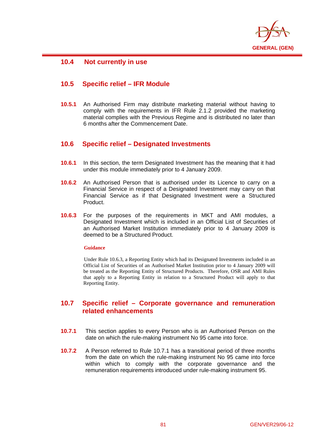

# **10.4 Not currently in use**

 $\overline{a}$ 

# **10.5 Specific relief – IFR Module**

**10.5.1** An Authorised Firm may distribute marketing material without having to comply with the requirements in IFR Rule 2.1.2 provided the marketing material complies with the Previous Regime and is distributed no later than 6 months after the Commencement Date.

# **10.6 Specific relief – Designated Investments**

- **10.6.1** In this section, the term Designated Investment has the meaning that it had under this module immediately prior to 4 January 2009.
- **10.6.2** An Authorised Person that is authorised under its Licence to carry on a Financial Service in respect of a Designated Investment may carry on that Financial Service as if that Designated Investment were a Structured Product.
- **10.6.3** For the purposes of the requirements in MKT and AMI modules, a Designated Investment which is included in an Official List of Securities of an Authorised Market Institution immediately prior to 4 January 2009 is deemed to be a Structured Product.

### **Guidance**

Under Rule 10.6.3, a Reporting Entity which had its Designated Investments included in an Official List of Securities of an Authorised Market Institution prior to 4 January 2009 will be treated as the Reporting Entity of Structured Products. Therefore, OSR and AMI Rules that apply to a Reporting Entity in relation to a Structured Product will apply to that Reporting Entity.

# **10.7 Specific relief – Corporate governance and remuneration related enhancements**

- **10.7.1** This section applies to every Person who is an Authorised Person on the date on which the rule-making instrument No 95 came into force.
- **10.7.2** A Person referred to Rule 10.7.1 has a transitional period of three months from the date on which the rule-making instrument No 95 came into force within which to comply with the corporate governance and the remuneration requirements introduced under rule-making instrument 95.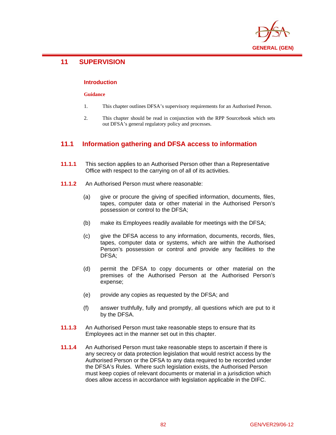

# **11 SUPERVISION**

 $\overline{a}$ 

### **Introduction**

### **Guidance**

- 1. This chapter outlines DFSA's supervisory requirements for an Authorised Person.
- 2. This chapter should be read in conjunction with the RPP Sourcebook which sets out DFSA's general regulatory policy and processes.

# **11.1 Information gathering and DFSA access to information**

- **11.1.1** This section applies to an Authorised Person other than a Representative Office with respect to the carrying on of all of its activities.
- **11.1.2** An Authorised Person must where reasonable:
	- (a) give or procure the giving of specified information, documents, files, tapes, computer data or other material in the Authorised Person's possession or control to the DFSA;
	- (b) make its Employees readily available for meetings with the DFSA;
	- (c) give the DFSA access to any information, documents, records, files, tapes, computer data or systems, which are within the Authorised Person's possession or control and provide any facilities to the DFSA;
	- (d) permit the DFSA to copy documents or other material on the premises of the Authorised Person at the Authorised Person's expense;
	- (e) provide any copies as requested by the DFSA; and
	- (f) answer truthfully, fully and promptly, all questions which are put to it by the DFSA.
- **11.1.3** An Authorised Person must take reasonable steps to ensure that its Employees act in the manner set out in this chapter.
- **11.1.4** An Authorised Person must take reasonable steps to ascertain if there is any secrecy or data protection legislation that would restrict access by the Authorised Person or the DFSA to any data required to be recorded under the DFSA's Rules. Where such legislation exists, the Authorised Person must keep copies of relevant documents or material in a jurisdiction which does allow access in accordance with legislation applicable in the DIFC.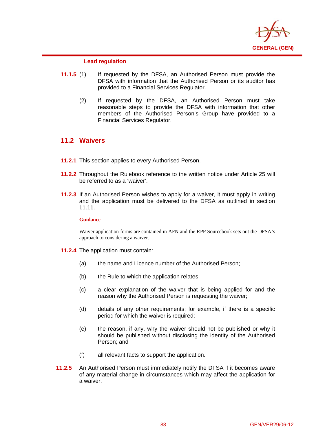

### **Lead regulation**

- **11.1.5** (1) If requested by the DFSA, an Authorised Person must provide the DFSA with information that the Authorised Person or its auditor has provided to a Financial Services Regulator.
	- (2) If requested by the DFSA, an Authorised Person must take reasonable steps to provide the DFSA with information that other members of the Authorised Person's Group have provided to a Financial Services Regulator.

# **11.2 Waivers**

 $\overline{a}$ 

- **11.2.1** This section applies to every Authorised Person.
- **11.2.2** Throughout the Rulebook reference to the written notice under Article 25 will be referred to as a 'waiver'.
- **11.2.3** If an Authorised Person wishes to apply for a waiver, it must apply in writing and the application must be delivered to the DFSA as outlined in section 11.11.

### **Guidance**

Waiver application forms are contained in AFN and the RPP Sourcebook sets out the DFSA's approach to considering a waiver.

- **11.2.4** The application must contain:
	- (a) the name and Licence number of the Authorised Person;
	- (b) the Rule to which the application relates;
	- (c) a clear explanation of the waiver that is being applied for and the reason why the Authorised Person is requesting the waiver;
	- (d) details of any other requirements; for example, if there is a specific period for which the waiver is required;
	- (e) the reason, if any, why the waiver should not be published or why it should be published without disclosing the identity of the Authorised Person; and
	- (f) all relevant facts to support the application.
- **11.2.5** An Authorised Person must immediately notify the DFSA if it becomes aware of any material change in circumstances which may affect the application for a waiver.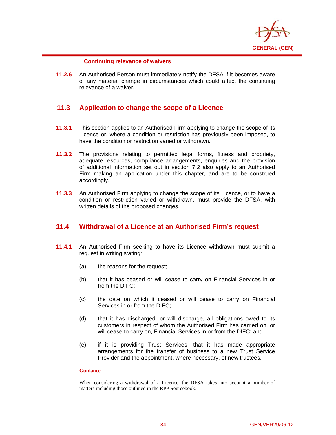

### **Continuing relevance of waivers**

 $\overline{a}$ 

**11.2.6** An Authorised Person must immediately notify the DFSA if it becomes aware of any material change in circumstances which could affect the continuing relevance of a waiver.

# **11.3 Application to change the scope of a Licence**

- **11.3.1** This section applies to an Authorised Firm applying to change the scope of its Licence or, where a condition or restriction has previously been imposed, to have the condition or restriction varied or withdrawn.
- **11.3.2** The provisions relating to permitted legal forms, fitness and propriety, adequate resources, compliance arrangements, enquiries and the provision of additional information set out in section 7.2 also apply to an Authorised Firm making an application under this chapter, and are to be construed accordingly.
- **11.3.3** An Authorised Firm applying to change the scope of its Licence, or to have a condition or restriction varied or withdrawn, must provide the DFSA, with written details of the proposed changes.

# **11.4 Withdrawal of a Licence at an Authorised Firm's request**

- **11.4.1** An Authorised Firm seeking to have its Licence withdrawn must submit a request in writing stating:
	- (a) the reasons for the request;
	- (b) that it has ceased or will cease to carry on Financial Services in or from the DIFC;
	- (c) the date on which it ceased or will cease to carry on Financial Services in or from the DIFC;
	- (d) that it has discharged, or will discharge, all obligations owed to its customers in respect of whom the Authorised Firm has carried on, or will cease to carry on, Financial Services in or from the DIFC; and
	- (e) if it is providing Trust Services, that it has made appropriate arrangements for the transfer of business to a new Trust Service Provider and the appointment, where necessary, of new trustees.

#### **Guidance**

When considering a withdrawal of a Licence, the DFSA takes into account a number of matters including those outlined in the RPP Sourcebook.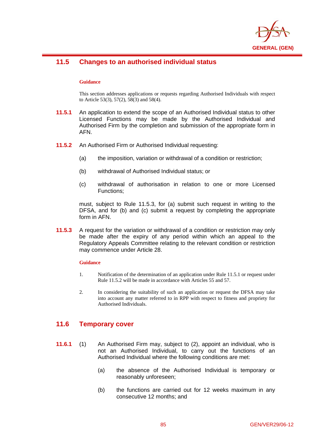

# **11.5 Changes to an authorised individual status**

### **Guidance**

 $\overline{a}$ 

This section addresses applications or requests regarding Authorised Individuals with respect to Article 53(3), 57(2), 58(3) and 58(4).

- **11.5.1** An application to extend the scope of an Authorised Individual status to other Licensed Functions may be made by the Authorised Individual and Authorised Firm by the completion and submission of the appropriate form in AFN.
- **11.5.2** An Authorised Firm or Authorised Individual requesting:
	- (a) the imposition, variation or withdrawal of a condition or restriction;
	- (b) withdrawal of Authorised Individual status; or
	- (c) withdrawal of authorisation in relation to one or more Licensed Functions;

must, subject to Rule 11.5.3, for (a) submit such request in writing to the DFSA, and for (b) and (c) submit a request by completing the appropriate form in AFN.

**11.5.3** A request for the variation or withdrawal of a condition or restriction may only be made after the expiry of any period within which an appeal to the Regulatory Appeals Committee relating to the relevant condition or restriction may commence under Article 28.

#### **Guidance**

- 1. Notification of the determination of an application under Rule 11.5.1 or request under Rule 11.5.2 will be made in accordance with Articles 55 and 57.
- 2. In considering the suitability of such an application or request the DFSA may take into account any matter referred to in RPP with respect to fitness and propriety for Authorised Individuals.

# **11.6 Temporary cover**

- **11.6.1** (1) An Authorised Firm may, subject to (2), appoint an individual, who is not an Authorised Individual, to carry out the functions of an Authorised Individual where the following conditions are met:
	- (a) the absence of the Authorised Individual is temporary or reasonably unforeseen;
	- (b) the functions are carried out for 12 weeks maximum in any consecutive 12 months; and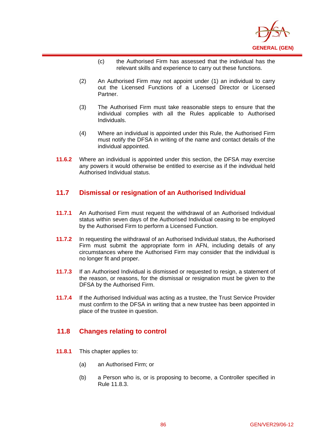

- (c) the Authorised Firm has assessed that the individual has the relevant skills and experience to carry out these functions.
- (2) An Authorised Firm may not appoint under (1) an individual to carry out the Licensed Functions of a Licensed Director or Licensed Partner.
- (3) The Authorised Firm must take reasonable steps to ensure that the individual complies with all the Rules applicable to Authorised Individuals.
- (4) Where an individual is appointed under this Rule, the Authorised Firm must notify the DFSA in writing of the name and contact details of the individual appointed.
- **11.6.2** Where an individual is appointed under this section, the DFSA may exercise any powers it would otherwise be entitled to exercise as if the individual held Authorised Individual status.

# **11.7 Dismissal or resignation of an Authorised Individual**

- **11.7.1** An Authorised Firm must request the withdrawal of an Authorised Individual status within seven days of the Authorised Individual ceasing to be employed by the Authorised Firm to perform a Licensed Function.
- **11.7.2** In requesting the withdrawal of an Authorised Individual status, the Authorised Firm must submit the appropriate form in AFN, including details of any circumstances where the Authorised Firm may consider that the individual is no longer fit and proper.
- **11.7.3** If an Authorised Individual is dismissed or requested to resign, a statement of the reason, or reasons, for the dismissal or resignation must be given to the DFSA by the Authorised Firm.
- **11.7.4** If the Authorised Individual was acting as a trustee, the Trust Service Provider must confirm to the DFSA in writing that a new trustee has been appointed in place of the trustee in question.

# **11.8 Changes relating to control**

**11.8.1** This chapter applies to:

- (a) an Authorised Firm; or
- (b) a Person who is, or is proposing to become, a Controller specified in Rule 11.8.3.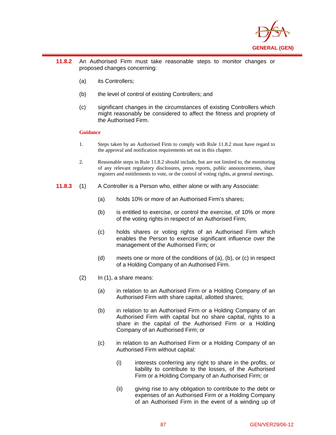

- **11.8.2** An Authorised Firm must take reasonable steps to monitor changes or proposed changes concerning:
	- (a) its Controllers;
	- (b) the level of control of existing Controllers; and
	- (c) significant changes in the circumstances of existing Controllers which might reasonably be considered to affect the fitness and propriety of the Authorised Firm.

#### **Guidance**

- 1. Steps taken by an Authorised Firm to comply with Rule 11.8.2 must have regard to the approval and notification requirements set out in this chapter.
- 2. Reasonable steps in Rule 11.8.2 should include, but are not limited to, the monitoring of any relevant regulatory disclosures, press reports, public announcements, share registers and entitlements to vote, or the control of voting rights, at general meetings.
- **11.8.3** (1) A Controller is a Person who, either alone or with any Associate:
	- (a) holds 10% or more of an Authorised Firm's shares;
	- (b) is entitled to exercise, or control the exercise, of 10% or more of the voting rights in respect of an Authorised Firm;
	- (c) holds shares or voting rights of an Authorised Firm which enables the Person to exercise significant influence over the management of the Authorised Firm; or
	- (d) meets one or more of the conditions of (a), (b), or (c) in respect of a Holding Company of an Authorised Firm.
	- (2) In (1), a share means:
		- (a) in relation to an Authorised Firm or a Holding Company of an Authorised Firm with share capital, allotted shares;
		- (b) in relation to an Authorised Firm or a Holding Company of an Authorised Firm with capital but no share capital, rights to a share in the capital of the Authorised Firm or a Holding Company of an Authorised Firm; or
		- (c) in relation to an Authorised Firm or a Holding Company of an Authorised Firm without capital:
			- (i) interests conferring any right to share in the profits, or liability to contribute to the losses, of the Authorised Firm or a Holding Company of an Authorised Firm; or
			- (ii) giving rise to any obligation to contribute to the debt or expenses of an Authorised Firm or a Holding Company of an Authorised Firm in the event of a winding up of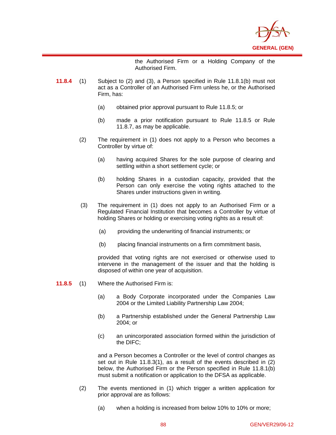

the Authorised Firm or a Holding Company of the Authorised Firm.

- **11.8.4** (1) Subject to (2) and (3), a Person specified in Rule 11.8.1(b) must not act as a Controller of an Authorised Firm unless he, or the Authorised Firm, has:
	- (a) obtained prior approval pursuant to Rule 11.8.5; or
	- (b) made a prior notification pursuant to Rule 11.8.5 or Rule 11.8.7, as may be applicable.
	- (2) The requirement in (1) does not apply to a Person who becomes a Controller by virtue of:
		- (a) having acquired Shares for the sole purpose of clearing and settling within a short settlement cycle; or
		- (b) holding Shares in a custodian capacity, provided that the Person can only exercise the voting rights attached to the Shares under instructions given in writing.
	- (3) The requirement in (1) does not apply to an Authorised Firm or a Regulated Financial Institution that becomes a Controller by virtue of holding Shares or holding or exercising voting rights as a result of:
		- (a) providing the underwriting of financial instruments; or
		- (b) placing financial instruments on a firm commitment basis,

provided that voting rights are not exercised or otherwise used to intervene in the management of the issuer and that the holding is disposed of within one year of acquisition.

**11.8.5** (1) Where the Authorised Firm is:

 $\overline{a}$ 

- (a) a Body Corporate incorporated under the Companies Law 2004 or the Limited Liability Partnership Law 2004;
- (b) a Partnership established under the General Partnership Law 2004; or
- (c) an unincorporated association formed within the jurisdiction of the DIFC;

and a Person becomes a Controller or the level of control changes as set out in Rule 11.8.3(1), as a result of the events described in (2) below, the Authorised Firm or the Person specified in Rule 11.8.1(b) must submit a notification or application to the DFSA as applicable.

- (2) The events mentioned in (1) which trigger a written application for prior approval are as follows:
	- (a) when a holding is increased from below 10% to 10% or more;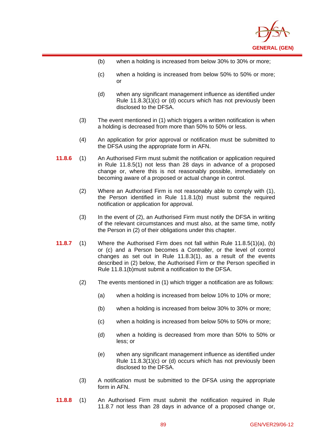

(b) when a holding is increased from below 30% to 30% or more;

- (c) when a holding is increased from below 50% to 50% or more; or
- (d) when any significant management influence as identified under Rule 11.8.3(1)(c) or (d) occurs which has not previously been disclosed to the DFSA.
- (3) The event mentioned in (1) which triggers a written notification is when a holding is decreased from more than 50% to 50% or less.
- (4) An application for prior approval or notification must be submitted to the DFSA using the appropriate form in AFN.
- **11.8.6** (1) An Authorised Firm must submit the notification or application required in Rule 11.8.5(1) not less than 28 days in advance of a proposed change or, where this is not reasonably possible, immediately on becoming aware of a proposed or actual change in control.
	- (2) Where an Authorised Firm is not reasonably able to comply with (1), the Person identified in Rule 11.8.1(b) must submit the required notification or application for approval.
	- (3) In the event of (2), an Authorised Firm must notify the DFSA in writing of the relevant circumstances and must also, at the same time, notify the Person in (2) of their obligations under this chapter.
- **11.8.7** (1) Where the Authorised Firm does not fall within Rule 11.8.5(1)(a), (b) or (c) and a Person becomes a Controller, or the level of control changes as set out in Rule 11.8.3(1), as a result of the events described in (2) below, the Authorised Firm or the Person specified in Rule 11.8.1(b)must submit a notification to the DFSA.
	- (2) The events mentioned in (1) which trigger a notification are as follows:
		- (a) when a holding is increased from below 10% to 10% or more;
		- (b) when a holding is increased from below 30% to 30% or more;
		- (c) when a holding is increased from below 50% to 50% or more;
		- (d) when a holding is decreased from more than 50% to 50% or less; or
		- (e) when any significant management influence as identified under Rule 11.8.3(1)(c) or (d) occurs which has not previously been disclosed to the DFSA.
	- (3) A notification must be submitted to the DFSA using the appropriate form in AFN.
- **11.8.8** (1) An Authorised Firm must submit the notification required in Rule 11.8.7 not less than 28 days in advance of a proposed change or,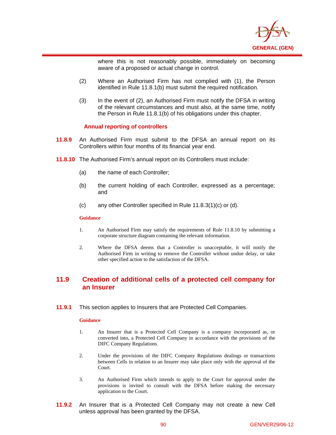

where this is not reasonably possible, immediately on becoming aware of a proposed or actual change in control.

- (2) Where an Authorised Firm has not complied with (1), the Person identified in Rule 11.8.1(b) must submit the required notification.
- (3) In the event of (2), an Authorised Firm must notify the DFSA in writing of the relevant circumstances and must also, at the same time, notify the Person in Rule 11.8.1(b) of his obligations under this chapter.

### **Annual reporting of controllers**

- **11.8.9** An Authorised Firm must submit to the DFSA an annual report on its Controllers within four months of its financial year end.
- **11.8.10** The Authorised Firm's annual report on its Controllers must include:
	- (a) the name of each Controller;
	- (b) the current holding of each Controller, expressed as a percentage; and
	- (c) any other Controller specified in Rule 11.8.3(1)(c) or (d).

#### **Guidance**

 $\overline{a}$ 

- 1. An Authorised Firm may satisfy the requirements of Rule 11.8.10 by submitting a corporate structure diagram containing the relevant information.
- 2. Where the DFSA deems that a Controller is unacceptable, it will notify the Authorised Firm in writing to remove the Controller without undue delay, or take other specified action to the satisfaction of the DFSA.

# **11.9 Creation of additional cells of a protected cell company for an Insurer**

**11.9.1** This section applies to Insurers that are Protected Cell Companies.

#### **Guidance**

- 1. An Insurer that is a Protected Cell Company is a company incorporated as, or converted into, a Protected Cell Company in accordance with the provisions of the DIFC Company Regulations.
- 2. Under the provisions of the DIFC Company Regulations dealings or transactions between Cells in relation to an Insurer may take place only with the approval of the Court.
- 3. An Authorised Firm which intends to apply to the Court for approval under the provisions is invited to consult with the DFSA before making the necessary application to the Court.
- **11.9.2** An Insurer that is a Protected Cell Company may not create a new Cell unless approval has been granted by the DFSA.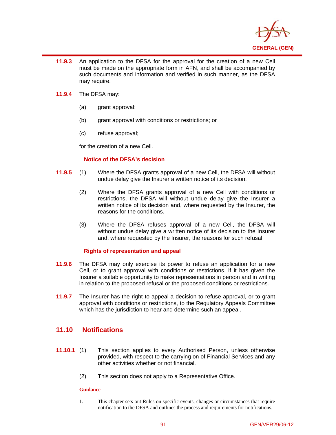

- $\overline{a}$ **11.9.3** An application to the DFSA for the approval for the creation of a new Cell must be made on the appropriate form in AFN, and shall be accompanied by such documents and information and verified in such manner, as the DFSA may require.
- **11.9.4** The DFSA may:
	- (a) grant approval;
	- (b) grant approval with conditions or restrictions; or
	- (c) refuse approval;

for the creation of a new Cell.

### **Notice of the DFSA's decision**

- **11.9.5** (1) Where the DFSA grants approval of a new Cell, the DFSA will without undue delay give the Insurer a written notice of its decision.
	- (2) Where the DFSA grants approval of a new Cell with conditions or restrictions, the DFSA will without undue delay give the Insurer a written notice of its decision and, where requested by the Insurer, the reasons for the conditions.
	- (3) Where the DFSA refuses approval of a new Cell, the DFSA will without undue delay give a written notice of its decision to the Insurer and, where requested by the Insurer, the reasons for such refusal.

## **Rights of representation and appeal**

- **11.9.6** The DFSA may only exercise its power to refuse an application for a new Cell, or to grant approval with conditions or restrictions, if it has given the Insurer a suitable opportunity to make representations in person and in writing in relation to the proposed refusal or the proposed conditions or restrictions.
- **11.9.7** The Insurer has the right to appeal a decision to refuse approval, or to grant approval with conditions or restrictions, to the Regulatory Appeals Committee which has the jurisdiction to hear and determine such an appeal.

# **11.10 Notifications**

- **11.10.1** (1) This section applies to every Authorised Person, unless otherwise provided, with respect to the carrying on of Financial Services and any other activities whether or not financial.
	- (2) This section does not apply to a Representative Office.

### **Guidance**

1. This chapter sets out Rules on specific events, changes or circumstances that require notification to the DFSA and outlines the process and requirements for notifications.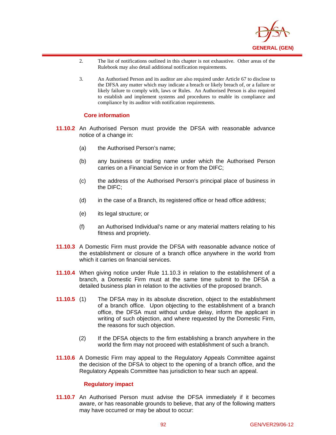

- 2. The list of notifications outlined in this chapter is not exhaustive. Other areas of the Rulebook may also detail additional notification requirements.
- 3. An Authorised Person and its auditor are also required under Article 67 to disclose to the DFSA any matter which may indicate a breach or likely breach of, or a failure or likely failure to comply with, laws or Rules. An Authorised Person is also required to establish and implement systems and procedures to enable its compliance and compliance by its auditor with notification requirements.

### **Core information**

 $\overline{a}$ 

- **11.10.2** An Authorised Person must provide the DFSA with reasonable advance notice of a change in:
	- (a) the Authorised Person's name;
	- (b) any business or trading name under which the Authorised Person carries on a Financial Service in or from the DIFC;
	- (c) the address of the Authorised Person's principal place of business in the DIFC;
	- (d) in the case of a Branch, its registered office or head office address;
	- (e) its legal structure; or
	- (f) an Authorised Individual's name or any material matters relating to his fitness and propriety.
- **11.10.3** A Domestic Firm must provide the DFSA with reasonable advance notice of the establishment or closure of a branch office anywhere in the world from which it carries on financial services.
- **11.10.4** When giving notice under Rule 11.10.3 in relation to the establishment of a branch, a Domestic Firm must at the same time submit to the DFSA a detailed business plan in relation to the activities of the proposed branch.
- **11.10.5** (1) The DFSA may in its absolute discretion, object to the establishment of a branch office. Upon objecting to the establishment of a branch office, the DFSA must without undue delay, inform the applicant in writing of such objection, and where requested by the Domestic Firm, the reasons for such objection.
	- (2) If the DFSA objects to the firm establishing a branch anywhere in the world the firm may not proceed with establishment of such a branch.
- **11.10.6** A Domestic Firm may appeal to the Regulatory Appeals Committee against the decision of the DFSA to object to the opening of a branch office, and the Regulatory Appeals Committee has jurisdiction to hear such an appeal.

### **Regulatory impact**

**11.10.7** An Authorised Person must advise the DFSA immediately if it becomes aware, or has reasonable grounds to believe, that any of the following matters may have occurred or may be about to occur: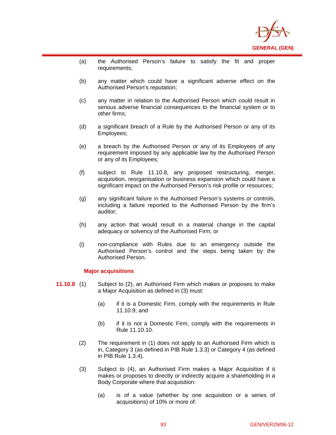

- (a) the Authorised Person's failure to satisfy the fit and proper requirements;
- (b) any matter which could have a significant adverse effect on the Authorised Person's reputation;
- (c) any matter in relation to the Authorised Person which could result in serious adverse financial consequences to the financial system or to other firms;
- (d) a significant breach of a Rule by the Authorised Person or any of its Employees;
- (e) a breach by the Authorised Person or any of its Employees of any requirement imposed by any applicable law by the Authorised Person or any of its Employees;
- (f) subject to Rule 11.10.8, any proposed restructuring, merger, acquisition, reorganisation or business expansion which could have a significant impact on the Authorised Person's risk profile or resources;
- (g) any significant failure in the Authorised Person's systems or controls, including a failure reported to the Authorised Person by the firm's auditor;
- (h) any action that would result in a material change in the capital adequacy or solvency of the Authorised Firm; or
- (i) non-compliance with Rules due to an emergency outside the Authorised Person's control and the steps being taken by the Authorised Person.

### **Major acquisitions**

- **11.10.8** (1) Subject to (2), an Authorised Firm which makes or proposes to make a Major Acquisition as defined in (3) must:
	- (a) if it is a Domestic Firm, comply with the requirements in Rule 11.10.9; and
	- (b) if it is not a Domestic Firm, comply with the requirements in Rule 11.10.10.
	- (2) The requirement in (1) does not apply to an Authorised Firm which is in, Category 3 (as defined in PIB Rule 1.3.3) or Category 4 (as defined in PIB Rule 1.3.4).
	- (3) Subject to (4), an Authorised Firm makes a Major Acquisition if it makes or proposes to directly or indirectly acquire a shareholding in a Body Corporate where that acquisition:
		- (a) is of a value (whether by one acquisition or a series of acquisitions) of 10% or more of: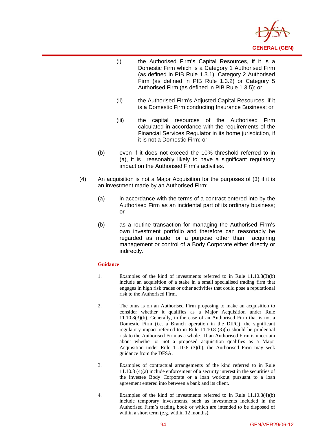

- (i) the Authorised Firm's Capital Resources, if it is a Domestic Firm which is a Category 1 Authorised Firm (as defined in PIB Rule 1.3.1), Category 2 Authorised Firm (as defined in PIB Rule 1.3.2) or Category 5 Authorised Firm (as defined in PIB Rule 1.3.5); or
- (ii) the Authorised Firm's Adjusted Capital Resources, if it is a Domestic Firm conducting Insurance Business; or
- (iii) the capital resources of the Authorised Firm calculated in accordance with the requirements of the Financial Services Regulator in its home jurisdiction, if it is not a Domestic Firm; or
- (b) even if it does not exceed the 10% threshold referred to in (a), it is reasonably likely to have a significant regulatory impact on the Authorised Firm's activities.
- (4) An acquisition is not a Major Acquisition for the purposes of (3) if it is an investment made by an Authorised Firm:
	- (a) in accordance with the terms of a contract entered into by the Authorised Firm as an incidental part of its ordinary business; or
	- (b) as a routine transaction for managing the Authorised Firm's own investment portfolio and therefore can reasonably be regarded as made for a purpose other than acquiring management or control of a Body Corporate either directly or indirectly.

#### **Guidance**

- 1. Examples of the kind of investments referred to in Rule 11.10.8(3)(b) include an acquisition of a stake in a small specialised trading firm that engages in high risk trades or other activities that could pose a reputational risk to the Authorised Firm.
- 2. The onus is on an Authorised Firm proposing to make an acquisition to consider whether it qualifies as a Major Acquisition under Rule 11.10.8(3)(b). Generally, in the case of an Authorised Firm that is not a Domestic Firm (i.e. a Branch operation in the DIFC), the significant regulatory impact referred to in Rule 11.10.8 (3)(b) should be prudential risk to the Authorised Firm as a whole. If an Authorised Firm is uncertain about whether or not a proposed acquisition qualifies as a Major Acquisition under Rule 11.10.8 (3)(b), the Authorised Firm may seek guidance from the DFSA.
- 3. Examples of contractual arrangements of the kind referred to in Rule 11.10.8 (4)(a) include enforcement of a security interest in the securities of the investee Body Corporate or a loan workout pursuant to a loan agreement entered into between a bank and its client.
- 4. Examples of the kind of investments referred to in Rule 11.10.8(4)(b) include temporary investments, such as investments included in the Authorised Firm's trading book or which are intended to be disposed of within a short term (e.g. within 12 months).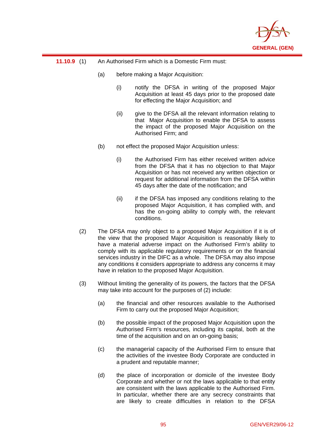

### **11.10.9** (1) An Authorised Firm which is a Domestic Firm must:

- (a) before making a Major Acquisition:
	- (i) notify the DFSA in writing of the proposed Major Acquisition at least 45 days prior to the proposed date for effecting the Major Acquisition; and
	- (ii) give to the DFSA all the relevant information relating to that Major Acquisition to enable the DFSA to assess the impact of the proposed Major Acquisition on the Authorised Firm; and
- (b) not effect the proposed Major Acquisition unless:
	- (i) the Authorised Firm has either received written advice from the DFSA that it has no objection to that Major Acquisition or has not received any written objection or request for additional information from the DFSA within 45 days after the date of the notification; and
	- (ii) if the DFSA has imposed any conditions relating to the proposed Major Acquisition, it has complied with, and has the on-going ability to comply with, the relevant conditions.
- (2) The DFSA may only object to a proposed Major Acquisition if it is of the view that the proposed Major Acquisition is reasonably likely to have a material adverse impact on the Authorised Firm's ability to comply with its applicable regulatory requirements or on the financial services industry in the DIFC as a whole. The DFSA may also impose any conditions it considers appropriate to address any concerns it may have in relation to the proposed Major Acquisition.
- (3) Without limiting the generality of its powers, the factors that the DFSA may take into account for the purposes of (2) include:
	- (a) the financial and other resources available to the Authorised Firm to carry out the proposed Major Acquisition;
	- (b) the possible impact of the proposed Major Acquisition upon the Authorised Firm's resources, including its capital, both at the time of the acquisition and on an on-going basis;
	- (c) the managerial capacity of the Authorised Firm to ensure that the activities of the investee Body Corporate are conducted in a prudent and reputable manner;
	- (d) the place of incorporation or domicile of the investee Body Corporate and whether or not the laws applicable to that entity are consistent with the laws applicable to the Authorised Firm. In particular, whether there are any secrecy constraints that are likely to create difficulties in relation to the DFSA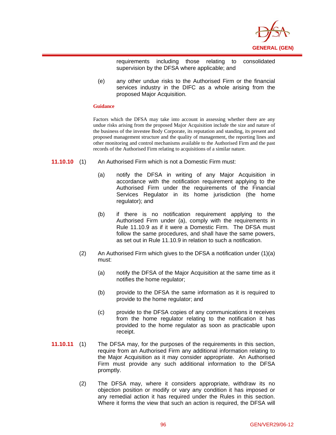

requirements including those relating to consolidated supervision by the DFSA where applicable; and

(e) any other undue risks to the Authorised Firm or the financial services industry in the DIFC as a whole arising from the proposed Major Acquisition.

#### **Guidance**

 $\overline{a}$ 

Factors which the DFSA may take into account in assessing whether there are any undue risks arising from the proposed Major Acquisition include the size and nature of the business of the investee Body Corporate, its reputation and standing, its present and proposed management structure and the quality of management, the reporting lines and other monitoring and control mechanisms available to the Authorised Firm and the past records of the Authorised Firm relating to acquisitions of a similar nature.

- **11.10.10** (1) An Authorised Firm which is not a Domestic Firm must:
	- (a) notify the DFSA in writing of any Major Acquisition in accordance with the notification requirement applying to the Authorised Firm under the requirements of the Financial Services Regulator in its home jurisdiction (the home regulator); and
	- (b) if there is no notification requirement applying to the Authorised Firm under (a), comply with the requirements in Rule 11.10.9 as if it were a Domestic Firm. The DFSA must follow the same procedures, and shall have the same powers, as set out in Rule 11.10.9 in relation to such a notification.
	- (2) An Authorised Firm which gives to the DFSA a notification under  $(1)(a)$ must:
		- (a) notify the DFSA of the Major Acquisition at the same time as it notifies the home regulator;
		- (b) provide to the DFSA the same information as it is required to provide to the home regulator; and
		- (c) provide to the DFSA copies of any communications it receives from the home regulator relating to the notification it has provided to the home regulator as soon as practicable upon receipt.
- **11.10.11** (1) The DFSA may, for the purposes of the requirements in this section, require from an Authorised Firm any additional information relating to the Major Acquisition as it may consider appropriate. An Authorised Firm must provide any such additional information to the DFSA promptly.
	- (2) The DFSA may, where it considers appropriate, withdraw its no objection position or modify or vary any condition it has imposed or any remedial action it has required under the Rules in this section. Where it forms the view that such an action is required, the DFSA will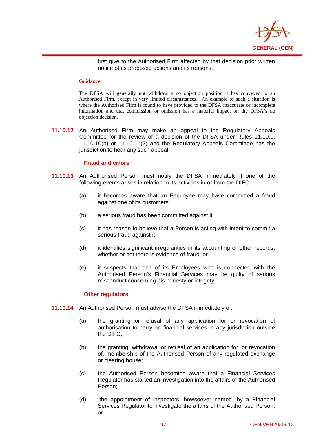

first give to the Authorised Firm affected by that decision prior written notice of its proposed actions and its reasons.

### **Guidance**

 $\overline{a}$ 

The DFSA will generally not withdraw a no objection position it has conveyed to an Authorised Firm, except in very limited circumstances. An example of such a situation is where the Authorised Firm is found to have provided to the DFSA inaccurate or incomplete information and that commission or omission has a material impact on the DFSA's no objection decision.

**11.10.12** An Authorised Firm may make an appeal to the Regulatory Appeals Committee for the review of a decision of the DFSA under Rules 11.10.9, 11.10.10(b) or 11.10.11(2) and the Regulatory Appeals Committee has the jurisdiction to hear any such appeal.

## **Fraud and errors**

- **11.10.13** An Authorised Person must notify the DFSA immediately if one of the following events arises in relation to its activities in or from the DIFC:
	- (a) it becomes aware that an Employee may have committed a fraud against one of its customers;
	- (b) a serious fraud has been committed against it;
	- (c) it has reason to believe that a Person is acting with intent to commit a serious fraud against it;
	- (d) it identifies significant irregularities in its accounting or other records, whether or not there is evidence of fraud; or
	- (e) it suspects that one of its Employees who is connected with the Authorised Person's Financial Services may be guilty of serious misconduct concerning his honesty or integrity.

### **Other regulators**

- **11.10.14** An Authorised Person must advise the DFSA immediately of:
	- (a) the granting or refusal of any application for or revocation of authorisation to carry on financial services in any jurisdiction outside the DIFC;
	- (b) the granting, withdrawal or refusal of an application for, or revocation of, membership of the Authorised Person of any regulated exchange or clearing house;
	- (c) the Authorised Person becoming aware that a Financial Services Regulator has started an investigation into the affairs of the Authorised Person;
	- (d) the appointment of inspectors, howsoever named, by a Financial Services Regulator to investigate the affairs of the Authorised Person; or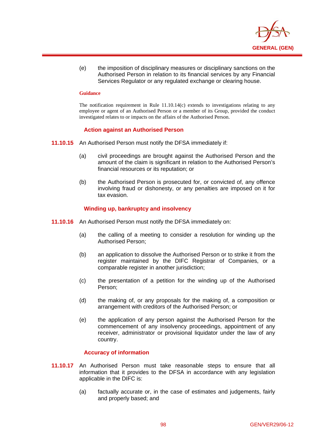

(e) the imposition of disciplinary measures or disciplinary sanctions on the Authorised Person in relation to its financial services by any Financial Services Regulator or any regulated exchange or clearing house.

#### **Guidance**

 $\overline{a}$ 

The notification requirement in Rule 11.10.14(c) extends to investigations relating to any employee or agent of an Authorised Person or a member of its Group, provided the conduct investigated relates to or impacts on the affairs of the Authorised Person.

### **Action against an Authorised Person**

- **11.10.15** An Authorised Person must notify the DFSA immediately if:
	- (a) civil proceedings are brought against the Authorised Person and the amount of the claim is significant in relation to the Authorised Person's financial resources or its reputation; or
	- (b) the Authorised Person is prosecuted for, or convicted of, any offence involving fraud or dishonesty, or any penalties are imposed on it for tax evasion.

## **Winding up, bankruptcy and insolvency**

- **11.10.16** An Authorised Person must notify the DFSA immediately on:
	- (a) the calling of a meeting to consider a resolution for winding up the Authorised Person;
	- (b) an application to dissolve the Authorised Person or to strike it from the register maintained by the DIFC Registrar of Companies, or a comparable register in another jurisdiction;
	- (c) the presentation of a petition for the winding up of the Authorised Person;
	- (d) the making of, or any proposals for the making of, a composition or arrangement with creditors of the Authorised Person; or
	- (e) the application of any person against the Authorised Person for the commencement of any insolvency proceedings, appointment of any receiver, administrator or provisional liquidator under the law of any country.

### **Accuracy of information**

- **11.10.17** An Authorised Person must take reasonable steps to ensure that all information that it provides to the DFSA in accordance with any legislation applicable in the DIFC is:
	- (a) factually accurate or, in the case of estimates and judgements, fairly and properly based; and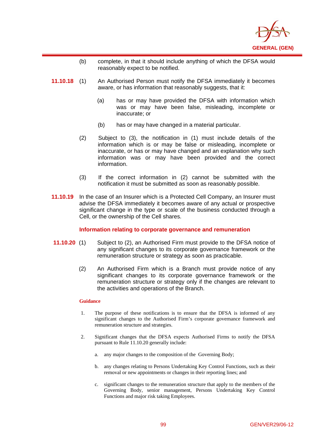

- (b) complete, in that it should include anything of which the DFSA would reasonably expect to be notified.
- **11.10.18** (1) An Authorised Person must notify the DFSA immediately it becomes aware, or has information that reasonably suggests, that it:
	- (a) has or may have provided the DFSA with information which was or may have been false, misleading, incomplete or inaccurate; or
	- (b) has or may have changed in a material particular.
	- (2) Subject to (3), the notification in (1) must include details of the information which is or may be false or misleading, incomplete or inaccurate, or has or may have changed and an explanation why such information was or may have been provided and the correct information.
	- (3) If the correct information in (2) cannot be submitted with the notification it must be submitted as soon as reasonably possible.
- **11.10.19** In the case of an Insurer which is a Protected Cell Company, an Insurer must advise the DFSA immediately it becomes aware of any actual or prospective significant change in the type or scale of the business conducted through a Cell, or the ownership of the Cell shares.

### **Information relating to corporate governance and remuneration**

- **11.10.20** (1) Subject to (2), an Authorised Firm must provide to the DFSA notice of any significant changes to its corporate governance framework or the remuneration structure or strategy as soon as practicable.
	- (2) An Authorised Firm which is a Branch must provide notice of any significant changes to its corporate governance framework or the remuneration structure or strategy only if the changes are relevant to the activities and operations of the Branch.

#### **Guidance**

- 1. The purpose of these notifications is to ensure that the DFSA is informed of any significant changes to the Authorised Firm's corporate governance framework and remuneration structure and strategies.
- 2. Significant changes that the DFSA expects Authorised Firms to notify the DFSA pursuant to Rule 11.10.20 generally include:
	- a. any major changes to the composition of the Governing Body;
	- b. any changes relating to Persons Undertaking Key Control Functions, such as their removal or new appointments or changes in their reporting lines; and
	- c. significant changes to the remuneration structure that apply to the members of the Governing Body, senior management, Persons Undertaking Key Control Functions and major risk taking Employees.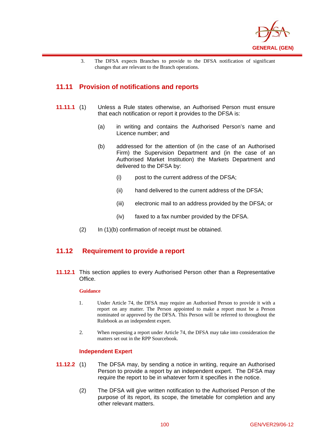

3. The DFSA expects Branches to provide to the DFSA notification of significant changes that are relevant to the Branch operations.

# **11.11 Provision of notifications and reports**

 $\overline{a}$ 

- **11.11.1** (1) Unless a Rule states otherwise, an Authorised Person must ensure that each notification or report it provides to the DFSA is:
	- (a) in writing and contains the Authorised Person's name and Licence number; and
	- (b) addressed for the attention of (in the case of an Authorised Firm) the Supervision Department and (in the case of an Authorised Market Institution) the Markets Department and delivered to the DFSA by:
		- (i) post to the current address of the DFSA;
		- (ii) hand delivered to the current address of the DFSA;
		- (iii) electronic mail to an address provided by the DFSA; or
		- (iv) faxed to a fax number provided by the DFSA.
	- (2) In (1)(b) confirmation of receipt must be obtained.

## **11.12 Requirement to provide a report**

**11.12.1** This section applies to every Authorised Person other than a Representative Office.

#### **Guidance**

- 1. Under Article 74, the DFSA may require an Authorised Person to provide it with a report on any matter. The Person appointed to make a report must be a Person nominated or approved by the DFSA. This Person will be referred to throughout the Rulebook as an independent expert.
- 2. When requesting a report under Article 74, the DFSA may take into consideration the matters set out in the RPP Sourcebook.

### **Independent Expert**

- **11.12.2** (1) The DFSA may, by sending a notice in writing, require an Authorised Person to provide a report by an independent expert. The DFSA may require the report to be in whatever form it specifies in the notice.
	- (2) The DFSA will give written notification to the Authorised Person of the purpose of its report, its scope, the timetable for completion and any other relevant matters.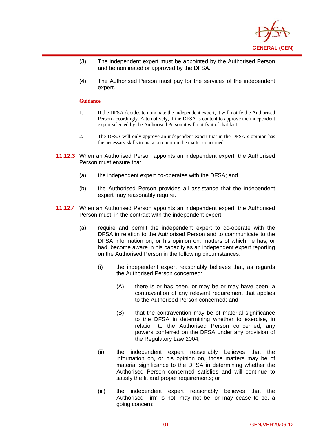

- (3) The independent expert must be appointed by the Authorised Person and be nominated or approved by the DFSA.
- (4) The Authorised Person must pay for the services of the independent expert.

#### **Guidance**

- 1. If the DFSA decides to nominate the independent expert, it will notify the Authorised Person accordingly. Alternatively, if the DFSA is content to approve the independent expert selected by the Authorised Person it will notify it of that fact.
- 2. The DFSA will only approve an independent expert that in the DFSA's opinion has the necessary skills to make a report on the matter concerned.
- **11.12.3** When an Authorised Person appoints an independent expert, the Authorised Person must ensure that:
	- (a) the independent expert co-operates with the DFSA; and
	- (b) the Authorised Person provides all assistance that the independent expert may reasonably require.
- **11.12.4** When an Authorised Person appoints an independent expert, the Authorised Person must, in the contract with the independent expert:
	- (a) require and permit the independent expert to co-operate with the DFSA in relation to the Authorised Person and to communicate to the DFSA information on, or his opinion on, matters of which he has, or had, become aware in his capacity as an independent expert reporting on the Authorised Person in the following circumstances:
		- (i) the independent expert reasonably believes that, as regards the Authorised Person concerned:
			- (A) there is or has been, or may be or may have been, a contravention of any relevant requirement that applies to the Authorised Person concerned; and
			- (B) that the contravention may be of material significance to the DFSA in determining whether to exercise, in relation to the Authorised Person concerned, any powers conferred on the DFSA under any provision of the Regulatory Law 2004;
		- (ii) the independent expert reasonably believes that the information on, or his opinion on, those matters may be of material significance to the DFSA in determining whether the Authorised Person concerned satisfies and will continue to satisfy the fit and proper requirements; or
		- (iii) the independent expert reasonably believes that the Authorised Firm is not, may not be, or may cease to be, a going concern;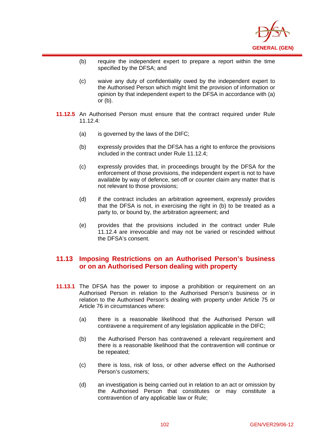

- (b) require the independent expert to prepare a report within the time specified by the DFSA; and
- (c) waive any duty of confidentiality owed by the independent expert to the Authorised Person which might limit the provision of information or opinion by that independent expert to the DFSA in accordance with (a) or (b).
- **11.12.5** An Authorised Person must ensure that the contract required under Rule 11.12.4:
	- (a) is governed by the laws of the DIFC;

 $\overline{a}$ 

- (b) expressly provides that the DFSA has a right to enforce the provisions included in the contract under Rule 11.12.4;
- (c) expressly provides that, in proceedings brought by the DFSA for the enforcement of those provisions, the independent expert is not to have available by way of defence, set-off or counter claim any matter that is not relevant to those provisions;
- (d) if the contract includes an arbitration agreement, expressly provides that the DFSA is not, in exercising the right in (b) to be treated as a party to, or bound by, the arbitration agreement; and
- (e) provides that the provisions included in the contract under Rule 11.12.4 are irrevocable and may not be varied or rescinded without the DFSA's consent.

# **11.13 Imposing Restrictions on an Authorised Person's business or on an Authorised Person dealing with property**

- **11.13.1** The DFSA has the power to impose a prohibition or requirement on an Authorised Person in relation to the Authorised Person's business or in relation to the Authorised Person's dealing with property under Article 75 or Article 76 in circumstances where:
	- (a) there is a reasonable likelihood that the Authorised Person will contravene a requirement of any legislation applicable in the DIFC;
	- (b) the Authorised Person has contravened a relevant requirement and there is a reasonable likelihood that the contravention will continue or be repeated;
	- (c) there is loss, risk of loss, or other adverse effect on the Authorised Person's customers;
	- (d) an investigation is being carried out in relation to an act or omission by the Authorised Person that constitutes or may constitute a contravention of any applicable law or Rule;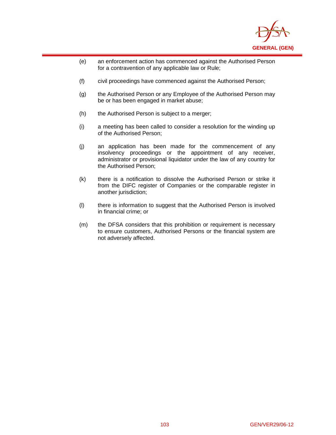

- (e) an enforcement action has commenced against the Authorised Person for a contravention of any applicable law or Rule;
- (f) civil proceedings have commenced against the Authorised Person;
- (g) the Authorised Person or any Employee of the Authorised Person may be or has been engaged in market abuse;
- (h) the Authorised Person is subject to a merger;

- (i) a meeting has been called to consider a resolution for the winding up of the Authorised Person;
- (j) an application has been made for the commencement of any insolvency proceedings or the appointment of any receiver, administrator or provisional liquidator under the law of any country for the Authorised Person;
- (k) there is a notification to dissolve the Authorised Person or strike it from the DIFC register of Companies or the comparable register in another jurisdiction;
- (l) there is information to suggest that the Authorised Person is involved in financial crime; or
- (m) the DFSA considers that this prohibition or requirement is necessary to ensure customers, Authorised Persons or the financial system are not adversely affected.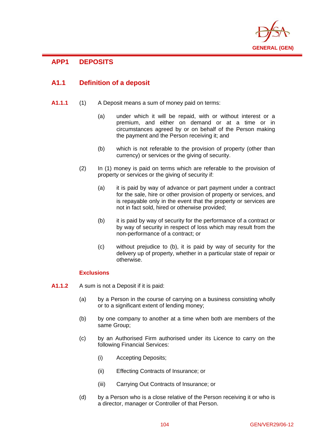

# $\overline{a}$ **APP1 DEPOSITS**

# **A1.1 Definition of a deposit**

- **A1.1.1** (1) A Deposit means a sum of money paid on terms:
	- (a) under which it will be repaid, with or without interest or a premium, and either on demand or at a time or in circumstances agreed by or on behalf of the Person making the payment and the Person receiving it; and
	- (b) which is not referable to the provision of property (other than currency) or services or the giving of security.
	- (2) In (1) money is paid on terms which are referable to the provision of property or services or the giving of security if:
		- (a) it is paid by way of advance or part payment under a contract for the sale, hire or other provision of property or services, and is repayable only in the event that the property or services are not in fact sold, hired or otherwise provided;
		- (b) it is paid by way of security for the performance of a contract or by way of security in respect of loss which may result from the non-performance of a contract; or
		- (c) without prejudice to (b), it is paid by way of security for the delivery up of property, whether in a particular state of repair or otherwise.

## **Exclusions**

- **A1.1.2** A sum is not a Deposit if it is paid:
	- (a) by a Person in the course of carrying on a business consisting wholly or to a significant extent of lending money;
	- (b) by one company to another at a time when both are members of the same Group;
	- (c) by an Authorised Firm authorised under its Licence to carry on the following Financial Services:
		- (i) Accepting Deposits;
		- (ii) Effecting Contracts of Insurance; or
		- (iii) Carrying Out Contracts of Insurance; or
	- (d) by a Person who is a close relative of the Person receiving it or who is a director, manager or Controller of that Person.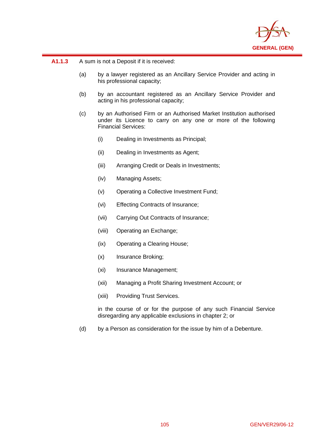

## **A1.1.3** A sum is not a Deposit if it is received:

 $\overline{a}$ 

- (a) by a lawyer registered as an Ancillary Service Provider and acting in his professional capacity;
- (b) by an accountant registered as an Ancillary Service Provider and acting in his professional capacity;
- (c) by an Authorised Firm or an Authorised Market Institution authorised under its Licence to carry on any one or more of the following Financial Services:
	- (i) Dealing in Investments as Principal;
	- (ii) Dealing in Investments as Agent;
	- (iii) Arranging Credit or Deals in Investments;
	- (iv) Managing Assets;
	- (v) Operating a Collective Investment Fund;
	- (vi) Effecting Contracts of Insurance;
	- (vii) Carrying Out Contracts of Insurance;
	- (viii) Operating an Exchange;
	- (ix) Operating a Clearing House;
	- (x) Insurance Broking;
	- (xi) Insurance Management;
	- (xii) Managing a Profit Sharing Investment Account; or
	- (xiii) Providing Trust Services.

in the course of or for the purpose of any such Financial Service disregarding any applicable exclusions in chapter 2; or

(d) by a Person as consideration for the issue by him of a Debenture.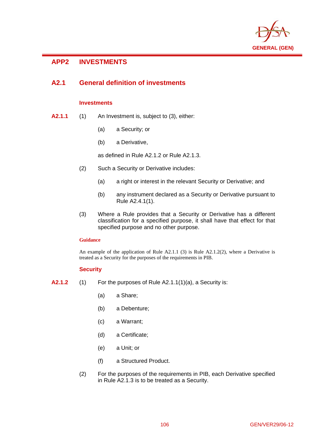

# **APP2 INVESTMENTS**

 $\overline{a}$ 

# **A2.1 General definition of investments**

## **Investments**

- **A2.1.1** (1) An Investment is, subject to (3), either:
	- (a) a Security; or
	- (b) a Derivative,

as defined in Rule A2.1.2 or Rule A2.1.3.

- (2) Such a Security or Derivative includes:
	- (a) a right or interest in the relevant Security or Derivative; and
	- (b) any instrument declared as a Security or Derivative pursuant to Rule A2.4.1(1).
- (3) Where a Rule provides that a Security or Derivative has a different classification for a specified purpose, it shall have that effect for that specified purpose and no other purpose.

### **Guidance**

An example of the application of Rule  $A2.1.1$  (3) is Rule  $A2.1.2(2)$ , where a Derivative is treated as a Security for the purposes of the requirements in PIB.

## **Security**

- **A2.1.2** (1) For the purposes of Rule A2.1.1(1)(a), a Security is:
	- (a) a Share;
	- (b) a Debenture;
	- (c) a Warrant;
	- (d) a Certificate;
	- (e) a Unit; or
	- (f) a Structured Product.
	- (2) For the purposes of the requirements in PIB, each Derivative specified in Rule A2.1.3 is to be treated as a Security.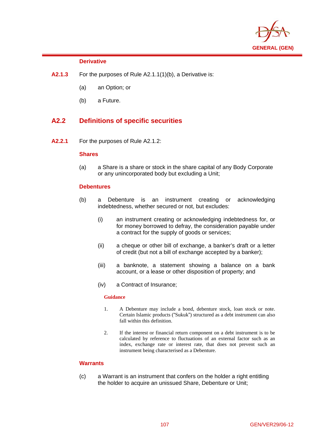

## **Derivative**

 $\overline{a}$ 

- **A2.1.3** For the purposes of Rule A2.1.1(1)(b), a Derivative is:
	- (a) an Option; or
	- (b) a Future.

# **A2.2 Definitions of specific securities**

**A2.2.1** For the purposes of Rule A2.1.2:

## **Shares**

(a) a Share is a share or stock in the share capital of any Body Corporate or any unincorporated body but excluding a Unit;

## **Debentures**

- (b) a Debenture is an instrument creating or acknowledging indebtedness, whether secured or not, but excludes:
	- (i) an instrument creating or acknowledging indebtedness for, or for money borrowed to defray, the consideration payable under a contract for the supply of goods or services;
	- (ii) a cheque or other bill of exchange, a banker's draft or a letter of credit (but not a bill of exchange accepted by a banker);
	- (iii) a banknote, a statement showing a balance on a bank account, or a lease or other disposition of property; and
	- (iv) a Contract of Insurance;

### **Guidance**

- 1. A Debenture may include a bond, debenture stock, loan stock or note. Certain Islamic products ("Sukuk") structured as a debt instrument can also fall within this definition.
- 2. If the interest or financial return component on a debt instrument is to be calculated by reference to fluctuations of an external factor such as an index, exchange rate or interest rate, that does not prevent such an instrument being characterised as a Debenture.

## **Warrants**

(c) a Warrant is an instrument that confers on the holder a right entitling the holder to acquire an unissued Share, Debenture or Unit;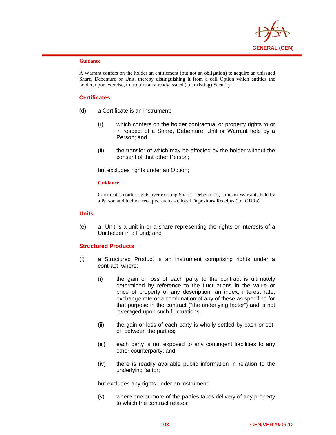

#### **Guidance**

 $\overline{a}$ 

A Warrant confers on the holder an entitlement (but not an obligation) to acquire an unissued Share, Debenture or Unit, thereby distinguishing it from a call Option which entitles the holder, upon exercise, to acquire an already issued (i.e. existing) Security.

## **Certificates**

- (d) a Certificate is an instrument:
	- (i) which confers on the holder contractual or property rights to or in respect of a Share, Debenture, Unit or Warrant held by a Person; and
	- (ii) the transfer of which may be effected by the holder without the consent of that other Person;

but excludes rights under an Option;

## **Guidance**

Certificates confer rights over existing Shares, Debentures, Units or Warrants held by a Person and include receipts, such as Global Depository Receipts (i.e. GDRs).

## **Units**

(e) a Unit is a unit in or a share representing the rights or interests of a Unitholder in a Fund; and

## **Structured Products**

- (f) a Structured Product is an instrument comprising rights under a contract where:
	- (i) the gain or loss of each party to the contract is ultimately determined by reference to the fluctuations in the value or price of property of any description, an index, interest rate, exchange rate or a combination of any of these as specified for that purpose in the contract ("the underlying factor") and is not leveraged upon such fluctuations;
	- (ii) the gain or loss of each party is wholly settled by cash or setoff between the parties;
	- (iii) each party is not exposed to any contingent liabilities to any other counterparty; and
	- (iv) there is readily available public information in relation to the underlying factor;

but excludes any rights under an instrument:

(v) where one or more of the parties takes delivery of any property to which the contract relates;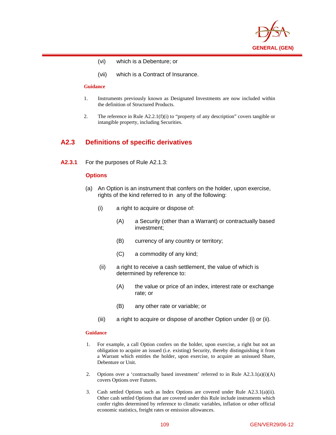

- (vi) which is a Debenture; or
- (vii) which is a Contract of Insurance.

#### **Guidance**

 $\overline{a}$ 

- 1. Instruments previously known as Designated Investments are now included within the definition of Structured Products.
- 2. The reference in Rule A2.2.1(f)(i) to "property of any description" covers tangible or intangible property, including Securities.

# **A2.3 Definitions of specific derivatives**

**A2.3.1** For the purposes of Rule A2.1.3:

## **Options**

- (a) An Option is an instrument that confers on the holder, upon exercise, rights of the kind referred to in any of the following:
	- (i) a right to acquire or dispose of:
		- (A) a Security (other than a Warrant) or contractually based investment;
		- (B) currency of any country or territory;
		- (C) a commodity of any kind;
	- (ii) a right to receive a cash settlement, the value of which is determined by reference to:
		- (A) the value or price of an index, interest rate or exchange rate; or
		- (B) any other rate or variable; or
	- (iii) a right to acquire or dispose of another Option under (i) or (ii).

### **Guidance**

- 1. For example, a call Option confers on the holder, upon exercise, a right but not an obligation to acquire an issued (i.e. existing) Security, thereby distinguishing it from a Warrant which entitles the holder, upon exercise, to acquire an unissued Share, Debenture or Unit.
- 2. Options over a 'contractually based investment' referred to in Rule A2.3.1(a)(i)(A) covers Options over Futures.
- 3. Cash settled Options such as Index Options are covered under Rule A2.3.1(a)(ii). Other cash settled Options that are covered under this Rule include instruments which confer rights determined by reference to climatic variables, inflation or other official economic statistics, freight rates or emission allowances.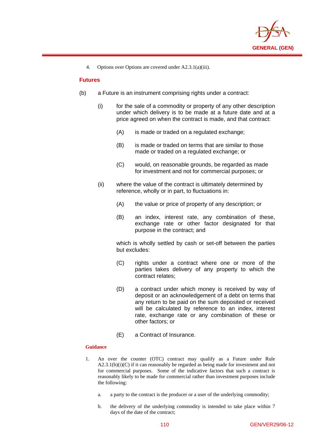

4. Options over Options are covered under A2.3.1(a)(iii).

# **Futures**

 $\overline{a}$ 

- (b) a Future is an instrument comprising rights under a contract:
	- (i) for the sale of a commodity or property of any other description under which delivery is to be made at a future date and at a price agreed on when the contract is made, and that contract:
		- (A) is made or traded on a regulated exchange;
		- (B) is made or traded on terms that are similar to those made or traded on a regulated exchange; or
		- (C) would, on reasonable grounds, be regarded as made for investment and not for commercial purposes; or
	- (ii) where the value of the contract is ultimately determined by reference, wholly or in part, to fluctuations in:
		- (A) the value or price of property of any description; or
		- (B) an index, interest rate, any combination of these, exchange rate or other factor designated for that purpose in the contract; and

which is wholly settled by cash or set-off between the parties but excludes:

- (C) rights under a contract where one or more of the parties takes delivery of any property to which the contract relates;
- (D) a contract under which money is received by way of deposit or an acknowledgement of a debt on terms that any return to be paid on the sum deposited or received will be calculated by reference to an index, interest rate, exchange rate or any combination of these or other factors; or
- (E) a Contract of Insurance.

### **Guidance**

- 1. An over the counter (OTC) contract may qualify as a Future under Rule A2.3.1(b)(i)(C) if it can reasonably be regarded as being made for investment and not for commercial purposes. Some of the indicative factors that such a contract is reasonably likely to be made for commercial rather than investment purposes include the following:
	- a. a party to the contract is the producer or a user of the underlying commodity;
	- b. the delivery of the underlying commodity is intended to take place within 7 days of the date of the contract;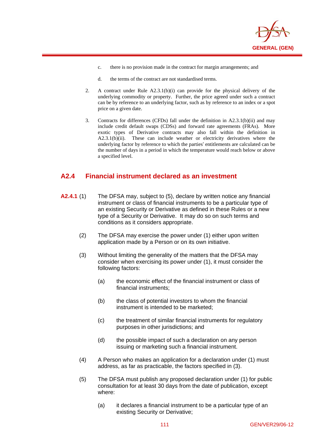

- c. there is no provision made in the contract for margin arrangements; and
- d. the terms of the contract are not standardised terms.

 $\overline{a}$ 

- 2. A contract under Rule A2.3.1(b)(i) can provide for the physical delivery of the underlying commodity or property. Further, the price agreed under such a contract can be by reference to an underlying factor, such as by reference to an index or a spot price on a given date.
- 3. Contracts for differences (CFDs) fall under the definition in A2.3.1(b)(ii) and may include credit default swaps (CDSs) and forward rate agreements (FRAs). More exotic types of Derivative contracts may also fall within the definition in A2.3.1(b)(ii). These can include weather or electricity derivatives where the underlying factor by reference to which the parties' entitlements are calculated can be the number of days in a period in which the temperature would reach below or above a specified level.

# **A2.4 Financial instrument declared as an investment**

- **A2.4.1** (1) The DFSA may, subject to (5), declare by written notice any financial instrument or class of financial instruments to be a particular type of an existing Security or Derivative as defined in these Rules or a new type of a Security or Derivative. It may do so on such terms and conditions as it considers appropriate.
	- (2) The DFSA may exercise the power under (1) either upon written application made by a Person or on its own initiative.
	- (3) Without limiting the generality of the matters that the DFSA may consider when exercising its power under (1), it must consider the following factors:
		- (a) the economic effect of the financial instrument or class of financial instruments;
		- (b) the class of potential investors to whom the financial instrument is intended to be marketed;
		- (c) the treatment of similar financial instruments for regulatory purposes in other jurisdictions; and
		- (d) the possible impact of such a declaration on any person issuing or marketing such a financial instrument.
	- (4) A Person who makes an application for a declaration under (1) must address, as far as practicable, the factors specified in (3).
	- (5) The DFSA must publish any proposed declaration under (1) for public consultation for at least 30 days from the date of publication, except where:
		- (a) it declares a financial instrument to be a particular type of an existing Security or Derivative;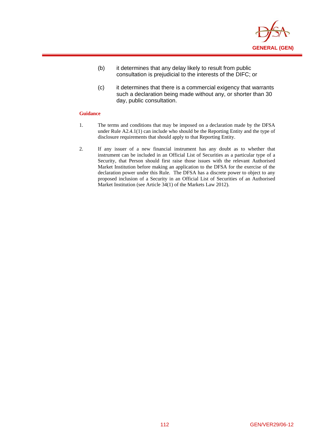

- (b) it determines that any delay likely to result from public consultation is prejudicial to the interests of the DIFC; or
- (c) it determines that there is a commercial exigency that warrants such a declaration being made without any, or shorter than 30 day, public consultation.

## **Guidance**

 $\overline{a}$ 

- 1. The terms and conditions that may be imposed on a declaration made by the DFSA under Rule A2.4.1(1) can include who should be the Reporting Entity and the type of disclosure requirements that should apply to that Reporting Entity.
- 2. If any issuer of a new financial instrument has any doubt as to whether that instrument can be included in an Official List of Securities as a particular type of a Security, that Person should first raise those issues with the relevant Authorised Market Institution before making an application to the DFSA for the exercise of the declaration power under this Rule. The DFSA has a discrete power to object to any proposed inclusion of a Security in an Official List of Securities of an Authorised Market Institution (see Article 34(1) of the Markets Law 2012).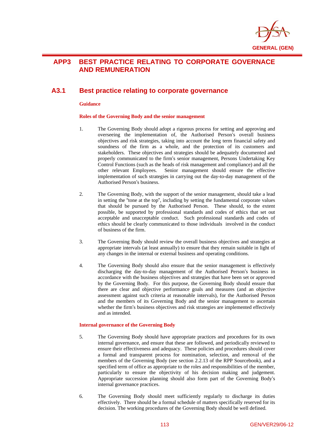

# **APP3 BEST PRACTICE RELATING TO CORPORATE GOVERNACE AND REMUNERATION**

# **A3.1 Best practice relating to corporate governance**

#### **Guidance**

 $\overline{a}$ 

### **Roles of the Governing Body and the senior management**

- 1. The Governing Body should adopt a rigorous process for setting and approving and overseeing the implementation of, the Authorised Person's overall business objectives and risk strategies, taking into account the long term financial safety and soundness of the firm as a whole, and the protection of its customers and stakeholders. These objectives and strategies should be adequately documented and properly communicated to the firm's senior management, Persons Undertaking Key Control Functions (such as the heads of risk management and compliance) and all the other relevant Employees. Senior management should ensure the effective implementation of such strategies in carrying out the day-to-day management of the Authorised Person's business.
- 2. The Governing Body, with the support of the senior management, should take a lead in setting the "tone at the top", including by setting the fundamental corporate values that should be pursued by the Authorised Person. These should, to the extent possible, be supported by professional standards and codes of ethics that set out acceptable and unacceptable conduct. Such professional standards and codes of ethics should be clearly communicated to those individuals involved in the conduct of business of the firm.
- 3. The Governing Body should review the overall business objectives and strategies at appropriate intervals (at least annually) to ensure that they remain suitable in light of any changes in the internal or external business and operating conditions.
- 4. The Governing Body should also ensure that the senior management is effectively discharging the day-to-day management of the Authorised Person's business in accordance with the business objectives and strategies that have been set or approved by the Governing Body. For this purpose, the Governing Body should ensure that there are clear and objective performance goals and measures (and an objective assessment against such criteria at reasonable intervals), for the Authorised Person and the members of its Governing Body and the senior management to ascertain whether the firm's business objectives and risk strategies are implemented effectively and as intended.

### **Internal governance of the Governing Body**

- 5. The Governing Body should have appropriate practices and procedures for its own internal governance, and ensure that these are followed, and periodically reviewed to ensure their effectiveness and adequacy. These policies and procedures should cover a formal and transparent process for nomination, selection, and removal of the members of the Governing Body (see section 2.2.13 of the RPP Sourcebook), and a specified term of office as appropriate to the roles and responsibilities of the member, particularly to ensure the objectivity of his decision making and judgement. Appropriate succession planning should also form part of the Governing Body's internal governance practices.
- 6. The Governing Body should meet sufficiently regularly to discharge its duties effectively. There should be a formal schedule of matters specifically reserved for its decision. The working procedures of the Governing Body should be well defined.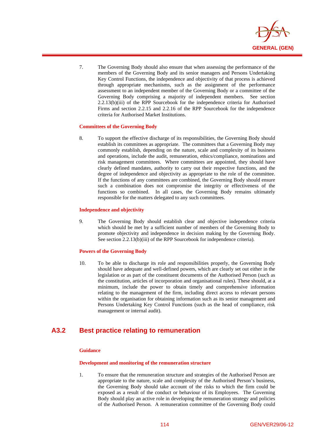

7. The Governing Body should also ensure that when assessing the performance of the members of the Governing Body and its senior managers and Persons Undertaking Key Control Functions, the independence and objectivity of that process is achieved through appropriate mechanisms, such as the assignment of the performance assessment to an independent member of the Governing Body or a committee of the Governing Body comprising a majority of independent members. See section 2.2.13(b)(iii) of the RPP Sourcebook for the independence criteria for Authorised Firms and section 2.2.15 and 2.2.16 of the RPP Sourcebook for the independence criteria for Authorised Market Institutions.

### **Committees of the Governing Body**

 $\overline{a}$ 

8. To support the effective discharge of its responsibilities, the Governing Body should establish its committees as appropriate. The committees that a Governing Body may commonly establish, depending on the nature, scale and complexity of its business and operations, include the audit, remuneration, ethics/compliance, nominations and risk management committees. Where committees are appointed, they should have clearly defined mandates, authority to carry out their respective functions, and the degree of independence and objectivity as appropriate to the role of the committee. If the functions of any committees are combined, the Governing Body should ensure such a combination does not compromise the integrity or effectiveness of the functions so combined. In all cases, the Governing Body remains ultimately responsible for the matters delegated to any such committees.

#### **Independence and objectivity**

9. The Governing Body should establish clear and objective independence criteria which should be met by a sufficient number of members of the Governing Body to promote objectivity and independence in decision making by the Governing Body. See section 2.2.13(b)(iii) of the RPP Sourcebook for independence criteria).

### **Powers of the Governing Body**

10. To be able to discharge its role and responsibilities properly, the Governing Body should have adequate and well-defined powers, which are clearly set out either in the legislation or as part of the constituent documents of the Authorised Person (such as the constitution, articles of incorporation and organisational rules). These should, at a minimum, include the power to obtain timely and comprehensive information relating to the management of the firm, including direct access to relevant persons within the organisation for obtaining information such as its senior management and Persons Undertaking Key Control Functions (such as the head of compliance, risk management or internal audit).

# **A3.2 Best practice relating to remuneration**

## **Guidance**

#### **Development and monitoring of the remuneration structure**

1. To ensure that the remuneration structure and strategies of the Authorised Person are appropriate to the nature, scale and complexity of the Authorised Person's business, the Governing Body should take account of the risks to which the firm could be exposed as a result of the conduct or behaviour of its Employees. The Governing Body should play an active role in developing the remuneration strategy and policies of the Authorised Person. A remuneration committee of the Governing Body could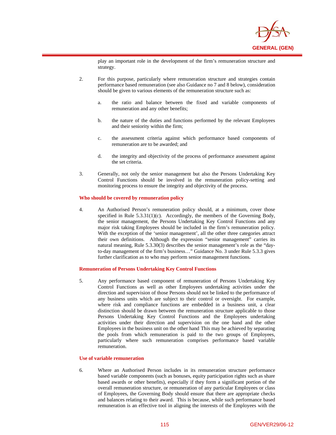

play an important role in the development of the firm's remuneration structure and strategy.

- 2. For this purpose, particularly where remuneration structure and strategies contain performance based remuneration (see also Guidance no 7 and 8 below), consideration should be given to various elements of the remuneration structure such as:
	- a. the ratio and balance between the fixed and variable components of remuneration and any other benefits;
	- b. the nature of the duties and functions performed by the relevant Employees and their seniority within the firm;
	- c. the assessment criteria against which performance based components of remuneration are to be awarded; and
	- d. the integrity and objectivity of the process of performance assessment against the set criteria.
- 3. Generally, not only the senior management but also the Persons Undertaking Key Control Functions should be involved in the remuneration policy-setting and monitoring process to ensure the integrity and objectivity of the process.

#### **Who should be covered by remuneration policy**

 $\overline{a}$ 

4. An Authorised Person's remuneration policy should, at a minimum, cover those specified in Rule  $5.3.31(1)(c)$ . Accordingly, the members of the Governing Body, the senior management, the Persons Undertaking Key Control Functions and any major risk taking Employees should be included in the firm's remuneration policy. With the exception of the 'senior management', all the other three categories attract their own definitions. Although the expression "senior management" carries its natural meaning, Rule 5.3.30(3) describes the senior management's role as the "dayto-day management of the firm's business…" Guidance No. 3 under Rule 5.3.3 gives further clarification as to who may perform senior management functions.

#### **Remuneration of Persons Undertaking Key Control Functions**

5. Any performance based component of remuneration of Persons Undertaking Key Control Functions as well as other Employees undertaking activities under the direction and supervision of those Persons should not be linked to the performance of any business units which are subject to their control or oversight. For example, where risk and compliance functions are embedded in a business unit, a clear distinction should be drawn between the remuneration structure applicable to those Persons Undertaking Key Control Functions and the Employees undertaking activities under their direction and supervision on the one hand and the other Employees in the business unit on the other hand This may be achieved by separating the pools from which remuneration is paid to the two groups of Employees, particularly where such remuneration comprises performance based variable remuneration.

#### **Use of variable remuneration**

6. Where an Authorised Person includes in its remuneration structure performance based variable components (such as bonuses, equity participation rights such as share based awards or other benefits), especially if they form a significant portion of the overall remuneration structure, or remuneration of any particular Employees or class of Employees, the Governing Body should ensure that there are appropriate checks and balances relating to their award. This is because, while such performance based remuneration is an effective tool in aligning the interests of the Employees with the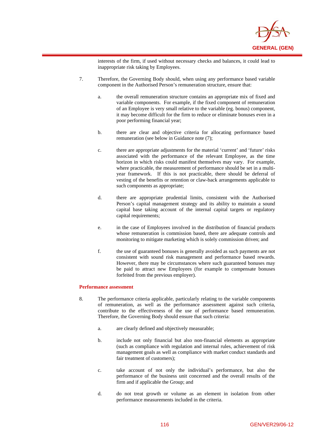

interests of the firm, if used without necessary checks and balances, it could lead to inappropriate risk taking by Employees.

- 7. Therefore, the Governing Body should, when using any performance based variable component in the Authorised Person's remuneration structure, ensure that:
	- a. the overall remuneration structure contains an appropriate mix of fixed and variable components. For example, if the fixed component of remuneration of an Employee is very small relative to the variable (eg. bonus) component, it may become difficult for the firm to reduce or eliminate bonuses even in a poor performing financial year;
	- b. there are clear and objective criteria for allocating performance based remuneration (see below in Guidance note (7);
	- c. there are appropriate adjustments for the material 'current' and 'future' risks associated with the performance of the relevant Employee, as the time horizon in which risks could manifest themselves may vary. For example, where practicable, the measurement of performance should be set in a multiyear framework. If this is not practicable, there should be deferral of vesting of the benefits or retention or claw-back arrangements applicable to such components as appropriate;
	- d. there are appropriate prudential limits, consistent with the Authorised Person's capital management strategy and its ability to maintain a sound capital base taking account of the internal capital targets or regulatory capital requirements;
	- e. in the case of Employees involved in the distribution of financial products whose remuneration is commission based, there are adequate controls and monitoring to mitigate marketing which is solely commission driven; and
	- f. the use of guaranteed bonuses is generally avoided as such payments are not consistent with sound risk management and performance based rewards. However, there may be circumstances where such guaranteed bonuses may be paid to attract new Employees (for example to compensate bonuses forfeited from the previous employer).

### **Performance assessment**

 $\overline{a}$ 

- 8. The performance criteria applicable, particularly relating to the variable components of remuneration, as well as the performance assessment against such criteria, contribute to the effectiveness of the use of performance based remuneration. Therefore, the Governing Body should ensure that such criteria:
	- a. are clearly defined and objectively measurable;
	- b. include not only financial but also non-financial elements as appropriate (such as compliance with regulation and internal rules, achievement of risk management goals as well as compliance with market conduct standards and fair treatment of customers);
	- c. take account of not only the individual's performance, but also the performance of the business unit concerned and the overall results of the firm and if applicable the Group; and
	- d. do not treat growth or volume as an element in isolation from other performance measurements included in the criteria.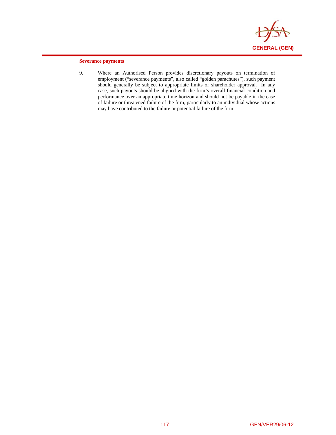

## **Severance payments**

 $\overline{a}$ 

9. Where an Authorised Person provides discretionary payouts on termination of employment ("severance payments", also called "golden parachutes"), such payment should generally be subject to appropriate limits or shareholder approval. In any case, such payouts should be aligned with the firm's overall financial condition and performance over an appropriate time horizon and should not be payable in the case of failure or threatened failure of the firm, particularly to an individual whose actions may have contributed to the failure or potential failure of the firm.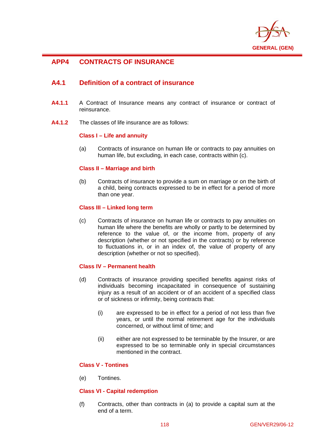

# **APP4 CONTRACTS OF INSURANCE**

 $\overline{a}$ 

# **A4.1 Definition of a contract of insurance**

- **A4.1.1** A Contract of Insurance means any contract of insurance or contract of reinsurance.
- **A4.1.2** The classes of life insurance are as follows:

## **Class I – Life and annuity**

(a) Contracts of insurance on human life or contracts to pay annuities on human life, but excluding, in each case, contracts within (c).

## **Class II – Marriage and birth**

(b) Contracts of insurance to provide a sum on marriage or on the birth of a child, being contracts expressed to be in effect for a period of more than one year.

## **Class III – Linked long term**

(c) Contracts of insurance on human life or contracts to pay annuities on human life where the benefits are wholly or partly to be determined by reference to the value of, or the income from, property of any description (whether or not specified in the contracts) or by reference to fluctuations in, or in an index of, the value of property of any description (whether or not so specified).

## **Class IV – Permanent health**

- (d) Contracts of insurance providing specified benefits against risks of individuals becoming incapacitated in consequence of sustaining injury as a result of an accident or of an accident of a specified class or of sickness or infirmity, being contracts that:
	- (i) are expressed to be in effect for a period of not less than five years, or until the normal retirement age for the individuals concerned, or without limit of time; and
	- (ii) either are not expressed to be terminable by the Insurer, or are expressed to be so terminable only in special circumstances mentioned in the contract.

## **Class V - Tontines**

(e) Tontines.

## **Class VI - Capital redemption**

(f) Contracts, other than contracts in (a) to provide a capital sum at the end of a term.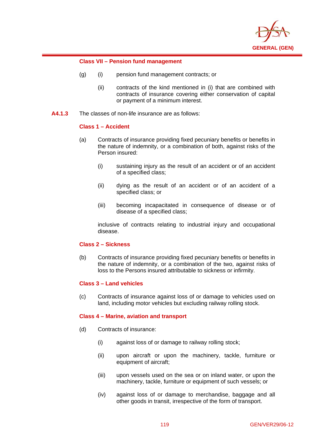

## **Class VII – Pension fund management**

- (g) (i) pension fund management contracts; or
	- (ii) contracts of the kind mentioned in (i) that are combined with contracts of insurance covering either conservation of capital or payment of a minimum interest.
- **A4.1.3** The classes of non-life insurance are as follows:

## **Class 1 – Accident**

 $\overline{a}$ 

- (a) Contracts of insurance providing fixed pecuniary benefits or benefits in the nature of indemnity, or a combination of both, against risks of the Person insured:
	- (i) sustaining injury as the result of an accident or of an accident of a specified class;
	- (ii) dying as the result of an accident or of an accident of a specified class; or
	- (iii) becoming incapacitated in consequence of disease or of disease of a specified class;

inclusive of contracts relating to industrial injury and occupational disease.

# **Class 2 – Sickness**

(b) Contracts of insurance providing fixed pecuniary benefits or benefits in the nature of indemnity, or a combination of the two, against risks of loss to the Persons insured attributable to sickness or infirmity.

## **Class 3 – Land vehicles**

(c) Contracts of insurance against loss of or damage to vehicles used on land, including motor vehicles but excluding railway rolling stock.

## **Class 4 – Marine, aviation and transport**

- (d) Contracts of insurance:
	- (i) against loss of or damage to railway rolling stock;
	- (ii) upon aircraft or upon the machinery, tackle, furniture or equipment of aircraft;
	- (iii) upon vessels used on the sea or on inland water, or upon the machinery, tackle, furniture or equipment of such vessels; or
	- (iv) against loss of or damage to merchandise, baggage and all other goods in transit, irrespective of the form of transport.